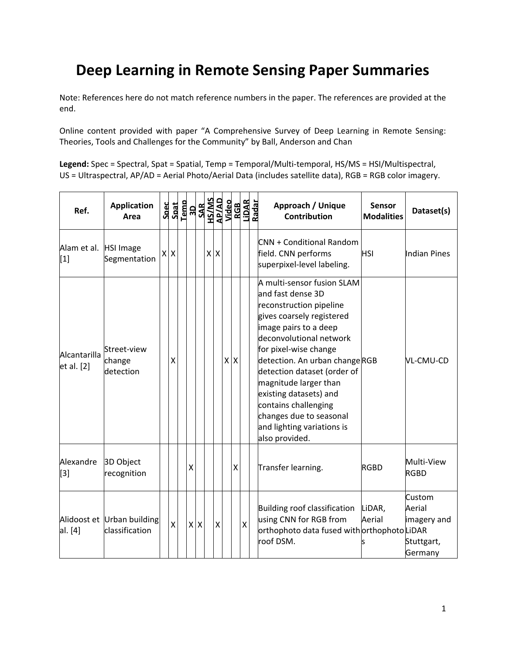## **Deep Learning in Remote Sensing Paper Summaries**

Note: References here do not match reference numbers in the paper. The references are provided at the end.

Online content provided with paper "A Comprehensive Survey of Deep Learning in Remote Sensing: Theories, Tools and Challenges for the Community" by Ball, Anderson and Chan

Legend: Spec = Spectral, Spat = Spatial, Temp = Temporal/Multi-temporal, HS/MS = HSI/Multispectral, US = Ultraspectral, AP/AD = Aerial Photo/Aerial Data (includes satellite data), RGB = RGB color imagery.

| Ref.                           | <b>Application</b><br>Area                   |         | $\begin{array}{r} \texttt{Spect} \\ \texttt{Spat} \\ \texttt{I-1} \\ \texttt{SAR} \\ \texttt{SAR} \\ \texttt{SAR} \\ \texttt{MSSAD} \\ \texttt{M4} \\ \texttt{M4} \\ \texttt{M4} \\ \texttt{M4} \\ \texttt{M4} \\ \texttt{M4} \\ \texttt{M4} \\ \texttt{M4} \\ \texttt{M4} \\ \texttt{M4} \\ \texttt{M4} \\ \texttt{M4} \\ \texttt{M4} \\ \texttt{M4} \\ \texttt{M4} \\ \texttt{M4} \\ \texttt{M4} \\ \texttt{M4} \\ \texttt{M4} \\ \texttt$ |            |                 |   |   | RGB<br>LiDAR<br>Radar |                         | Approach / Unique<br><b>Sensor</b><br><b>Contribution</b><br><b>Modalities</b>                                                                                                                                                                                                                                                                                                                             | Dataset(s)                                               |
|--------------------------------|----------------------------------------------|---------|----------------------------------------------------------------------------------------------------------------------------------------------------------------------------------------------------------------------------------------------------------------------------------------------------------------------------------------------------------------------------------------------------------------------------------------------|------------|-----------------|---|---|-----------------------|-------------------------|------------------------------------------------------------------------------------------------------------------------------------------------------------------------------------------------------------------------------------------------------------------------------------------------------------------------------------------------------------------------------------------------------------|----------------------------------------------------------|
| Alam et al. HSI Image<br>$[1]$ | Segmentation                                 | $X$ $X$ |                                                                                                                                                                                                                                                                                                                                                                                                                                              |            | $x \mid x$      |   |   |                       |                         | <b>CNN + Conditional Random</b><br>field. CNN performs<br><b>HSI</b><br>superpixel-level labeling.                                                                                                                                                                                                                                                                                                         | Indian Pines                                             |
| Alcantarilla<br>et al. [2]     | Street-view<br>change<br>detection           | x       |                                                                                                                                                                                                                                                                                                                                                                                                                                              |            |                 | X | X |                       |                         | A multi-sensor fusion SLAM<br>and fast dense 3D<br>reconstruction pipeline<br>gives coarsely registered<br>image pairs to a deep<br>deconvolutional network<br>for pixel-wise change<br>detection. An urban changeRGB<br>detection dataset (order of<br>magnitude larger than<br>existing datasets) and<br>contains challenging<br>changes due to seasonal<br>and lighting variations is<br>also provided. | VL-CMU-CD                                                |
| Alexandre<br>$[3]$             | 3D Object<br>recognition                     |         | X                                                                                                                                                                                                                                                                                                                                                                                                                                            |            |                 |   | Χ |                       |                         | Transfer learning.<br><b>RGBD</b>                                                                                                                                                                                                                                                                                                                                                                          | Multi-View<br><b>RGBD</b>                                |
| al. [4]                        | Alidoost et Urban building<br>classification | X.      |                                                                                                                                                                                                                                                                                                                                                                                                                                              | $x \mid x$ | $\mathsf{\chi}$ |   |   |                       | $\mathsf{\overline{X}}$ | Building roof classification<br>LiDAR,<br>using CNN for RGB from<br>Aerial<br>orthophoto data fused with orthophoto LiDAR<br>roof DSM.                                                                                                                                                                                                                                                                     | Custom<br>Aerial<br>imagery and<br>Stuttgart,<br>Germany |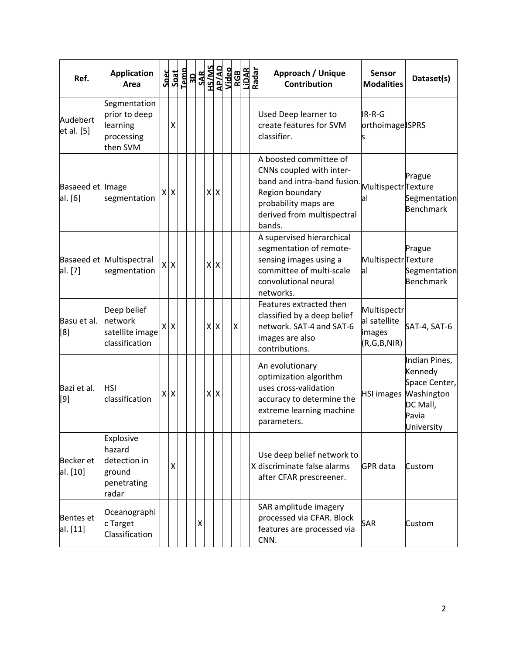| Ref.                         | <b>Application</b><br>Area                                            | Spec<br>Spat | Temp |   | <b>3D<br/>SAR<br/>HS/MS</b> |         | AP/AD<br>Video<br>LIDAR<br>LIDAR<br>Radar |                    |  | Approach / Unique<br><b>Sensor</b><br>Dataset(s)<br><b>Contribution</b><br><b>Modalities</b>                                                                                                                                                                  |  |
|------------------------------|-----------------------------------------------------------------------|--------------|------|---|-----------------------------|---------|-------------------------------------------|--------------------|--|---------------------------------------------------------------------------------------------------------------------------------------------------------------------------------------------------------------------------------------------------------------|--|
| Audebert<br>et al. [5]       | Segmentation<br>prior to deep<br>learning<br>processing<br>then SVM   | X            |      |   |                             |         |                                           |                    |  | <b>Used Deep learner to</b><br>IR-R-G<br>create features for SVM<br>orthoimage ISPRS<br>classifier.                                                                                                                                                           |  |
| Basaeed et Image<br>al. [6]  | segmentation                                                          | xlx          |      |   |                             | $X$ $X$ |                                           |                    |  | A boosted committee of<br>CNNs coupled with inter-<br>Prague<br>band and intra-band fusion.<br>MultispectrTexture<br>Region boundary<br>Segmentation<br>al<br>probability maps are<br><b>Benchmark</b><br>derived from multispectral<br>bands.                |  |
| al. [7]                      | Basaeed et Multispectral<br>segmentation                              | xlx          |      |   |                             | x x     |                                           |                    |  | A supervised hierarchical<br>segmentation of remote-<br>Prague<br>MultispectrTexture<br>sensing images using a<br>committee of multi-scale<br>Segmentation<br>al<br><b>Benchmark</b><br>convolutional neural<br>networks.                                     |  |
| Basu et al.<br>[8]           | Deep belief<br>network<br>satellite image<br>classification           | xlx          |      |   |                             | $X$ $X$ |                                           | $\pmb{\mathsf{X}}$ |  | Features extracted then<br>Multispectr<br>classified by a deep belief<br>al satellite<br>network. SAT-4 and SAT-6<br>SAT-4, SAT-6<br>images<br>images are also<br>(R,G,B,NIR)<br>contributions.                                                               |  |
| Bazi et al.<br>[9]           | <b>HSI</b><br>classification                                          | $X$ $X$      |      |   |                             | x x     |                                           |                    |  | Indian Pines,<br>An evolutionary<br>Kennedy<br>optimization algorithm<br>Space Center,<br>uses cross-validation<br>Washington<br><b>HSI images</b><br>accuracy to determine the<br>DC Mall,<br>extreme learning machine<br>Pavia<br>parameters.<br>University |  |
| <b>Becker</b> et<br>al. [10] | Explosive<br>hazard<br>detection in<br>ground<br>penetrating<br>radar | X            |      |   |                             |         |                                           |                    |  | Use deep belief network to<br>X discriminate false alarms<br>GPR data<br>Custom<br>after CFAR prescreener.                                                                                                                                                    |  |
| <b>Bentes</b> et<br>al. [11] | Oceanographi<br>c Target<br>Classification                            |              |      | Χ |                             |         |                                           |                    |  | SAR amplitude imagery<br>processed via CFAR. Block<br><b>SAR</b><br>Custom<br>features are processed via<br>CNN.                                                                                                                                              |  |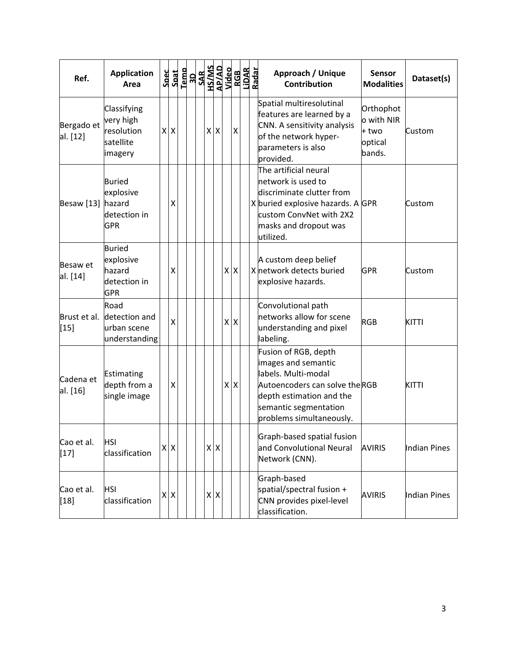| Ref.                   | <b>Application</b><br>Area                                         | Spec | Spat       | Temp<br>3D | <b>SAR</b> |            | OPPIN<br>AP/AD<br>SM/SH |         | RGB<br>LiDAR<br>Radar |  | Approach / Unique<br>Contribution                                                                                                                                                    | Sensor<br><b>Modalities</b>                           | Dataset(s)   |
|------------------------|--------------------------------------------------------------------|------|------------|------------|------------|------------|-------------------------|---------|-----------------------|--|--------------------------------------------------------------------------------------------------------------------------------------------------------------------------------------|-------------------------------------------------------|--------------|
| Bergado et<br>al. [12] | Classifying<br>very high<br>resolution<br>satellite<br>imagery     |      | x x        |            |            | $x \mid x$ |                         |         | $\pmb{\times}$        |  | Spatial multiresolutinal<br>features are learned by a<br>CNN. A sensitivity analysis<br>of the network hyper-<br>parameters is also<br>provided.                                     | Orthophot<br>o with NIR<br>+ two<br>optical<br>bands. | Custom       |
| <b>Besaw</b> [13]      | <b>Buried</b><br>explosive<br>hazard<br>detection in<br><b>GPR</b> |      | x          |            |            |            |                         |         |                       |  | The artificial neural<br>network is used to<br>discriminate clutter from<br>X buried explosive hazards. A GPR<br>custom ConvNet with 2X2<br>masks and dropout was<br>utilized.       |                                                       | Custom       |
| Besaw et<br>al. [14]   | <b>Buried</b><br>explosive<br>hazard<br>detection in<br><b>GPR</b> |      | χ          |            |            |            |                         | $X$ $X$ |                       |  | A custom deep belief<br>X network detects buried<br>explosive hazards.                                                                                                               | <b>GPR</b>                                            | Custom       |
| Brust et al.<br>[15]   | Road<br>detection and<br>urban scene<br>understanding              |      | X          |            |            |            |                         | $X$ $X$ |                       |  | Convolutional path<br>networks allow for scene<br>understanding and pixel<br>labeling.                                                                                               | <b>RGB</b>                                            | <b>KITTI</b> |
| Cadena et<br>al. [16]  | Estimating<br>depth from a<br>single image                         |      | X          |            |            |            |                         | $X$ $X$ |                       |  | Fusion of RGB, depth<br>images and semantic<br>labels. Multi-modal<br>Autoencoders can solve theRGB<br>depth estimation and the<br>semantic segmentation<br>problems simultaneously. |                                                       | KITTI        |
| Cao et al.<br>$[17]$   | HSI<br>classification                                              |      | $X$ $X$    |            |            | $X$ $X$    |                         |         |                       |  | Graph-based spatial fusion<br>and Convolutional Neural<br>Network (CNN).                                                                                                             | <b>AVIRIS</b>                                         | Indian Pines |
| Cao et al.<br>$[18]$   | HSI<br>classification                                              |      | $x \mid x$ |            |            | $X$ $X$    |                         |         |                       |  | Graph-based<br>spatial/spectral fusion $+$<br>CNN provides pixel-level<br>classification.                                                                                            | <b>AVIRIS</b>                                         | Indian Pines |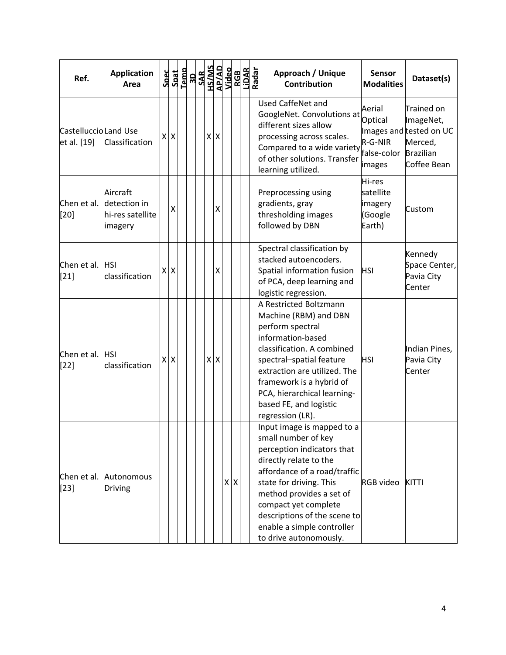| Ref.                                | <b>Application</b><br>Area                              | Spec |         |  |  |                    |         |  | RGB<br>LiDAR<br>Radar | Approach / Unique<br><b>Contribution</b>                                                                                                                                                                                                                                                                         | <b>Sensor</b><br><b>Modalities</b>                    | Dataset(s)                                                                                       |
|-------------------------------------|---------------------------------------------------------|------|---------|--|--|--------------------|---------|--|-----------------------|------------------------------------------------------------------------------------------------------------------------------------------------------------------------------------------------------------------------------------------------------------------------------------------------------------------|-------------------------------------------------------|--------------------------------------------------------------------------------------------------|
| CastelluccioLand Use<br>et al. [19] | Classification                                          |      | $X$ $X$ |  |  | $X$ $X$            |         |  |                       | Used CaffeNet and<br>GoogleNet. Convolutions at<br>different sizes allow<br>processing across scales.<br>Compared to a wide variety<br>of other solutions. Transfer<br>learning utilized.                                                                                                                        | Aerial<br>Optical<br>R-G-NIR<br>false-color<br>images | Trained on<br>ImageNet,<br>Images and tested on UC<br>Merced,<br><b>Brazilian</b><br>Coffee Bean |
| Chen et al.<br>$[20]$               | Aircraft<br>detection in<br>hi-res satellite<br>imagery |      | х       |  |  | Χ                  |         |  |                       | Preprocessing using<br>gradients, gray<br>thresholding images<br>followed by DBN                                                                                                                                                                                                                                 | Hi-res<br>satellite<br>imagery<br>(Google<br>Earth)   | Custom                                                                                           |
| Chen et al.<br>$[21]$               | <b>HSI</b><br>classification                            |      | $X$ $X$ |  |  | $\pmb{\mathsf{X}}$ |         |  |                       | Spectral classification by<br>stacked autoencoders.<br>Spatial information fusion<br>of PCA, deep learning and<br>logistic regression.                                                                                                                                                                           | <b>HSI</b>                                            | Kennedy<br>Space Center,<br>Pavia City<br>Center                                                 |
| Chen et al.<br>$[22]$               | <b>HSI</b><br>classification                            |      | $X$ $X$ |  |  | $X$ $X$            |         |  |                       | A Restricted Boltzmann<br>Machine (RBM) and DBN<br>perform spectral<br>information-based<br>classification. A combined<br>spectral-spatial feature<br>extraction are utilized. The<br>framework is a hybrid of<br>PCA, hierarchical learning-<br>based FE, and logistic<br>regression (LR).                      | <b>HSI</b>                                            | Indian Pines,<br>Pavia City<br>Center                                                            |
| Chen et al.<br>$[23]$               | Autonomous<br><b>Driving</b>                            |      |         |  |  |                    | $X$ $X$ |  |                       | Input image is mapped to a<br>small number of key<br>perception indicators that<br>directly relate to the<br>affordance of a road/traffic<br>state for driving. This<br>method provides a set of<br>compact yet complete<br>descriptions of the scene to<br>enable a simple controller<br>to drive autonomously. | <b>RGB</b> video                                      | KITTI                                                                                            |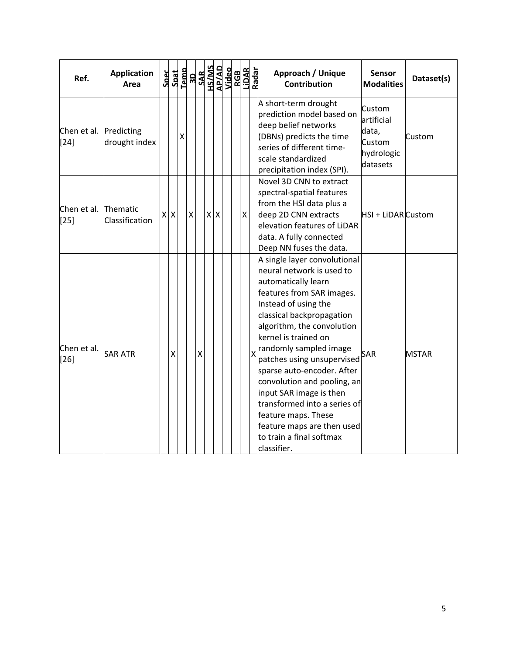| Ref.                             | <b>Application</b><br>Area |     |   | $\begin{array}{r} \texttt{Spec} \\ \texttt{Sant} \\ \texttt{1cm} \\ \texttt{1cm} \\ \texttt{1cm} \\ \texttt{SAR} \\ \texttt{1cm} \\ \texttt{1cm} \\ \texttt{1cm} \\ \texttt{1cm} \\ \texttt{1cm} \\ \texttt{1cm} \\ \texttt{1cm} \\ \texttt{1cm} \\ \texttt{1cm} \\ \texttt{1cm} \\ \texttt{1cm} \\ \texttt{1cm} \\ \texttt{1cm} \\ \texttt{1cm} \\ \texttt{1cm} \\ \texttt{1cm} \\ \texttt{1cm} \\ \texttt{1cm} \\ \texttt{1cm} \\ \texttt{1cm} \\ \texttt{1$ |   |            |  |   |                         | Approach / Unique<br><b>Contribution</b>                                                                                                                                                                                                                                                                                                                                                                                                                                                                 | <b>Sensor</b><br><b>Modalities</b>                                | Dataset(s)   |
|----------------------------------|----------------------------|-----|---|----------------------------------------------------------------------------------------------------------------------------------------------------------------------------------------------------------------------------------------------------------------------------------------------------------------------------------------------------------------------------------------------------------------------------------------------------------------|---|------------|--|---|-------------------------|----------------------------------------------------------------------------------------------------------------------------------------------------------------------------------------------------------------------------------------------------------------------------------------------------------------------------------------------------------------------------------------------------------------------------------------------------------------------------------------------------------|-------------------------------------------------------------------|--------------|
| Chen et al. Predicting<br>$[24]$ | drought index              |     | X |                                                                                                                                                                                                                                                                                                                                                                                                                                                                |   |            |  |   |                         | A short-term drought<br>prediction model based on<br>deep belief networks<br>(DBNs) predicts the time<br>series of different time-<br>scale standardized<br>precipitation index (SPI).                                                                                                                                                                                                                                                                                                                   | Custom<br>artificial<br>data,<br>Custom<br>hydrologic<br>datasets | Custom       |
| Chen et al. Thematic<br>$[25]$   | Classification             | X X |   | $\pmb{\mathsf{X}}$                                                                                                                                                                                                                                                                                                                                                                                                                                             |   | $x \mid x$ |  | Χ |                         | Novel 3D CNN to extract<br>spectral-spatial features<br>from the HSI data plus a<br>deep 2D CNN extracts<br>elevation features of LiDAR<br>data. A fully connected<br>Deep NN fuses the data.                                                                                                                                                                                                                                                                                                            | HSI + LiDAR Custom                                                |              |
| Chen et al.<br>$[26]$            | <b>SAR ATR</b>             | X   |   |                                                                                                                                                                                                                                                                                                                                                                                                                                                                | X |            |  |   | $\overline{\mathsf{x}}$ | A single layer convolutional<br>neural network is used to<br>automatically learn<br>features from SAR images.<br>Instead of using the<br>classical backpropagation<br>algorithm, the convolution<br>kernel is trained on<br>randomly sampled image<br>patches using unsupervised<br>sparse auto-encoder. After<br>convolution and pooling, an<br>input SAR image is then<br>transformed into a series of<br>feature maps. These<br>feature maps are then used<br>to train a final softmax<br>classifier. | <b>SAR</b>                                                        | <b>MSTAR</b> |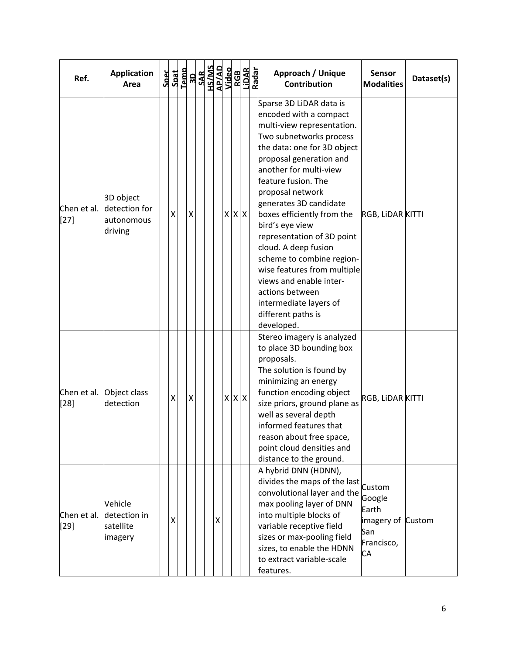| Ref.                  | <b>Application</b><br>Area                          |   |   | $\begin{array}{r} \texttt{Spect} \\ \texttt{Spat} \\ \texttt{I-emb} \\ \texttt{SAR} \\ \texttt{SAR} \\ \texttt{SAR} \\ \texttt{MSSAB} \\ \texttt{MSSAB} \\ \texttt{Nideo} \end{array}$ |   |   |             | RGB<br>LiDAR<br>Radar | Approach / Unique<br><b>Contribution</b>                                                                                                                                                                                                                                                                                                                                                                                                                                                                                                           | <b>Sensor</b><br><b>Modalities</b>                              | Dataset(s) |
|-----------------------|-----------------------------------------------------|---|---|----------------------------------------------------------------------------------------------------------------------------------------------------------------------------------------|---|---|-------------|-----------------------|----------------------------------------------------------------------------------------------------------------------------------------------------------------------------------------------------------------------------------------------------------------------------------------------------------------------------------------------------------------------------------------------------------------------------------------------------------------------------------------------------------------------------------------------------|-----------------------------------------------------------------|------------|
| Chen et al.<br>$[27]$ | 3D object<br>detection for<br>autonomous<br>driving | Χ | Χ |                                                                                                                                                                                        |   |   | $X$ $X$ $X$ |                       | Sparse 3D LiDAR data is<br>encoded with a compact<br>multi-view representation.<br>Two subnetworks process<br>the data: one for 3D object<br>proposal generation and<br>another for multi-view<br>feature fusion. The<br>proposal network<br>generates 3D candidate<br>boxes efficiently from the<br>bird's eye view<br>representation of 3D point<br>cloud. A deep fusion<br>scheme to combine region-<br>wise features from multiple<br>views and enable inter-<br>actions between<br>intermediate layers of<br>different paths is<br>developed. | RGB, LIDAR KITTI                                                |            |
| Chen et al.<br>[28]   | Object class<br>detection                           | Χ | Χ |                                                                                                                                                                                        |   | x | $X$ $X$     |                       | Stereo imagery is analyzed<br>to place 3D bounding box<br>proposals.<br>The solution is found by<br>minimizing an energy<br>function encoding object<br>size priors, ground plane as<br>well as several depth<br>informed features that<br>reason about free space,<br>point cloud densities and<br>distance to the ground.                                                                                                                                                                                                                        | RGB, LIDAR KITTI                                                |            |
| Chen et al.<br>$[29]$ | Vehicle<br>detection in<br>satellite<br>imagery     | X |   |                                                                                                                                                                                        | X |   |             |                       | A hybrid DNN (HDNN),<br>divides the maps of the last custom<br>convolutional layer and the<br>max pooling layer of DNN<br>into multiple blocks of<br>variable receptive field<br>sizes or max-pooling field<br>sizes, to enable the HDNN<br>to extract variable-scale<br>features.                                                                                                                                                                                                                                                                 | Google<br>Earth<br>imagery of Custom<br>San<br>Francisco,<br>CA |            |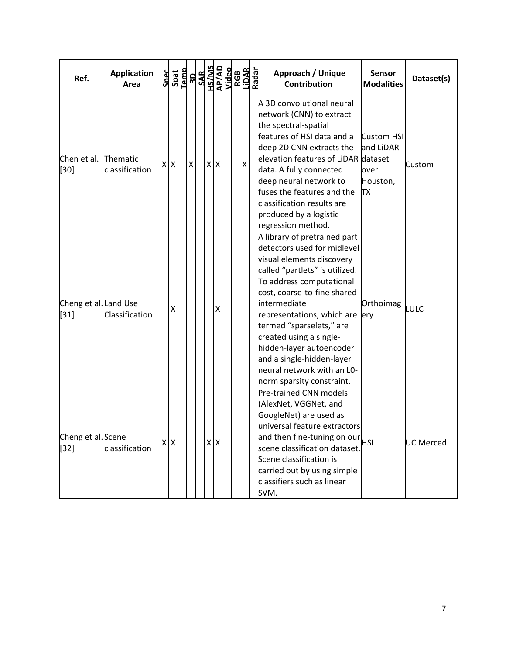| Ref.                            | <b>Application</b><br>Area | $\begin{array}{r} \texttt{Spect} \\ \texttt{Spat} \\ \texttt{I-1} \\ \texttt{SAR} \\ \texttt{SAR} \\ \texttt{SAR} \\ \texttt{MSS} \\ \texttt{MSS} \\ \texttt{NGB} \\ \texttt{NGB} \\ \texttt{NGB} \\ \texttt{NGB} \end{array}$ |   |            |   |  |   | LiDAR<br>Radar | Approach / Unique<br><b>Contribution</b>                                                                                                                                                                                                                                                                                                                                                                           | <b>Sensor</b><br><b>Modalities</b>                                  | Dataset(s)       |
|---------------------------------|----------------------------|--------------------------------------------------------------------------------------------------------------------------------------------------------------------------------------------------------------------------------|---|------------|---|--|---|----------------|--------------------------------------------------------------------------------------------------------------------------------------------------------------------------------------------------------------------------------------------------------------------------------------------------------------------------------------------------------------------------------------------------------------------|---------------------------------------------------------------------|------------------|
| Chen et al.<br>$[30]$           | Thematic<br>classification | XX                                                                                                                                                                                                                             | X | $X$ $X$    |   |  | Χ |                | A 3D convolutional neural<br>network (CNN) to extract<br>the spectral-spatial<br>features of HSI data and a<br>deep 2D CNN extracts the<br>elevation features of LiDAR<br>data. A fully connected<br>deep neural network to<br>fuses the features and the<br>classification results are<br>produced by a logistic<br>regression method.                                                                            | <b>Custom HSI</b><br>and LiDAR<br>dataset<br>over<br>Houston,<br>ТX | Custom           |
| Cheng et al. Land Use<br>$[31]$ | Classification             | $\pmb{\mathsf{X}}$                                                                                                                                                                                                             |   |            | Χ |  |   |                | A library of pretrained part<br>detectors used for midlevel<br>visual elements discovery<br>called "partlets" is utilized.<br>To address computational<br>cost, coarse-to-fine shared<br>intermediate<br>representations, which are ery<br>termed "sparselets," are<br>created using a single-<br>hidden-layer autoencoder<br>and a single-hidden-layer<br>neural network with an L0-<br>norm sparsity constraint. | Orthoimag                                                           | LULC             |
| Cheng et al. Scene<br>$[32]$    | classification             | x x                                                                                                                                                                                                                            |   | $x \mid x$ |   |  |   |                | Pre-trained CNN models<br>(AlexNet, VGGNet, and<br>GoogleNet) are used as<br>universal feature extractors<br>and then fine-tuning on our<br>HSI<br>scene classification dataset.<br>Scene classification is<br>carried out by using simple<br>classifiers such as linear<br>SVM.                                                                                                                                   |                                                                     | <b>UC Merced</b> |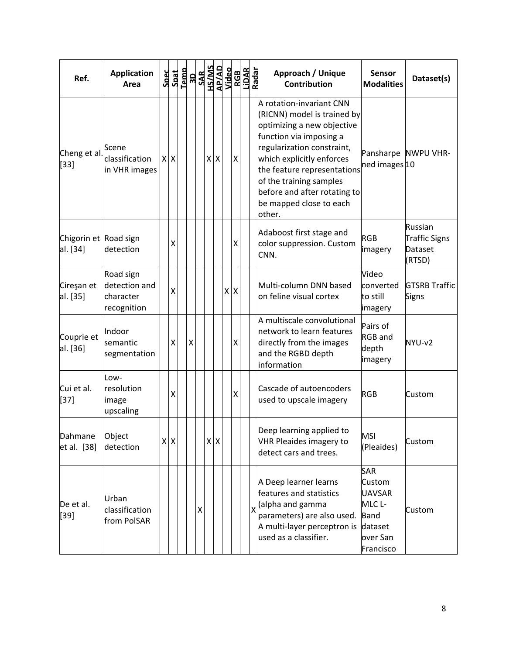| Ref.                              | <b>Application</b><br>Area                             | Spec | Spat               | Temp |   |   |                  | <b>ROSAL SANS</b><br><b>ROSAL SANS<br/>ROSAL SANS<br/>ROSAL SANS<br/>ROSAL SANS</b><br>ROSAL SANS<br>ROSAL SANS |         |                         | Approach / Unique<br><b>Sensor</b><br>Dataset(s)<br><b>Contribution</b><br><b>Modalities</b>                                                                                                                                                                                                                                                       |
|-----------------------------------|--------------------------------------------------------|------|--------------------|------|---|---|------------------|-----------------------------------------------------------------------------------------------------------------|---------|-------------------------|----------------------------------------------------------------------------------------------------------------------------------------------------------------------------------------------------------------------------------------------------------------------------------------------------------------------------------------------------|
| Cheng et al.<br>$[33]$            | Scene<br>classification<br>in VHR images               |      | $X$ $X$            |      |   |   | $x \overline{x}$ |                                                                                                                 | X       |                         | A rotation-invariant CNN<br>(RICNN) model is trained by<br>optimizing a new objective<br>function via imposing a<br>regularization constraint,<br>Pansharpe NWPU VHR-<br>which explicitly enforces<br>ned images 10<br>the feature representations<br>of the training samples<br>before and after rotating to<br>be mapped close to each<br>other. |
| Chigorin et Road sign<br>al. [34] | detection                                              |      | Χ                  |      |   |   |                  |                                                                                                                 | X       |                         | Russian<br>Adaboost first stage and<br><b>RGB</b><br><b>Traffic Signs</b><br>color suppression. Custom<br>Dataset<br>imagery<br>CNN.<br>(RTSD)                                                                                                                                                                                                     |
| Cireşan et<br>al. [35]            | Road sign<br>detection and<br>character<br>recognition |      | X                  |      |   |   |                  |                                                                                                                 | $X$ $X$ |                         | Video<br>Multi-column DNN based<br><b>GTSRB Traffic</b><br>converted<br>on feline visual cortex<br>to still<br>Signs<br>imagery                                                                                                                                                                                                                    |
| Couprie et<br>al. [36]            | Indoor<br>semantic<br>segmentation                     |      | $\pmb{\mathsf{X}}$ |      | X |   |                  |                                                                                                                 | Χ       |                         | A multiscale convolutional<br>Pairs of<br>network to learn features<br><b>RGB</b> and<br>directly from the images<br>NYU-v2<br>depth<br>and the RGBD depth<br>imagery<br>information                                                                                                                                                               |
| Cui et al.<br>$[37]$              | Low-<br>resolution<br>image<br>upscaling               |      | Χ                  |      |   |   |                  |                                                                                                                 | Χ       |                         | Cascade of autoencoders<br><b>RGB</b><br>Custom<br>used to upscale imagery                                                                                                                                                                                                                                                                         |
| Dahmane<br>et al. [38]            | Object<br>detection                                    |      | $x \mid x$         |      |   |   | $X$ $X$          |                                                                                                                 |         |                         | Deep learning applied to<br><b>MSI</b><br>VHR Pleaides imagery to<br>Custom<br>(Pleaides)<br>detect cars and trees.                                                                                                                                                                                                                                |
| De et al.<br>$[39]$               | Urban<br>classification<br>from PolSAR                 |      |                    |      |   | X |                  |                                                                                                                 |         | $\overline{\mathsf{x}}$ | <b>SAR</b><br>A Deep learner learns<br>Custom<br>features and statistics<br><b>UAVSAR</b><br>(alpha and gamma<br>MLC <sub>L</sub> -<br>Custom<br>parameters) are also used.<br><b>Band</b><br>A multi-layer perceptron is<br>dataset<br>used as a classifier.<br>over San<br>Francisco                                                             |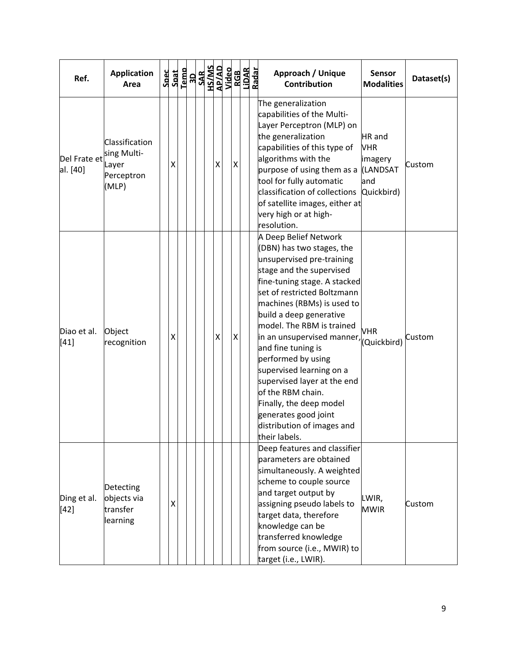| Ref.                     | <b>Application</b><br>Area                                    | Spec | Spat |  |  |                    | $\begin{array}{r}\n\text{Temp} \\ \begin{array}{r}\n\text{JAD} \\ \text{JAB} \\ \text{MS} \\ \text{AlMIS} \\ \text{AlMIS} \\ \text{AlG} \\ \text{AlG} \\ \text{AlG} \\ \text{AlG} \\ \text{AlG} \\ \text{AlG} \\ \text{AlG} \\ \text{AlG} \\ \text{AlG} \\ \text{AlG} \\ \text{AlG} \\ \text{AlG} \\ \text{AlG} \\ \text{AlG} \\ \text{AlG} \\ \text{AlG} \\ \text{AlG} \\ \text{AlG} \\ \text{AlG} \\ \text{AlG} \\ \text{AlG} \\ \text{AlG} \\ \text{AlG} \\ \$ |   | RGB<br>LIDAR<br>Radar | Approach / Unique<br><b>Sensor</b><br>Dataset(s)<br><b>Contribution</b><br><b>Modalities</b>                                                                                                                                                                                                                                                                                                                                                                                                                                                                        |  |
|--------------------------|---------------------------------------------------------------|------|------|--|--|--------------------|-------------------------------------------------------------------------------------------------------------------------------------------------------------------------------------------------------------------------------------------------------------------------------------------------------------------------------------------------------------------------------------------------------------------------------------------------------------------|---|-----------------------|---------------------------------------------------------------------------------------------------------------------------------------------------------------------------------------------------------------------------------------------------------------------------------------------------------------------------------------------------------------------------------------------------------------------------------------------------------------------------------------------------------------------------------------------------------------------|--|
| Del Frate et<br>al. [40] | Classification<br>sing Multi-<br>Layer<br>Perceptron<br>(MLP) |      | Χ    |  |  | $\pmb{\mathsf{X}}$ |                                                                                                                                                                                                                                                                                                                                                                                                                                                                   | Χ |                       | The generalization<br>capabilities of the Multi-<br>Layer Perceptron (MLP) on<br>the generalization<br>HR and<br>capabilities of this type of<br><b>VHR</b><br>algorithms with the<br>imagery<br>Custom<br>purpose of using them as a<br>(LANDSAT<br>tool for fully automatic<br>and<br>classification of collections<br>Quickbird)<br>of satellite images, either at<br>very high or at high-<br>resolution.                                                                                                                                                       |  |
| Diao et al.<br>[41]      | Object<br>recognition                                         |      | Χ    |  |  | X                  |                                                                                                                                                                                                                                                                                                                                                                                                                                                                   | X |                       | A Deep Belief Network<br>(DBN) has two stages, the<br>unsupervised pre-training<br>stage and the supervised<br>fine-tuning stage. A stacked<br>set of restricted Boltzmann<br>machines (RBMs) is used to<br>build a deep generative<br>model. The RBM is trained<br><b>VHR</b><br>in an unsupervised manner,<br>Custom<br>(Quickbird)<br>and fine tuning is<br>performed by using<br>supervised learning on a<br>supervised layer at the end<br>of the RBM chain.<br>Finally, the deep model<br>generates good joint<br>distribution of images and<br>their labels. |  |
| Ding et al.<br>$[42]$    | Detecting<br>objects via<br>transfer<br>learning              |      | x    |  |  |                    |                                                                                                                                                                                                                                                                                                                                                                                                                                                                   |   |                       | Deep features and classifier<br>parameters are obtained<br>simultaneously. A weighted<br>scheme to couple source<br>and target output by<br>LWIR,<br>assigning pseudo labels to<br>Custom<br><b>MWIR</b><br>target data, therefore<br>knowledge can be<br>transferred knowledge<br>from source (i.e., MWIR) to<br>target (i.e., LWIR).                                                                                                                                                                                                                              |  |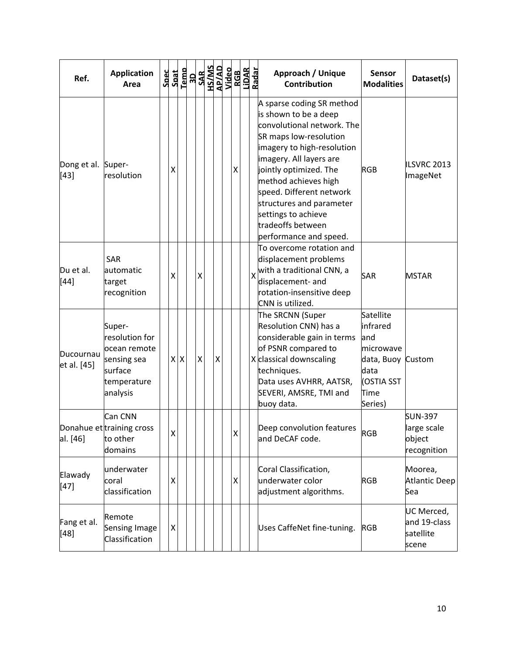| Ref.                         | <b>Application</b><br>Area                                                                    | Spec |   |    |   | $\begin{array}{r}\n\text{Spat} \\ \text{Iemo} \\ \hline\n\text{Iomo} \\ \text{SAR} \\ \text{JAD} \\ \text{JAO} \\ \text{Jido} \\ \text{Jido} \\ \text{Jido} \\ \end{array}$ |                    |                    | RGB<br>LiDAR<br>Radar |   | Approach / Unique<br><b>Contribution</b>                                                                                                                                                                                                                                                                                                            | <b>Sensor</b><br><b>Modalities</b>                                                                      | Dataset(s)                                             |
|------------------------------|-----------------------------------------------------------------------------------------------|------|---|----|---|-----------------------------------------------------------------------------------------------------------------------------------------------------------------------------|--------------------|--------------------|-----------------------|---|-----------------------------------------------------------------------------------------------------------------------------------------------------------------------------------------------------------------------------------------------------------------------------------------------------------------------------------------------------|---------------------------------------------------------------------------------------------------------|--------------------------------------------------------|
| Dong et al. Super-<br>$[43]$ | resolution                                                                                    |      | х |    |   |                                                                                                                                                                             |                    | Χ                  |                       |   | A sparse coding SR method<br>is shown to be a deep<br>convolutional network. The<br>SR maps low-resolution<br>imagery to high-resolution<br>imagery. All layers are<br>jointly optimized. The<br>method achieves high<br>speed. Different network<br>structures and parameter<br>settings to achieve<br>tradeoffs between<br>performance and speed. | <b>RGB</b>                                                                                              | ILSVRC 2013<br>ImageNet                                |
| Du et al.<br>$[44]$          | <b>SAR</b><br>automatic<br>target<br>recognition                                              |      | Χ |    | Χ |                                                                                                                                                                             |                    |                    |                       | X | To overcome rotation and<br>displacement problems<br>with a traditional CNN, a<br>displacement- and<br>rotation-insensitive deep<br>CNN is utilized.                                                                                                                                                                                                | <b>SAR</b>                                                                                              | <b>MSTAR</b>                                           |
| Ducournau<br>et al. [45]     | Super-<br>resolution for<br>ocean remote<br>sensing sea<br>surface<br>temperature<br>analysis |      |   | XX | X |                                                                                                                                                                             | $\pmb{\mathsf{X}}$ |                    |                       |   | The SRCNN (Super<br>Resolution CNN) has a<br>considerable gain in terms<br>of PSNR compared to<br>X classical downscaling<br>techniques.<br>Data uses AVHRR, AATSR,<br>SEVERI, AMSRE, TMI and<br>buoy data.                                                                                                                                         | Satellite<br>infrared<br>and<br>microwave<br>data, Buoy Custom<br>data<br>(OSTIA SST<br>Time<br>Series) |                                                        |
| al. [46]                     | Can CNN<br>Donahue et training cross<br>to other<br>domains                                   |      | x |    |   |                                                                                                                                                                             |                    | X                  |                       |   | Deep convolution features<br>and DeCAF code.                                                                                                                                                                                                                                                                                                        | <b>RGB</b>                                                                                              | <b>SUN-397</b><br>large scale<br>object<br>recognition |
| Elawady<br>$[47]$            | underwater<br>coral<br>classification                                                         |      | x |    |   |                                                                                                                                                                             |                    | $\pmb{\mathsf{X}}$ |                       |   | Coral Classification,<br>underwater color<br>adjustment algorithms.                                                                                                                                                                                                                                                                                 | <b>RGB</b>                                                                                              | Moorea,<br><b>Atlantic Deep</b><br>Sea                 |
| Fang et al.<br>[48]          | Remote<br>Sensing Image<br>Classification                                                     |      | Χ |    |   |                                                                                                                                                                             |                    |                    |                       |   | Uses CaffeNet fine-tuning.                                                                                                                                                                                                                                                                                                                          | <b>RGB</b>                                                                                              | UC Merced,<br>and 19-class<br>satellite<br>scene       |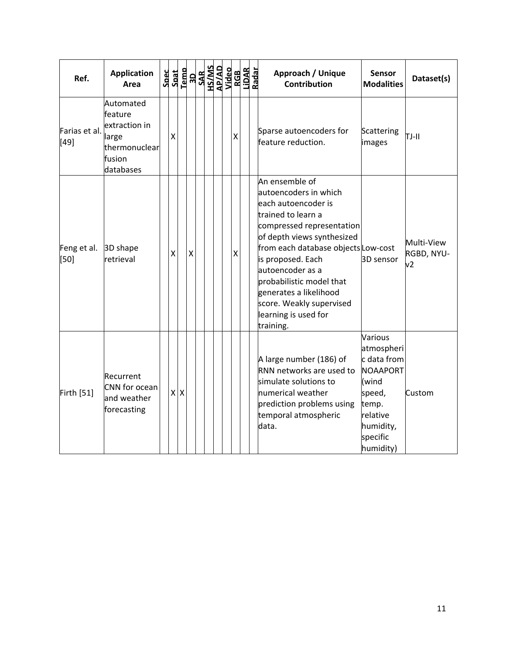| Ref.                    | <b>Application</b><br>Area                                                             |   |              |   |  |  |   |  | Approach / Unique<br><b>Sensor</b><br>Dataset(s)<br><b>Contribution</b><br><b>Modalities</b>                                                                                                                                                                                                                                                                                                          |
|-------------------------|----------------------------------------------------------------------------------------|---|--------------|---|--|--|---|--|-------------------------------------------------------------------------------------------------------------------------------------------------------------------------------------------------------------------------------------------------------------------------------------------------------------------------------------------------------------------------------------------------------|
| Farias et al.<br>$[49]$ | Automated<br>feature<br>extraction in<br>large<br>thermonuclear<br>fusion<br>databases | Χ |              |   |  |  | Χ |  | Sparse autoencoders for<br>Scattering<br>TJ-II<br>feature reduction.<br>images                                                                                                                                                                                                                                                                                                                        |
| Feng et al.<br>[50]     | 3D shape<br>retrieval                                                                  | X |              | X |  |  | Χ |  | An ensemble of<br>autoencoders in which<br>each autoencoder is<br>trained to learn a<br>compressed representation<br>of depth views synthesized<br>Multi-View<br>from each database objects Low-cost<br>RGBD, NYU-<br>is proposed. Each<br>3D sensor<br>v2<br>autoencoder as a<br>probabilistic model that<br>generates a likelihood<br>score. Weakly supervised<br>learning is used for<br>training. |
| <b>Firth [51]</b>       | Recurrent<br>CNN for ocean<br>and weather<br>forecasting                               | x | $\mathsf{X}$ |   |  |  |   |  | Various<br>atmospheri<br>c data from<br>A large number (186) of<br>RNN networks are used to<br>NOAAPORT<br>simulate solutions to<br>(wind<br>numerical weather<br>speed,<br>Custom<br>prediction problems using<br>temp.<br>relative<br>temporal atmospheric<br>humidity,<br>data.<br>specific<br>humidity)                                                                                           |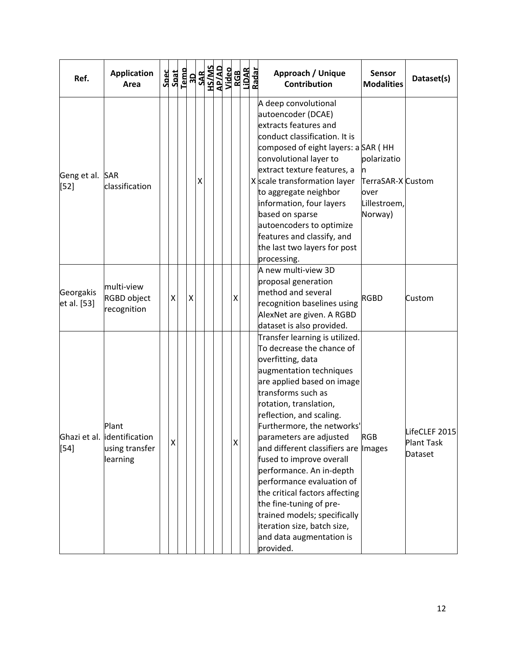| Ref.                      | <b>Application</b><br>Area                                          | Spec<br>Spat | Temp |   |   |  |   | <b>RESEAR SEPARATES</b><br><b>RACTAL STAR SEPARATES</b><br><b>RACTAL STAR SEPARATES</b><br>RACTAL SEPARATES<br>RACTAL SEPARATES | Approach / Unique<br><b>Sensor</b><br>Dataset(s)<br><b>Contribution</b><br><b>Modalities</b>                                                                                                                                                                                                                                                                                                                                                                                                                                                                                                                                             |
|---------------------------|---------------------------------------------------------------------|--------------|------|---|---|--|---|---------------------------------------------------------------------------------------------------------------------------------|------------------------------------------------------------------------------------------------------------------------------------------------------------------------------------------------------------------------------------------------------------------------------------------------------------------------------------------------------------------------------------------------------------------------------------------------------------------------------------------------------------------------------------------------------------------------------------------------------------------------------------------|
| Geng et al. SAR<br>$[52]$ | classification                                                      |              |      |   | х |  |   |                                                                                                                                 | A deep convolutional<br>autoencoder (DCAE)<br>extracts features and<br>conduct classification. It is<br>composed of eight layers: a SAR (HH<br>polarizatio<br>convolutional layer to<br>extract texture features, a<br>n<br>X scale transformation layer<br>TerraSAR-X Custom<br>to aggregate neighbor<br>over<br>information, four layers<br>Lillestroem,<br>based on sparse<br>Norway)<br>autoencoders to optimize<br>features and classify, and<br>the last two layers for post<br>processing.                                                                                                                                        |
| Georgakis<br>et al. [53]  | multi-view<br>RGBD object<br>recognition                            | Χ            |      | Χ |   |  | Χ |                                                                                                                                 | A new multi-view 3D<br>proposal generation<br>method and several<br><b>RGBD</b><br>Custom<br>recognition baselines using<br>AlexNet are given. A RGBD<br>dataset is also provided.                                                                                                                                                                                                                                                                                                                                                                                                                                                       |
| $[54]$                    | Plant<br>Ghazi et al.  identification<br>using transfer<br>learning | X            |      |   |   |  | Χ |                                                                                                                                 | Transfer learning is utilized.<br>To decrease the chance of<br>overfitting, data<br>augmentation techniques<br>are applied based on image<br>transforms such as<br>rotation, translation,<br>reflection, and scaling.<br>Furthermore, the networks'<br>LifeCLEF 2015<br><b>RGB</b><br>parameters are adjusted<br>Plant Task<br>and different classifiers are Images<br>Dataset<br>fused to improve overall<br>performance. An in-depth<br>performance evaluation of<br>the critical factors affecting<br>the fine-tuning of pre-<br>trained models; specifically<br>iteration size, batch size,<br>and data augmentation is<br>provided. |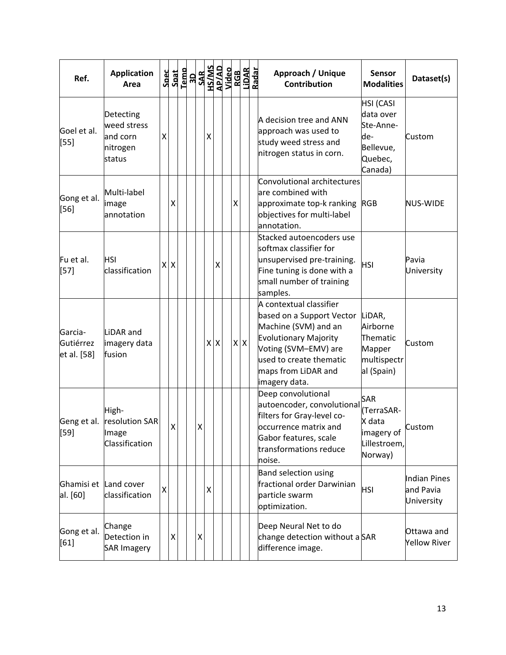| Ref.                                | <b>Application</b><br>Area                                 | <b>Spec</b>  |   | $\frac{Spat}{Iemo}$ |   | <b>SAR<br/>HS/MS<br/>AP/AD<br/>Video</b> |            |                    | RGB<br>LiDAR<br>Radar | Approach / Unique<br><b>Contribution</b>                                                                                                                                                                | <b>Sensor</b><br><b>Modalities</b>                                                   | Dataset(s)                              |
|-------------------------------------|------------------------------------------------------------|--------------|---|---------------------|---|------------------------------------------|------------|--------------------|-----------------------|---------------------------------------------------------------------------------------------------------------------------------------------------------------------------------------------------------|--------------------------------------------------------------------------------------|-----------------------------------------|
| Goel et al.<br>$[55]$               | Detecting<br>weed stress<br>and corn<br>nitrogen<br>status | Χ            |   |                     |   | Χ                                        |            |                    |                       | A decision tree and ANN<br>approach was used to<br>study weed stress and<br>nitrogen status in corn.                                                                                                    | <b>HSI</b> (CASI<br>data over<br>Ste-Anne-<br>de-<br>Bellevue,<br>Quebec,<br>Canada) | Custom                                  |
| Gong et al.<br>$[56]$               | Multi-label<br>image<br>annotation                         |              | Χ |                     |   |                                          |            | $\pmb{\mathsf{X}}$ |                       | Convolutional architectures<br>are combined with<br>approximate top-k ranking RGB<br>objectives for multi-label<br>annotation.                                                                          |                                                                                      | <b>NUS-WIDE</b>                         |
| Fu et al.<br>$[57]$                 | HSI<br>classification                                      | $\mathsf{X}$ | x |                     |   |                                          | X          |                    |                       | Stacked autoencoders use<br>softmax classifier for<br>unsupervised pre-training.<br>Fine tuning is done with a<br>small number of training<br>samples.                                                  | <b>HSI</b>                                                                           | Pavia<br>University                     |
| Garcia-<br>Gutiérrez<br>et al. [58] | LiDAR and<br>imagery data<br>fusion                        |              |   |                     |   |                                          | $x \mid x$ |                    | $X$ $X$               | A contextual classifier<br>based on a Support Vector<br>Machine (SVM) and an<br><b>Evolutionary Majority</b><br>Voting (SVM-EMV) are<br>used to create thematic<br>maps from LiDAR and<br>imagery data. | LiDAR,<br>Airborne<br>Thematic<br>Mapper<br>multispectr<br>al (Spain)                | Custom                                  |
| Geng et al.<br>[59]                 | High-<br>resolution SAR<br>Image<br>Classification         |              | X |                     | X |                                          |            |                    |                       | Deep convolutional<br>autoencoder, convolutional<br>filters for Gray-level co-<br>occurrence matrix and<br>Gabor features, scale<br>transformations reduce<br>noise.                                    | SAR<br>(TerraSAR-<br>X data<br>imagery of<br>Lillestroem,<br>Norway)                 | Custom                                  |
| Ghamisi et<br>al. [60]              | Land cover<br>classification                               | Χ            |   |                     |   | $\pmb{\mathsf{X}}$                       |            |                    |                       | <b>Band selection using</b><br>fractional order Darwinian<br>particle swarm<br>optimization.                                                                                                            | <b>HSI</b>                                                                           | Indian Pines<br>and Pavia<br>University |
| Gong et al.<br>[61]                 | Change<br>Detection in<br><b>SAR Imagery</b>               |              | Χ |                     | х |                                          |            |                    |                       | Deep Neural Net to do<br>change detection without a SAR<br>difference image.                                                                                                                            |                                                                                      | Ottawa and<br><b>Yellow River</b>       |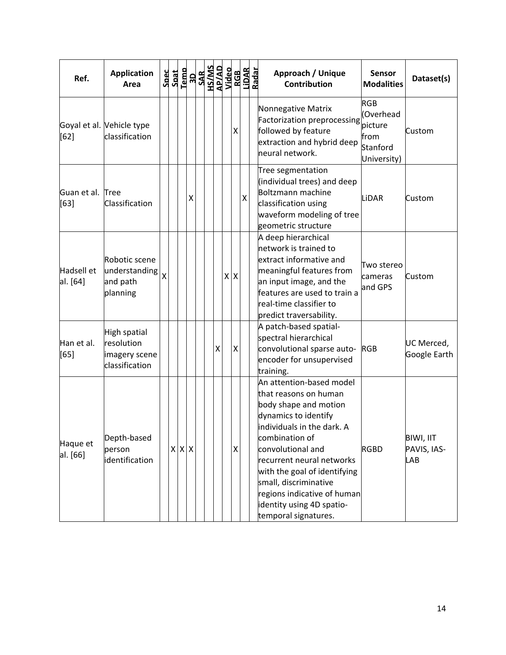| Ref.                       | <b>Application</b><br>Area                                    |                         |  |                 | $\begin{array}{r} \texttt{Spec} \\ \texttt{Spat} \\ \texttt{I-emb} \\ \texttt{SAB} \\ \texttt{SAB} \\ \texttt{SAB} \\ \texttt{MSS} \\ \texttt{MSS} \\ \texttt{MSS} \\ \texttt{MSS} \\ \texttt{Nideo} \end{array}$ |   |                | RGB<br>LiDAR<br>Radar | Approach / Unique<br><b>Contribution</b>                                                                                                                                                                                                                                                                                                          | <b>Sensor</b><br><b>Modalities</b>                                     | Dataset(s)                             |
|----------------------------|---------------------------------------------------------------|-------------------------|--|-----------------|-------------------------------------------------------------------------------------------------------------------------------------------------------------------------------------------------------------------|---|----------------|-----------------------|---------------------------------------------------------------------------------------------------------------------------------------------------------------------------------------------------------------------------------------------------------------------------------------------------------------------------------------------------|------------------------------------------------------------------------|----------------------------------------|
| [62]                       | Goyal et al. Vehicle type<br>classification                   |                         |  |                 |                                                                                                                                                                                                                   |   | X              |                       | Nonnegative Matrix<br><b>Factorization preprocessing</b><br>followed by feature<br>extraction and hybrid deep<br>neural network.                                                                                                                                                                                                                  | <b>RGB</b><br>(Overhead<br>picture<br>lfrom<br>Stanford<br>University) | Custom                                 |
| Guan et al. Tree<br>$[63]$ | Classification                                                |                         |  | $\mathsf{\chi}$ |                                                                                                                                                                                                                   |   |                | $\mathsf{X}$          | Tree segmentation<br>(individual trees) and deep<br>Boltzmann machine<br>classification using<br>waveform modeling of tree<br>geometric structure                                                                                                                                                                                                 | LiDAR                                                                  | Custom                                 |
| Hadsell et<br>al. [64]     | Robotic scene<br>understanding<br>and path<br>planning        | $\overline{\mathsf{X}}$ |  |                 |                                                                                                                                                                                                                   |   | $X$ $X$        |                       | A deep hierarchical<br>network is trained to<br>extract informative and<br>meaningful features from<br>an input image, and the<br>features are used to train a<br>real-time classifier to<br>predict traversability.                                                                                                                              | Two stereo<br>cameras<br>and GPS                                       | Custom                                 |
| Han et al.<br>[65]         | High spatial<br>resolution<br>imagery scene<br>classification |                         |  |                 |                                                                                                                                                                                                                   | X | $\mathsf X$    |                       | A patch-based spatial-<br>spectral hierarchical<br>convolutional sparse auto-<br>encoder for unsupervised<br>training.                                                                                                                                                                                                                            | <b>RGB</b>                                                             | UC Merced,<br>Google Earth             |
| Haque et<br>al. [66]       | Depth-based<br>person<br>identification                       |                         |  | $X \times X$    |                                                                                                                                                                                                                   |   | $\pmb{\times}$ |                       | An attention-based model<br>that reasons on human<br>body shape and motion<br>dynamics to identify<br>individuals in the dark. A<br>combination of<br>convolutional and<br>recurrent neural networks<br>with the goal of identifying<br>small, discriminative<br>regions indicative of human<br>identity using 4D spatio-<br>temporal signatures. | <b>RGBD</b>                                                            | BIWI, IIT<br>PAVIS, IAS-<br><b>LAB</b> |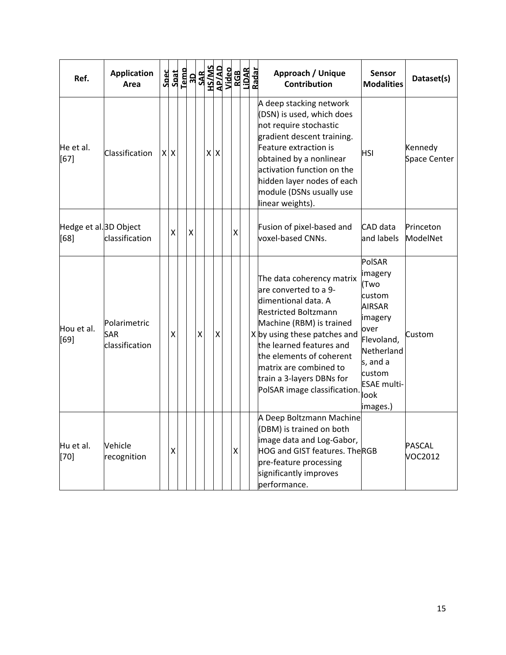| Ref.                                      | <b>Application</b><br>Area            |         | $\begin{array}{r} \texttt{Spect} \\ \texttt{Spat} \\ \texttt{1-30} \\ \texttt{1-30} \\ \texttt{1-30} \\ \texttt{1-30} \\ \texttt{1-30} \\ \texttt{1-30} \\ \texttt{1-30} \\ \texttt{1-30} \\ \texttt{1-30} \\ \texttt{1-30} \\ \texttt{1-30} \\ \texttt{1-30} \\ \texttt{1-30} \\ \texttt{1-30} \\ \texttt{1-30} \\ \texttt{1-30} \\ \texttt{1-30} \\ \texttt{1-30} \\ \texttt{1-30} \\ \texttt{1-3$ |                    |     |   |                    |  | Approach / Unique<br><b>Contribution</b>                                                                                                                                                                                                                                                                     | Sensor<br><b>Modalities</b>                                                                                                                                         | Dataset(s)               |
|-------------------------------------------|---------------------------------------|---------|------------------------------------------------------------------------------------------------------------------------------------------------------------------------------------------------------------------------------------------------------------------------------------------------------------------------------------------------------------------------------------------------------|--------------------|-----|---|--------------------|--|--------------------------------------------------------------------------------------------------------------------------------------------------------------------------------------------------------------------------------------------------------------------------------------------------------------|---------------------------------------------------------------------------------------------------------------------------------------------------------------------|--------------------------|
| He et al.<br>$[67]$                       | Classification                        | $X$ $X$ |                                                                                                                                                                                                                                                                                                                                                                                                      |                    | x x |   |                    |  | A deep stacking network<br>(DSN) is used, which does<br>not require stochastic<br>gradient descent training.<br>Feature extraction is<br>obtained by a nonlinear<br>activation function on the<br>hidden layer nodes of each<br>module (DSNs usually use<br>linear weights).                                 | HSI                                                                                                                                                                 | Kennedy<br>Space Center  |
| Hedge et al. <sup>3D</sup> Object<br>[68] | classification                        | Χ       | $\pmb{\mathsf{X}}$                                                                                                                                                                                                                                                                                                                                                                                   |                    |     |   | Χ                  |  | Fusion of pixel-based and<br>voxel-based CNNs.                                                                                                                                                                                                                                                               | CAD data<br>and labels                                                                                                                                              | Princeton<br>ModelNet    |
| Hou et al.<br>$[69]$                      | Polarimetric<br>SAR<br>classification | X       |                                                                                                                                                                                                                                                                                                                                                                                                      | $\mathsf{X}% _{0}$ |     | X |                    |  | The data coherency matrix<br>are converted to a 9-<br>dimentional data. A<br>Restricted Boltzmann<br>Machine (RBM) is trained<br>X by using these patches and<br>the learned features and<br>the elements of coherent<br>matrix are combined to<br>train a 3-layers DBNs for<br>PolSAR image classification. | PolSAR<br>imagery<br>(Two<br>custom<br><b>AIRSAR</b><br>imagery<br>over<br>Flevoland,<br>Netherland<br>s, and a<br>custom<br><b>ESAE</b> multi-<br>look<br>images.) | Custom                   |
| Hu et al.<br>$[70]$                       | Vehicle<br>recognition                | X       |                                                                                                                                                                                                                                                                                                                                                                                                      |                    |     |   | $\pmb{\mathsf{X}}$ |  | A Deep Boltzmann Machine<br>(DBM) is trained on both<br>image data and Log-Gabor,<br><b>HOG and GIST features. The RGB</b><br>pre-feature processing<br>significantly improves<br>performance.                                                                                                               |                                                                                                                                                                     | <b>PASCAL</b><br>VOC2012 |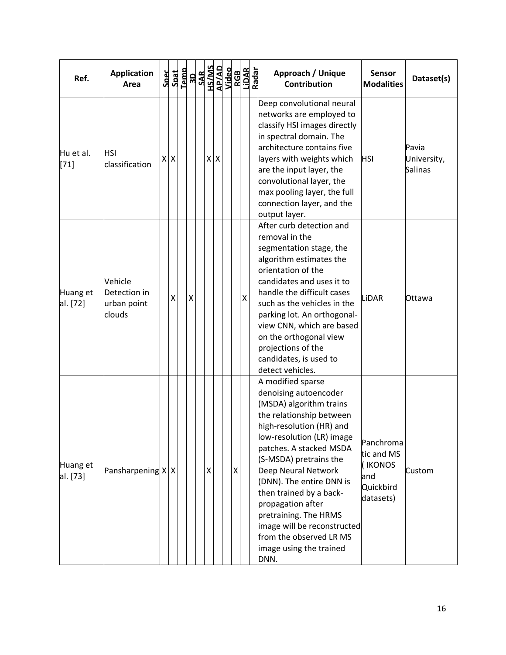| Ref.                 | <b>Application</b><br>Area                       |    | Sec<br>Saat<br>Pem<br>SAR |   |         |   | HS/MS<br>AP/AD<br>AP/AD<br>AGB<br>LIDAR<br>Aadar | Approach / Unique<br><b>Contribution</b>                                                                                                                                                                                                                                                                                                                                                                                                 | <b>Sensor</b><br><b>Modalities</b>                                  | Dataset(s)                             |
|----------------------|--------------------------------------------------|----|---------------------------|---|---------|---|--------------------------------------------------|------------------------------------------------------------------------------------------------------------------------------------------------------------------------------------------------------------------------------------------------------------------------------------------------------------------------------------------------------------------------------------------------------------------------------------------|---------------------------------------------------------------------|----------------------------------------|
| Hu et al.<br>$[71]$  | <b>HSI</b><br>classification                     | XX |                           |   | $X$ $X$ |   |                                                  | Deep convolutional neural<br>networks are employed to<br>classify HSI images directly<br>in spectral domain. The<br>architecture contains five<br>layers with weights which<br>are the input layer, the<br>convolutional layer, the<br>max pooling layer, the full<br>connection layer, and the<br>output layer.                                                                                                                         | <b>HSI</b>                                                          | Pavia<br>University,<br><b>Salinas</b> |
| Huang et<br>al. [72] | Vehicle<br>Detection in<br>urban point<br>clouds | X  | $\pmb{\mathsf{X}}$        |   |         |   | $\pmb{\mathsf{X}}$                               | After curb detection and<br>removal in the<br>segmentation stage, the<br>algorithm estimates the<br>orientation of the<br>candidates and uses it to<br>handle the difficult cases<br>such as the vehicles in the<br>parking lot. An orthogonal-<br>view CNN, which are based<br>on the orthogonal view<br>projections of the<br>candidates, is used to<br>detect vehicles.                                                               | LiDAR                                                               | Ottawa                                 |
| Huang et<br>al. [73] | Pansharpening X X                                |    |                           | Χ |         | Χ |                                                  | A modified sparse<br>denoising autoencoder<br>(MSDA) algorithm trains<br>the relationship between<br>high-resolution (HR) and<br>low-resolution (LR) image<br>patches. A stacked MSDA<br>(S-MSDA) pretrains the<br>Deep Neural Network<br>(DNN). The entire DNN is<br>then trained by a back-<br>propagation after<br>pretraining. The HRMS<br>image will be reconstructed<br>from the observed LR MS<br>image using the trained<br>DNN. | Panchroma<br>tic and MS<br>(IKONOS<br>and<br>Quickbird<br>datasets) | Custom                                 |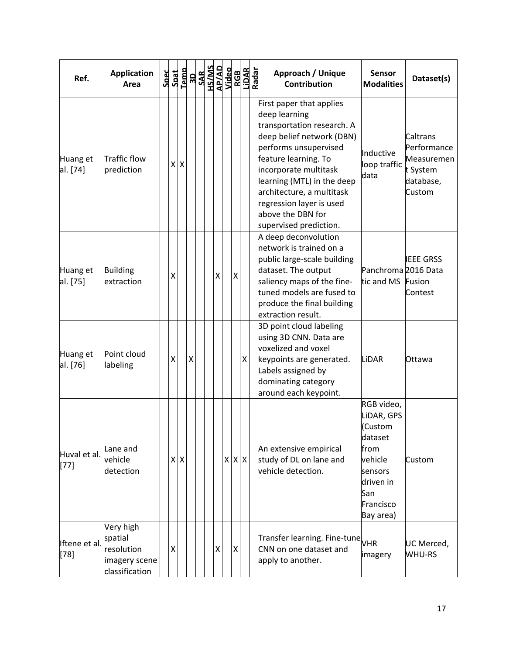| Ref.                    | <b>Application</b><br>Area                                            | Spec | Spat |         |                    | Niqeo<br>1976<br>1976<br>1976<br>1976<br>1980<br>1980<br>1980 |                    |                    |   | RGB<br>LiDAR<br>Radar | Approach / Unique<br><b>Contribution</b>                                                                                                                                                                                                                                                                             | <b>Sensor</b><br><b>Modalities</b>                                                                                         | Dataset(s)                                                               |
|-------------------------|-----------------------------------------------------------------------|------|------|---------|--------------------|---------------------------------------------------------------|--------------------|--------------------|---|-----------------------|----------------------------------------------------------------------------------------------------------------------------------------------------------------------------------------------------------------------------------------------------------------------------------------------------------------------|----------------------------------------------------------------------------------------------------------------------------|--------------------------------------------------------------------------|
| Huang et<br>al. [74]    | Traffic flow<br>prediction                                            |      |      | $X$ $X$ |                    |                                                               |                    |                    |   |                       | First paper that applies<br>deep learning<br>transportation research. A<br>deep belief network (DBN)<br>performs unsupervised<br>feature learning. To<br>incorporate multitask<br>learning (MTL) in the deep<br>architecture, a multitask<br>regression layer is used<br>above the DBN for<br>supervised prediction. | Inductive<br>loop traffic<br>data                                                                                          | Caltrans<br>Performance<br>Measuremen<br>t System<br>database,<br>Custom |
| Huang et<br>al. [75]    | <b>Building</b><br>extraction                                         |      | x    |         |                    |                                                               | $\pmb{\mathsf{X}}$ | $\pmb{\mathsf{X}}$ |   |                       | A deep deconvolution<br>network is trained on a<br>public large-scale building<br>dataset. The output<br>saliency maps of the fine-<br>tuned models are fused to<br>produce the final building<br>extraction result.                                                                                                 | Panchroma 2016 Data<br>tic and MS                                                                                          | <b>IEEE GRSS</b><br>Fusion<br>Contest                                    |
| Huang et<br>al. [76]    | Point cloud<br>labeling                                               |      | X    |         | $\pmb{\mathsf{X}}$ |                                                               |                    |                    | Χ |                       | 3D point cloud labeling<br>using 3D CNN. Data are<br>voxelized and voxel<br>keypoints are generated.<br>Labels assigned by<br>dominating category<br>around each keypoint.                                                                                                                                           | LIDAR                                                                                                                      | Ottawa                                                                   |
| Huval et al.<br>$[77]$  | Lane and<br>vehicle<br>detection                                      |      |      | x x     |                    |                                                               |                    | X X X              |   |                       | An extensive empirical<br>study of DL on lane and<br>vehicle detection.                                                                                                                                                                                                                                              | RGB video,<br>LiDAR, GPS<br>(Custom<br>dataset<br>from<br>vehicle<br>sensors<br>driven in<br>San<br>Francisco<br>Bay area) | Custom                                                                   |
| Iftene et al.<br>$[78]$ | Very high<br>spatial<br>resolution<br>imagery scene<br>classification |      | X    |         |                    |                                                               | Χ                  | $\pmb{\mathsf{X}}$ |   |                       | Transfer learning. Fine-tune<br>CNN on one dataset and<br>apply to another.                                                                                                                                                                                                                                          | imagery                                                                                                                    | UC Merced,<br><b>WHU-RS</b>                                              |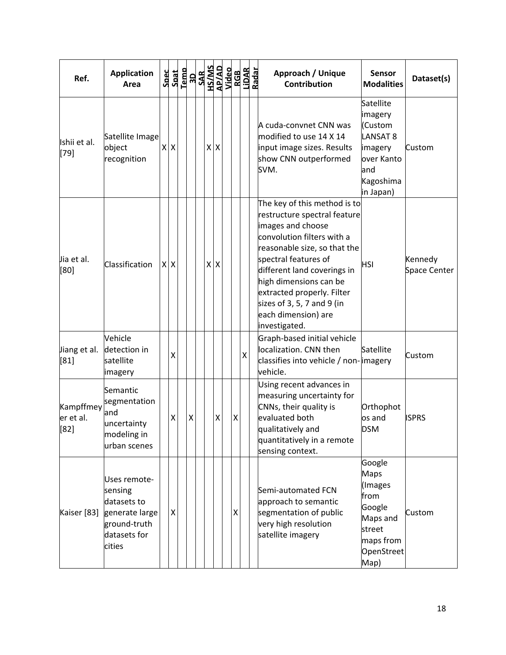| Ref.                           | <b>Application</b><br>Area                                                                         |           | $\begin{array}{r} \texttt{Spec} \\ \texttt{Spat} \\ \texttt{I-emb} \\ \texttt{SAB} \\ \texttt{SAB} \\ \texttt{SAB} \\ \texttt{MSS} \\ \texttt{MSS} \\ \texttt{MSS} \\ \texttt{MSS} \\ \texttt{Nideo} \end{array}$ |     |   |             | RGB<br>LiDAR<br>Radar | Approach / Unique<br><b>Contribution</b>                                                                                                                                                                                                                                                                                             | <b>Sensor</b><br><b>Modalities</b>                                                                           | Dataset(s)              |
|--------------------------------|----------------------------------------------------------------------------------------------------|-----------|-------------------------------------------------------------------------------------------------------------------------------------------------------------------------------------------------------------------|-----|---|-------------|-----------------------|--------------------------------------------------------------------------------------------------------------------------------------------------------------------------------------------------------------------------------------------------------------------------------------------------------------------------------------|--------------------------------------------------------------------------------------------------------------|-------------------------|
| Ishii et al.<br>[79]           | Satellite Image<br>object<br>recognition                                                           | <b>XX</b> |                                                                                                                                                                                                                   | x x |   |             |                       | A cuda-convnet CNN was<br>modified to use 14 X 14<br>input image sizes. Results<br>show CNN outperformed<br>SVM.                                                                                                                                                                                                                     | Satellite<br>imagery<br>Custom<br><b>LANSAT 8</b><br>imagery<br>over Kanto<br>land<br>Kagoshima<br>in Japan) | Custom                  |
| Jia et al.<br>[80]             | Classification                                                                                     | x x       |                                                                                                                                                                                                                   | x x |   |             |                       | The key of this method is to<br>restructure spectral feature<br>images and choose<br>convolution filters with a<br>reasonable size, so that the<br>spectral features of<br>different land coverings in<br>high dimensions can be<br>extracted properly. Filter<br>sizes of 3, 5, 7 and 9 (in<br>each dimension) are<br>investigated. | <b>HSI</b>                                                                                                   | Kennedy<br>Space Center |
| Jiang et al.<br>[81]           | Vehicle<br>detection in<br>satellite<br>imagery                                                    | X         |                                                                                                                                                                                                                   |     |   |             | $\mathsf{X}$          | Graph-based initial vehicle<br>localization. CNN then<br>classifies into vehicle / non-limagery<br>vehicle.                                                                                                                                                                                                                          | Satellite                                                                                                    | Custom                  |
| Kampffmey<br>er et al.<br>[82] | Semantic<br>segmentation<br>and<br>uncertainty<br>modeling in<br>urban scenes                      | Χ         | $\pmb{\mathsf{X}}$                                                                                                                                                                                                |     | X | X           |                       | Using recent advances in<br>measuring uncertainty for<br>CNNs, their quality is<br>evaluated both<br>qualitatively and<br>quantitatively in a remote<br>sensing context.                                                                                                                                                             | Orthophot<br>os and<br><b>DSM</b>                                                                            | <b>ISPRS</b>            |
| Kaiser [83]                    | Uses remote-<br>sensing<br>datasets to<br>generate large<br>ground-truth<br>datasets for<br>cities | X         |                                                                                                                                                                                                                   |     |   | $\mathsf X$ |                       | Semi-automated FCN<br>approach to semantic<br>segmentation of public<br>very high resolution<br>satellite imagery                                                                                                                                                                                                                    | Google<br><b>Maps</b><br>(Images<br>from<br>Google<br>Maps and<br>street<br>maps from<br>OpenStreet<br>Map)  | Custom                  |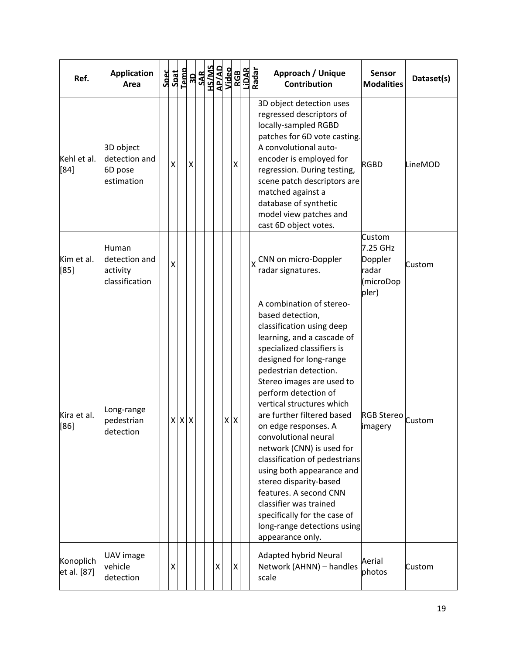| Ref.                     | <b>Application</b><br>Area                           |   |             |              | $\begin{array}{r} \texttt{Spect} \\ \texttt{Spat} \\ \texttt{I-emb} \\ \texttt{SAR} \\ \texttt{SAR} \\ \texttt{SAR} \\ \texttt{MSS} \\ \texttt{MSS} \\ \texttt{MSS} \\ \texttt{MSS} \\ \texttt{Nideo} \end{array}$ |   |                | RGB<br>LiDAR<br>Radar |  | Approach / Unique<br><b>Contribution</b>                                                                                                                                                                                                                                                                                                                                                                                                                                                                                                                                                                              | <b>Sensor</b><br><b>Modalities</b>                           | Dataset(s) |
|--------------------------|------------------------------------------------------|---|-------------|--------------|--------------------------------------------------------------------------------------------------------------------------------------------------------------------------------------------------------------------|---|----------------|-----------------------|--|-----------------------------------------------------------------------------------------------------------------------------------------------------------------------------------------------------------------------------------------------------------------------------------------------------------------------------------------------------------------------------------------------------------------------------------------------------------------------------------------------------------------------------------------------------------------------------------------------------------------------|--------------------------------------------------------------|------------|
| Kehl et al.<br>[84]      | 3D object<br>detection and<br>6D pose<br>estimation  | X |             | $\mathsf{X}$ |                                                                                                                                                                                                                    |   | X              |                       |  | 3D object detection uses<br>regressed descriptors of<br>locally-sampled RGBD<br>patches for 6D vote casting.<br>A convolutional auto-<br>encoder is employed for<br>regression. During testing,<br>scene patch descriptors are<br>matched against a<br>database of synthetic<br>model view patches and<br>cast 6D object votes.                                                                                                                                                                                                                                                                                       | <b>RGBD</b>                                                  | LineMOD    |
| Kim et al.<br>[85]       | Human<br>detection and<br>activity<br>classification | Χ |             |              |                                                                                                                                                                                                                    |   |                |                       |  | CNN on micro-Doppler<br>radar signatures.                                                                                                                                                                                                                                                                                                                                                                                                                                                                                                                                                                             | Custom<br>7.25 GHz<br>Doppler<br>radar<br>(microDop<br>pler) | Custom     |
| Kira et al.<br>[86]      | Long-range<br>pedestrian<br>detection                |   | $X$ $X$ $X$ |              |                                                                                                                                                                                                                    |   | $X$ $X$        |                       |  | A combination of stereo-<br>based detection,<br>classification using deep<br>learning, and a cascade of<br>specialized classifiers is<br>designed for long-range<br>pedestrian detection.<br>Stereo images are used to<br>perform detection of<br>vertical structures which<br>are further filtered based<br>on edge responses. A<br>convolutional neural<br>network (CNN) is used for<br>classification of pedestrians<br>using both appearance and<br>stereo disparity-based<br>features. A second CNN<br>classifier was trained<br>specifically for the case of<br>long-range detections using<br>appearance only. | RGB Stereo custom<br>imagery                                 |            |
| Konoplich<br>et al. [87] | UAV image<br>vehicle<br>detection                    | Χ |             |              |                                                                                                                                                                                                                    | Χ | $\pmb{\times}$ |                       |  | <b>Adapted hybrid Neural</b><br>Network (AHNN) - handles<br>scale                                                                                                                                                                                                                                                                                                                                                                                                                                                                                                                                                     | Aerial<br>photos                                             | Custom     |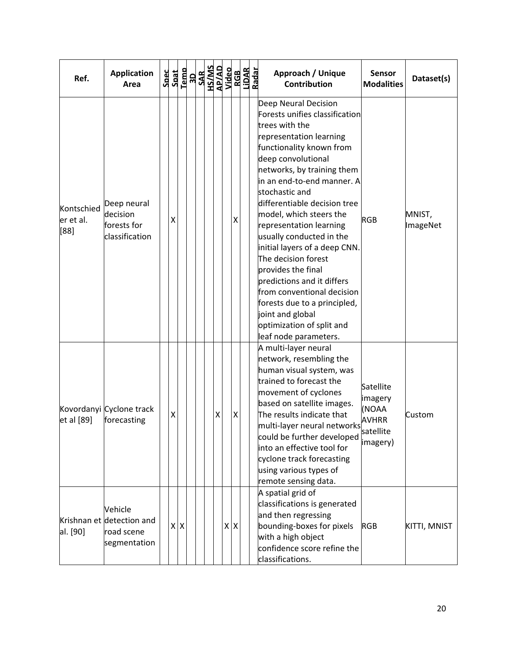| Ref.                            | <b>Application</b><br>Area                                         | Spec<br>Spat | Temp    | $\frac{3D}{SAR}$ |  |   | HS/MS<br>AP/AD<br>Video |         | RGB<br>LiDAR<br>Radar | Approach / Unique<br><b>Contribution</b>                                                                                                                                                                                                                                                                                                                                                                                                                                                                                                                                                                  | <b>Sensor</b><br><b>Modalities</b>                                      | Dataset(s)         |
|---------------------------------|--------------------------------------------------------------------|--------------|---------|------------------|--|---|-------------------------|---------|-----------------------|-----------------------------------------------------------------------------------------------------------------------------------------------------------------------------------------------------------------------------------------------------------------------------------------------------------------------------------------------------------------------------------------------------------------------------------------------------------------------------------------------------------------------------------------------------------------------------------------------------------|-------------------------------------------------------------------------|--------------------|
| Kontschied<br>er et al.<br>[88] | Deep neural<br>decision<br>forests for<br>classification           | х            |         |                  |  |   |                         | Χ       |                       | Deep Neural Decision<br>Forests unifies classification<br>trees with the<br>representation learning<br>functionality known from<br>deep convolutional<br>networks, by training them<br>in an end-to-end manner. A<br>stochastic and<br>differentiable decision tree<br>model, which steers the<br>representation learning<br>usually conducted in the<br>initial layers of a deep CNN.<br>The decision forest<br>provides the final<br>predictions and it differs<br>from conventional decision<br>forests due to a principled,<br>joint and global<br>optimization of split and<br>leaf node parameters. | <b>RGB</b>                                                              | MNIST,<br>ImageNet |
| et al [89]                      | Kovordanyi Cyclone track<br>forecasting                            | Χ            |         |                  |  | X |                         | X       |                       | A multi-layer neural<br>network, resembling the<br>human visual system, was<br>trained to forecast the<br>movement of cyclones<br>based on satellite images.<br>The results indicate that<br>multi-layer neural networks<br>could be further developed<br>into an effective tool for<br>cyclone track forecasting<br>using various types of<br>remote sensing data.                                                                                                                                                                                                                                       | Satellite<br>imagery<br>(NOAA<br><b>AVHRR</b><br>satellite<br> imagery) | Custom             |
| al. [90]                        | Vehicle<br>Krishnan et detection and<br>road scene<br>segmentation |              | $X$ $X$ |                  |  |   |                         | $X$ $X$ |                       | A spatial grid of<br>classifications is generated<br>and then regressing<br>bounding-boxes for pixels<br>with a high object<br>confidence score refine the<br>classifications.                                                                                                                                                                                                                                                                                                                                                                                                                            | <b>RGB</b>                                                              | KITTI, MNIST       |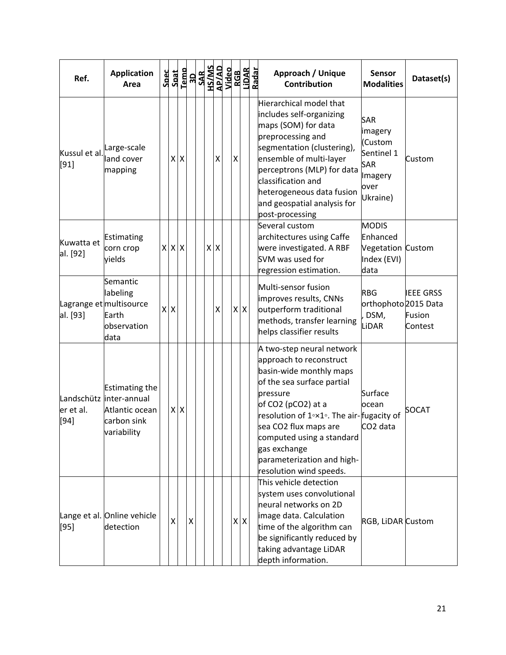| Ref.                   | <b>Application</b><br>Area                                                                       | Spec<br>Spat<br>Temp |         |                    |     |                    | <b>ADVERTY</b><br>ANSHAR<br>ANSHAR<br>ANGERTY |                | RGB<br>LiDAR<br>Radar | Approach / Unique<br><b>Sensor</b><br>Dataset(s)<br><b>Contribution</b><br><b>Modalities</b>                                                                                                                                                                                                                                                                                                         |
|------------------------|--------------------------------------------------------------------------------------------------|----------------------|---------|--------------------|-----|--------------------|-----------------------------------------------|----------------|-----------------------|------------------------------------------------------------------------------------------------------------------------------------------------------------------------------------------------------------------------------------------------------------------------------------------------------------------------------------------------------------------------------------------------------|
| Kussul et al.<br>[91]  | Large-scale<br>land cover<br>mapping                                                             |                      | $X$ $X$ |                    |     | $\pmb{\mathsf{X}}$ |                                               | $\pmb{\times}$ |                       | Hierarchical model that<br>includes self-organizing<br><b>SAR</b><br>maps (SOM) for data<br>imagery<br>preprocessing and<br>(Custom<br>segmentation (clustering),<br>Sentinel 1<br>ensemble of multi-layer<br>Custom<br><b>SAR</b><br>perceptrons (MLP) for data<br>Imagery<br>classification and<br>over<br>heterogeneous data fusion<br>Ukraine)<br>and geospatial analysis for<br>post-processing |
| Kuwatta et<br>al. [92] | Estimating<br>corn crop<br>vields                                                                | $X$ $X$ $X$          |         |                    | x x |                    |                                               |                |                       | Several custom<br><b>MODIS</b><br>architectures using Caffe<br>Enhanced<br>were investigated. A RBF<br>Vegetation Custom<br>SVM was used for<br>Index (EVI)<br>regression estimation.<br>data                                                                                                                                                                                                        |
| al. [93]               | Semantic<br>labeling<br>Lagrange et multisource<br>Earth<br>observation<br>data                  | x x                  |         |                    |     | $\pmb{\mathsf{X}}$ |                                               |                | $X$ $X$               | Multi-sensor fusion<br><b>IEEE GRSS</b><br><b>RBG</b><br>improves results, CNNs<br>orthophoto <sup>2015</sup> Data<br>outperform traditional<br>DSM,<br>Fusion<br>methods, transfer learning<br>LiDAR<br>Contest<br>helps classifier results                                                                                                                                                         |
| er et al.<br>[94]      | <b>Estimating the</b><br>Landschütz inter-annual<br>Atlantic ocean<br>carbon sink<br>variability |                      | $X$ $X$ |                    |     |                    |                                               |                |                       | A two-step neural network<br>approach to reconstruct<br>basin-wide monthly maps<br>of the sea surface partial<br>Surface<br>pressure<br>of CO2 (pCO2) at a<br>ocean<br><b>SOCAT</b><br>resolution of 1°×1°. The air-fugacity of<br>sea CO2 flux maps are<br>CO <sub>2</sub> data<br>computed using a standard<br>gas exchange<br>parameterization and high-<br>resolution wind speeds.               |
| [95]                   | Lange et al. Online vehicle<br>detection                                                         | x                    |         | $\pmb{\mathsf{X}}$ |     |                    |                                               |                | $X$ $X$               | This vehicle detection<br>system uses convolutional<br>neural networks on 2D<br>image data. Calculation<br>RGB, LiDAR Custom<br>time of the algorithm can<br>be significantly reduced by<br>taking advantage LiDAR<br>depth information.                                                                                                                                                             |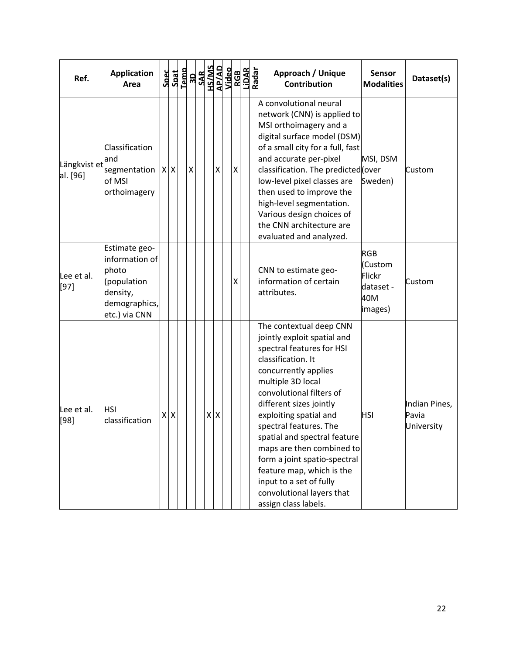| Ref.                     | <b>Application</b><br>Area                                                                            | Spec<br>Spat | Temp | $\begin{array}{r} \n 30 \\  \hline 348 \\  \hline 15/00 \\  \hline 48/40 \\  \hline 1460 \\  \hline 166 \\  \hline 168\n \end{array}$ |         |   |   | LiDAR<br>Radar | Approach / Unique<br><b>Sensor</b><br>Dataset(s)<br><b>Contribution</b><br><b>Modalities</b>                                                                                                                                                                                                                                                                                                                                                                                                                               |
|--------------------------|-------------------------------------------------------------------------------------------------------|--------------|------|---------------------------------------------------------------------------------------------------------------------------------------|---------|---|---|----------------|----------------------------------------------------------------------------------------------------------------------------------------------------------------------------------------------------------------------------------------------------------------------------------------------------------------------------------------------------------------------------------------------------------------------------------------------------------------------------------------------------------------------------|
| Längkvist et<br>al. [96] | Classification<br>and<br>segmentation<br>of MSI<br>orthoimagery                                       | $X$ $X$      |      | X                                                                                                                                     |         | X | X |                | A convolutional neural<br>network (CNN) is applied to<br>MSI orthoimagery and a<br>digital surface model (DSM)<br>of a small city for a full, fast<br>and accurate per-pixel<br>MSI, DSM<br>classification. The predicted (over<br>Custom<br>low-level pixel classes are<br>Sweden)<br>then used to improve the<br>high-level segmentation.<br>Various design choices of<br>the CNN architecture are<br>evaluated and analyzed.                                                                                            |
| Lee et al.<br>$[97]$     | Estimate geo-<br>information of<br>photo<br>(population<br>density,<br>demographics,<br>etc.) via CNN |              |      |                                                                                                                                       |         |   | Χ |                | <b>RGB</b><br>(Custom<br>CNN to estimate geo-<br>Flickr<br>information of certain<br>Custom<br>dataset -<br>attributes.<br>40M<br>images)                                                                                                                                                                                                                                                                                                                                                                                  |
| Lee et al.<br>$[98]$     | <b>HSI</b><br>classification                                                                          | $X$ $X$      |      |                                                                                                                                       | $X$ $X$ |   |   |                | The contextual deep CNN<br>jointly exploit spatial and<br>spectral features for HSI<br>classification. It<br>concurrently applies<br>multiple 3D local<br>convolutional filters of<br>different sizes jointly<br>Indian Pines,<br>exploiting spatial and<br>HSI<br>Pavia<br>spectral features. The<br>University<br>spatial and spectral feature<br>maps are then combined to<br>form a joint spatio-spectral<br>feature map, which is the<br>input to a set of fully<br>convolutional layers that<br>assign class labels. |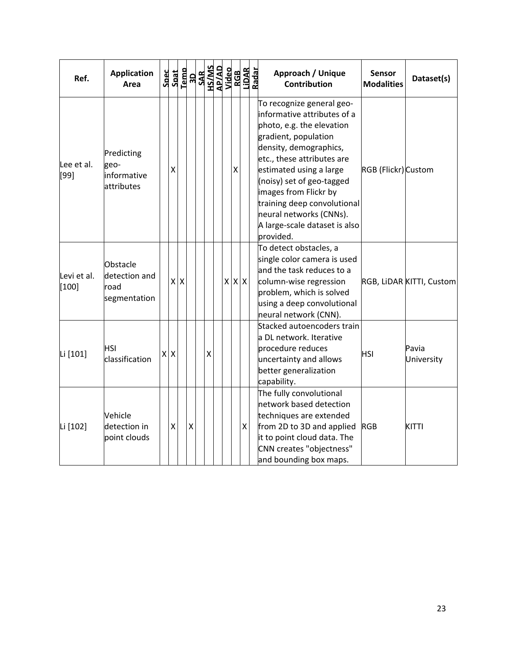| Ref.                 | <b>Application</b><br>Area                        |         |                 | $\begin{array}{r} \texttt{Spect} \\ \texttt{Sant} \\ \texttt{1cm} \\ \texttt{1cm} \\ \texttt{1cm} \\ \texttt{1cm} \\ \texttt{1cm} \\ \texttt{1cm} \\ \texttt{1cm} \\ \texttt{1cm} \\ \texttt{1cm} \\ \texttt{1cm} \\ \texttt{1cm} \\ \texttt{1cm} \\ \texttt{1cm} \\ \texttt{1cm} \\ \texttt{1cm} \\ \texttt{1cm} \\ \texttt{1cm} \\ \texttt{1cm} \\ \texttt{1cm} \\ \texttt{1cm} \\ \texttt{1cm} \\ \texttt{1cm} \\ \texttt{1cm} \\ \texttt{1cm} \\ \texttt{1$ |   |  |                   |   | Approach / Unique<br><b>Contribution</b>                                                                                                                                                                                                                                                                                                                       | Sensor<br><b>Modalities</b> | Dataset(s)               |
|----------------------|---------------------------------------------------|---------|-----------------|-----------------------------------------------------------------------------------------------------------------------------------------------------------------------------------------------------------------------------------------------------------------------------------------------------------------------------------------------------------------------------------------------------------------------------------------------------------------|---|--|-------------------|---|----------------------------------------------------------------------------------------------------------------------------------------------------------------------------------------------------------------------------------------------------------------------------------------------------------------------------------------------------------------|-----------------------------|--------------------------|
| Lee et al.<br>[99]   | Predicting<br>geo-<br>informative<br>attributes   | X       |                 |                                                                                                                                                                                                                                                                                                                                                                                                                                                                 |   |  | X                 |   | To recognize general geo-<br>informative attributes of a<br>photo, e.g. the elevation<br>gradient, population<br>density, demographics,<br>etc., these attributes are<br>estimated using a large<br>(noisy) set of geo-tagged<br>images from Flickr by<br>training deep convolutional<br>neural networks (CNNs).<br>A large-scale dataset is also<br>provided. | RGB (Flickr) Custom         |                          |
| Levi et al.<br>[100] | Obstacle<br>detection and<br>road<br>segmentation | x       | $\mathsf{\chi}$ |                                                                                                                                                                                                                                                                                                                                                                                                                                                                 |   |  | $x \mid x \mid x$ |   | To detect obstacles, a<br>single color camera is used<br>and the task reduces to a<br>column-wise regression<br>problem, which is solved<br>using a deep convolutional<br>neural network (CNN).                                                                                                                                                                |                             | RGB, LIDAR KITTI, Custom |
| Li [101]             | HSI<br>classification                             | $X$ $X$ |                 |                                                                                                                                                                                                                                                                                                                                                                                                                                                                 | X |  |                   |   | Stacked autoencoders train<br>a DL network. Iterative<br>procedure reduces<br>uncertainty and allows<br>better generalization<br>capability.                                                                                                                                                                                                                   | <b>HSI</b>                  | Pavia<br>University      |
| Li [102]             | Vehicle<br>detection in<br>point clouds           | Χ       |                 | Χ                                                                                                                                                                                                                                                                                                                                                                                                                                                               |   |  |                   | Χ | The fully convolutional<br>network based detection<br>techniques are extended<br>from 2D to 3D and applied<br>it to point cloud data. The<br>CNN creates "objectness"<br>and bounding box maps.                                                                                                                                                                | <b>RGB</b>                  | <b>KITTI</b>             |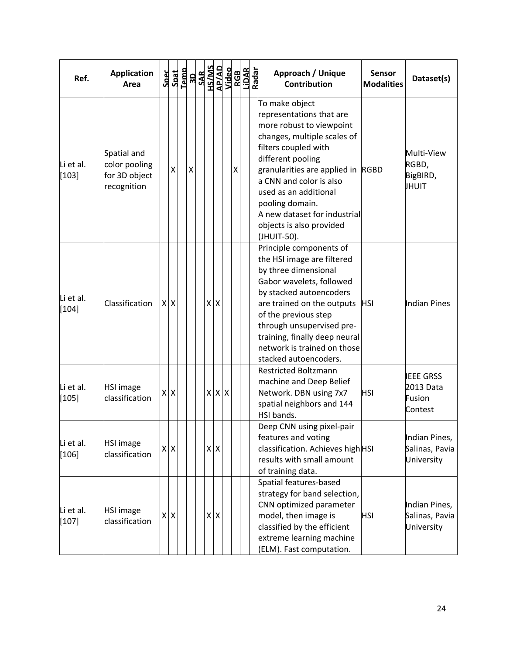| Ref.                 | <b>Application</b><br>Area                                   |   | Spec<br>Spat            | Temp |   | OPIN<br><b>GUNSH<br/>GUNSH</b><br>SM/SH<br>OE |         |         |             |   | RGB<br>LiDAR<br>Radar | Approach / Unique<br><b>Sensor</b><br>Dataset(s)<br><b>Contribution</b><br><b>Modalities</b>                                                                                                                                                                                                                                                                                                    |
|----------------------|--------------------------------------------------------------|---|-------------------------|------|---|-----------------------------------------------|---------|---------|-------------|---|-----------------------|-------------------------------------------------------------------------------------------------------------------------------------------------------------------------------------------------------------------------------------------------------------------------------------------------------------------------------------------------------------------------------------------------|
| Li et al.<br>$[103]$ | Spatial and<br>color pooling<br>for 3D object<br>recognition |   | X                       |      | Χ |                                               |         |         |             | X |                       | To make object<br>representations that are<br>more robust to viewpoint<br>changes, multiple scales of<br>filters coupled with<br>Multi-View<br>different pooling<br>RGBD,<br>granularities are applied in<br><b>RGBD</b><br>BigBIRD,<br>a CNN and color is also<br>JHUIT<br>used as an additional<br>pooling domain.<br>A new dataset for industrial<br>objects is also provided<br>(JHUIT-50). |
| Li et al.<br>[104]   | Classification                                               |   | $X$ $X$                 |      |   |                                               | $X$ $X$ |         |             |   |                       | Principle components of<br>the HSI image are filtered<br>by three dimensional<br>Gabor wavelets, followed<br>by stacked autoencoders<br>are trained on the outputs<br>Indian Pines<br><b>HSI</b><br>of the previous step<br>through unsupervised pre-<br>training, finally deep neural<br>network is trained on those<br>stacked autoencoders.                                                  |
| Li et al.<br>$[105]$ | <b>HSI image</b><br>classification                           | X | $\mathsf{\overline{X}}$ |      |   |                                               |         |         | $X$ $X$ $X$ |   |                       | <b>Restricted Boltzmann</b><br><b>IEEE GRSS</b><br>machine and Deep Belief<br>2013 Data<br>Network. DBN using 7x7<br><b>HSI</b><br>Fusion<br>spatial neighbors and 144<br>Contest<br>HSI bands.                                                                                                                                                                                                 |
| Li et al.<br>[106]   | HSI image<br>classification                                  |   | $X$ $X$                 |      |   |                                               |         | $X$ $X$ |             |   |                       | Deep CNN using pixel-pair<br>features and voting<br>Indian Pines,<br>classification. Achieves high HSI<br>Salinas, Pavia<br>results with small amount<br>University<br>of training data.                                                                                                                                                                                                        |
| Li et al.<br>$[107]$ | <b>HSI image</b><br>classification                           |   | $X$ $X$                 |      |   |                                               |         | XX      |             |   |                       | Spatial features-based<br>strategy for band selection,<br>CNN optimized parameter<br>Indian Pines,<br>model, then image is<br>Salinas, Pavia<br><b>HSI</b><br>classified by the efficient<br>University<br>extreme learning machine<br>(ELM). Fast computation.                                                                                                                                 |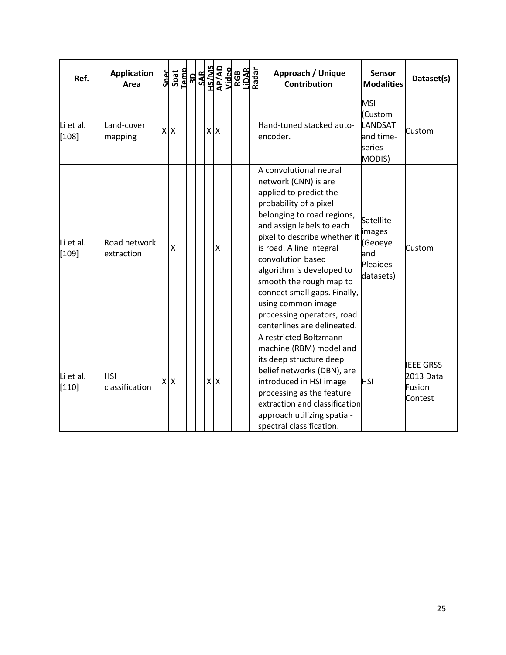| Ref.                 | <b>Application</b><br>Area | Spec | Spat    | Temp | <b>ADSANS</b><br>ARVAS<br>APVAS<br>APVAS<br>ADSANS |         |                 |  | RGB<br>Lidar | Radar | Approach / Unique<br><b>Contribution</b>                                                                                                                                                                                                                                                                                                                                                                                  | <b>Sensor</b><br><b>Modalities</b>                                | Dataset(s)                                         |
|----------------------|----------------------------|------|---------|------|----------------------------------------------------|---------|-----------------|--|--------------|-------|---------------------------------------------------------------------------------------------------------------------------------------------------------------------------------------------------------------------------------------------------------------------------------------------------------------------------------------------------------------------------------------------------------------------------|-------------------------------------------------------------------|----------------------------------------------------|
| Li et al.<br>$[108]$ | Land-cover<br>mapping      |      | $X$ $X$ |      |                                                    | $X$ $X$ |                 |  |              |       | Hand-tuned stacked auto-<br>encoder.                                                                                                                                                                                                                                                                                                                                                                                      | <b>MSI</b><br>(Custom<br>LANDSAT<br>and time-<br>series<br>MODIS) | Custom                                             |
| Li et al.<br>$[109]$ | Road network<br>extraction |      | X       |      |                                                    |         | $\mathsf{\chi}$ |  |              |       | A convolutional neural<br>network (CNN) is are<br>applied to predict the<br>probability of a pixel<br>belonging to road regions,<br>and assign labels to each<br>pixel to describe whether it<br>is road. A line integral<br>convolution based<br>algorithm is developed to<br>smooth the rough map to<br>connect small gaps. Finally,<br>using common image<br>processing operators, road<br>centerlines are delineated. | Satellite<br>images<br>(Geoeye<br>and<br>Pleaides<br>datasets)    | Custom                                             |
| Li et al.<br>$[110]$ | HSI<br>classification      |      | $X$ $X$ |      |                                                    | $X$ $X$ |                 |  |              |       | A restricted Boltzmann<br>machine (RBM) model and<br>its deep structure deep<br>belief networks (DBN), are<br>introduced in HSI image<br>processing as the feature<br>extraction and classification<br>approach utilizing spatial-<br>spectral classification.                                                                                                                                                            | <b>HSI</b>                                                        | <b>IEEE GRSS</b><br>2013 Data<br>Fusion<br>Contest |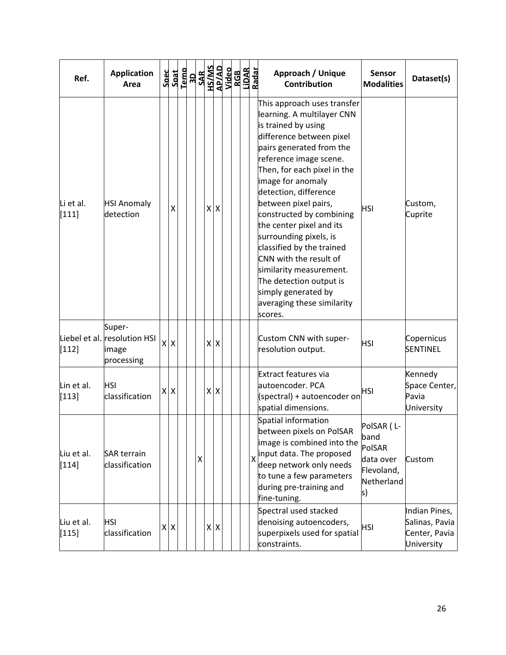| Ref.                  | <b>Application</b><br>Area                                    | <b>Spec</b> | Spat                      | Temp |   | <b>ROSAL SANS</b><br><b>ROSAL SANS<br/>ROSAL SANS<br/>ROSAL SANS<br/>ROSAL SANS</b><br>ROSAL SANS<br>ROSAL SANS |         |  |                         | Approach / Unique<br><b>Sensor</b><br>Dataset(s)<br><b>Contribution</b><br><b>Modalities</b>                                                                                                                                                                                                                                                                                                                                                                                                                                                                               |  |
|-----------------------|---------------------------------------------------------------|-------------|---------------------------|------|---|-----------------------------------------------------------------------------------------------------------------|---------|--|-------------------------|----------------------------------------------------------------------------------------------------------------------------------------------------------------------------------------------------------------------------------------------------------------------------------------------------------------------------------------------------------------------------------------------------------------------------------------------------------------------------------------------------------------------------------------------------------------------------|--|
| Li et al.<br>$[111]$  | <b>HSI Anomaly</b><br>detection                               |             | Χ                         |      |   |                                                                                                                 | XX      |  |                         | This approach uses transfer<br>learning. A multilayer CNN<br>is trained by using<br>difference between pixel<br>pairs generated from the<br>reference image scene.<br>Then, for each pixel in the<br>image for anomaly<br>detection, difference<br>between pixel pairs,<br>Custom,<br><b>HSI</b><br>constructed by combining<br>Cuprite<br>the center pixel and its<br>surrounding pixels, is<br>classified by the trained<br>CNN with the result of<br>similarity measurement.<br>The detection output is<br>simply generated by<br>averaging these similarity<br>scores. |  |
| $[112]$               | Super-<br>Liebel et al. resolution HSI<br>image<br>processing | X           | $\boldsymbol{\mathsf{X}}$ |      |   | $X$ $X$                                                                                                         |         |  |                         | Custom CNN with super-<br>Copernicus<br><b>HSI</b><br>resolution output.<br>SENTINEL                                                                                                                                                                                                                                                                                                                                                                                                                                                                                       |  |
| Lin et al.<br>$[113]$ | <b>HSI</b><br>classification                                  | Χ           | $\boldsymbol{\mathsf{X}}$ |      |   | $X$ $X$                                                                                                         |         |  |                         | Extract features via<br>Kennedy<br>autoencoder. PCA<br>Space Center,<br>HSI<br>(spectral) + autoencoder on<br>Pavia<br>spatial dimensions.<br>University                                                                                                                                                                                                                                                                                                                                                                                                                   |  |
| Liu et al.<br>$[114]$ | <b>SAR terrain</b><br>classification                          |             |                           |      | X |                                                                                                                 |         |  | $\overline{\mathsf{x}}$ | Spatial information<br>PolSAR (L-<br>between pixels on PolSAR<br>band<br>image is combined into the<br>PolSAR<br>input data. The proposed<br>data over<br>Custom<br>deep network only needs<br>Flevoland,<br>to tune a few parameters<br>Netherland<br>during pre-training and<br>ls)<br>fine-tuning.                                                                                                                                                                                                                                                                      |  |
| Liu et al.<br>$[115]$ | <b>HSI</b><br>classification                                  |             | $X$ $X$                   |      |   |                                                                                                                 | $X$ $X$ |  |                         | Spectral used stacked<br>Indian Pines,<br>denoising autoencoders,<br>Salinas, Pavia<br><b>HSI</b><br>superpixels used for spatial<br>Center, Pavia<br>constraints.<br>University                                                                                                                                                                                                                                                                                                                                                                                           |  |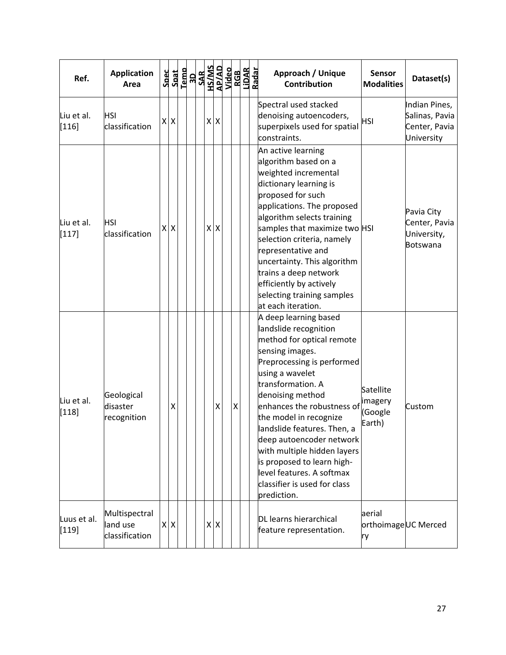| Ref.                   | <b>Application</b><br>Area                  |    | Spec<br>Spat              | Remo<br><b>SAR SAR ANSI<br/> SAR ANSI<br/> SAR ANSI<br/> SAR ANSI<br/> SAR ANSI<br/> SAR ANSI<br/> RADAR<br/> RADAR<br/> RADAR<br/> RADAR</b> |  |         |   |  | Approach / Unique<br><b>Contribution</b>                                                                                                                                                                                                                                                                                                                                                                                                             | <b>Sensor</b><br><b>Modalities</b>        | Dataset(s)                                                     |
|------------------------|---------------------------------------------|----|---------------------------|-----------------------------------------------------------------------------------------------------------------------------------------------|--|---------|---|--|------------------------------------------------------------------------------------------------------------------------------------------------------------------------------------------------------------------------------------------------------------------------------------------------------------------------------------------------------------------------------------------------------------------------------------------------------|-------------------------------------------|----------------------------------------------------------------|
| Liu et al.<br>$[116]$  | <b>HSI</b><br>classification                |    | $X$ $X$                   |                                                                                                                                               |  | $X$ $X$ |   |  | Spectral used stacked<br>denoising autoencoders,<br>superpixels used for spatial<br>constraints.                                                                                                                                                                                                                                                                                                                                                     | <b>HSI</b>                                | Indian Pines,<br>Salinas, Pavia<br>Center, Pavia<br>University |
| Liu et al.<br>$[117]$  | <b>HSI</b><br>classification                | χI | $\boldsymbol{\mathsf{X}}$ |                                                                                                                                               |  | $X$ $X$ |   |  | An active learning<br>algorithm based on a<br>weighted incremental<br>dictionary learning is<br>proposed for such<br>applications. The proposed<br>algorithm selects training<br>samples that maximize two HSI<br>selection criteria, namely<br>representative and<br>uncertainty. This algorithm<br>trains a deep network<br>efficiently by actively<br>selecting training samples<br>at each iteration.                                            |                                           | Pavia City<br>Center, Pavia<br>University,<br>Botswana         |
| Liu et al.<br>$[118]$  | Geological<br>disaster<br>recognition       |    | X                         |                                                                                                                                               |  | X       | Χ |  | A deep learning based<br>landslide recognition<br>method for optical remote<br>sensing images.<br>Preprocessing is performed<br>using a wavelet<br>transformation. A<br>denoising method<br>enhances the robustness of<br>the model in recognize<br>landslide features. Then, a<br>deep autoencoder network<br>with multiple hidden layers<br>is proposed to learn high-<br>level features. A softmax<br>classifier is used for class<br>prediction. | Satellite<br>imagery<br>(Google<br>Earth) | Custom                                                         |
| Luus et al.<br>$[119]$ | Multispectral<br>land use<br>classification |    | $X$ $X$                   |                                                                                                                                               |  | $X$ $X$ |   |  | DL learns hierarchical<br>feature representation.                                                                                                                                                                                                                                                                                                                                                                                                    | aerial<br>ry                              | orthoimageUC Merced                                            |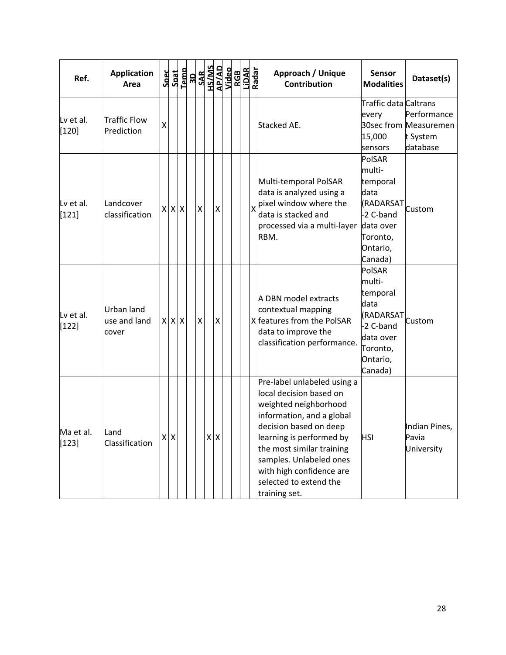| Ref.                 | <b>Application</b><br>Area                 |                 |             | $\begin{array}{r} \texttt{Spect} \\ \texttt{Spat} \\ \texttt{I-emb} \\ \texttt{SAR} \\ \texttt{SAR} \\ \texttt{SAR} \\ \texttt{MSS} \\ \texttt{MSS} \\ \texttt{MSS} \\ \texttt{MSS} \\ \texttt{Nideo} \end{array}$ |   |                    |  | RGB<br>LiDAR<br>Radar |                         | Approach / Unique<br><b>Contribution</b>                                                                                                                                                                                                                                                          | <b>Sensor</b><br><b>Modalities</b>                                                                             | Dataset(s)                                                   |
|----------------------|--------------------------------------------|-----------------|-------------|--------------------------------------------------------------------------------------------------------------------------------------------------------------------------------------------------------------------|---|--------------------|--|-----------------------|-------------------------|---------------------------------------------------------------------------------------------------------------------------------------------------------------------------------------------------------------------------------------------------------------------------------------------------|----------------------------------------------------------------------------------------------------------------|--------------------------------------------------------------|
| Ly et al.<br>$[120]$ | Traffic Flow<br>Prediction                 | $\mathsf{\chi}$ |             |                                                                                                                                                                                                                    |   |                    |  |                       |                         | Stacked AE.                                                                                                                                                                                                                                                                                       | Traffic data Caltrans<br>every<br>15,000<br>sensors                                                            | Performance<br>30sec from Measuremen<br>t System<br>database |
| Lv et al.<br>$[121]$ | Landcover<br>classification                |                 | $X$ $X$ $X$ |                                                                                                                                                                                                                    | Χ | X                  |  |                       | $\mathsf{\overline{X}}$ | Multi-temporal PolSAR<br>data is analyzed using a<br>pixel window where the<br>data is stacked and<br>processed via a multi-layer<br>RBM.                                                                                                                                                         | PolSAR<br>multi-<br>temporal<br>data<br>(RADARSAT<br>-2 C-band<br>data over<br>Toronto,<br>Ontario,<br>Canada) | Custom                                                       |
| Lv et al.<br>$[122]$ | <b>Urban land</b><br>use and land<br>cover |                 | $X$ $X$ $X$ |                                                                                                                                                                                                                    | X | $\pmb{\mathsf{X}}$ |  |                       |                         | A DBN model extracts<br>contextual mapping<br>X features from the PolSAR<br>data to improve the<br>classification performance.                                                                                                                                                                    | PolSAR<br>multi-<br>temporal<br>data<br>(RADARSAT<br>-2 C-band<br>data over<br>Toronto,<br>Ontario,<br>Canada) | Custom                                                       |
| Ma et al.<br>$[123]$ | Land<br>Classification                     |                 | $X$ $X$     |                                                                                                                                                                                                                    |   | $X$ $X$            |  |                       |                         | Pre-label unlabeled using a<br>local decision based on<br>weighted neighborhood<br>information, and a global<br>decision based on deep<br>learning is performed by<br>the most similar training<br>samples. Unlabeled ones<br>with high confidence are<br>selected to extend the<br>training set. | <b>HSI</b>                                                                                                     | Indian Pines,<br>Pavia<br>University                         |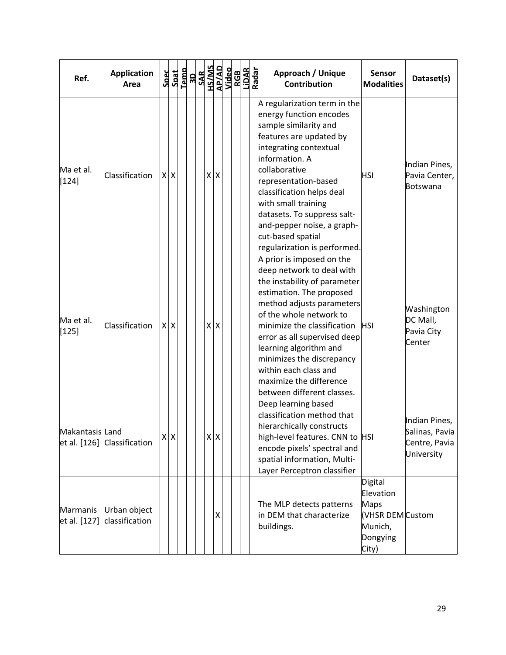| Ref.                     | <b>Application</b><br>Area     |         | $\begin{array}{r} \texttt{Spect} \\ \texttt{Spat} \\ \texttt{I-emb} \\ \texttt{SAR} \\ \texttt{SAR} \\ \texttt{SAR} \\ \texttt{MSS} \\ \texttt{MSS} \\ \texttt{MSS} \\ \texttt{MSS} \\ \texttt{Nideo} \end{array}$ |         |         |  | RGB<br>LiDAR<br>Radar | Approach / Unique<br><b>Contribution</b>                                                                                                                                                                                                                                                                                                                                           | <b>Sensor</b><br><b>Modalities</b>                                                      | Dataset(s)                                                     |
|--------------------------|--------------------------------|---------|--------------------------------------------------------------------------------------------------------------------------------------------------------------------------------------------------------------------|---------|---------|--|-----------------------|------------------------------------------------------------------------------------------------------------------------------------------------------------------------------------------------------------------------------------------------------------------------------------------------------------------------------------------------------------------------------------|-----------------------------------------------------------------------------------------|----------------------------------------------------------------|
| Ma et al.<br>$[124]$     | Classification                 | $X$ $X$ |                                                                                                                                                                                                                    | x x     |         |  |                       | A regularization term in the<br>energy function encodes<br>sample similarity and<br>features are updated by<br>integrating contextual<br>information. A<br>collaborative<br>representation-based<br>classification helps deal<br>with small training<br>datasets. To suppress salt-<br>and-pepper noise, a graph-<br>cut-based spatial<br>regularization is performed.             | <b>HSI</b>                                                                              | Indian Pines,<br>Pavia Center,<br>Botswana                     |
| Ma et al.<br>$[125]$     | Classification                 | $X$ $X$ |                                                                                                                                                                                                                    | $X$ $X$ |         |  |                       | A prior is imposed on the<br>deep network to deal with<br>the instability of parameter<br>estimation. The proposed<br>method adjusts parameters<br>of the whole network to<br>minimize the classification<br>error as all supervised deep<br>learning algorithm and<br>minimizes the discrepancy<br>within each class and<br>maximize the difference<br>between different classes. | <b>HSI</b>                                                                              | Washington<br>DC Mall,<br>Pavia City<br>Center                 |
| Makantasis Land          | et al. [126] Classification    | $X$ $X$ |                                                                                                                                                                                                                    |         | $X$ $X$ |  |                       | Deep learning based<br>classification method that<br>hierarchically constructs<br>high-level features. CNN to HSI<br>encode pixels' spectral and<br>spatial information, Multi-<br>Layer Perceptron classifier                                                                                                                                                                     |                                                                                         | Indian Pines,<br>Salinas, Pavia<br>Centre, Pavia<br>University |
| Marmanis<br>et al. [127] | Urban object<br>classification |         |                                                                                                                                                                                                                    |         | X       |  |                       | The MLP detects patterns<br>in DEM that characterize<br>buildings.                                                                                                                                                                                                                                                                                                                 | Digital<br>Elevation<br><b>Maps</b><br>(VHSR DEM Custom<br>Munich,<br>Dongying<br>City) |                                                                |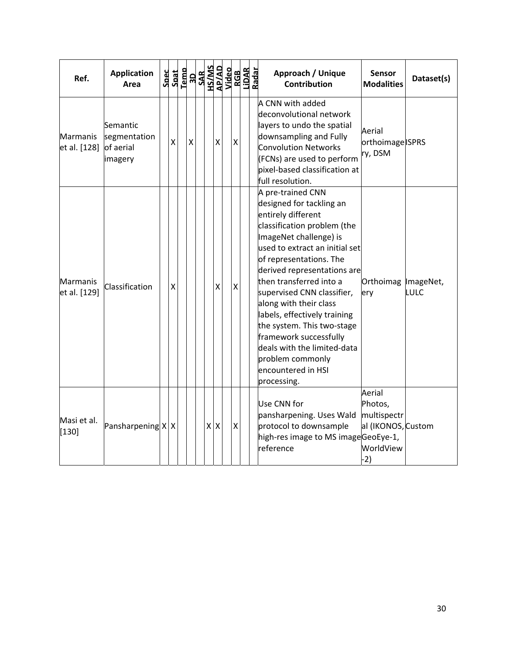| Ref.                            | <b>Application</b><br>Area                       | $\begin{array}{r}\n\text{Spect} \\ \text{Spat} \\ \text{I-emb} \\ \text{SAR} \\ \text{SAR} \\ \text{SAR} \\ \text{MSS} \\ \text{M} \\ \text{M} \\ \text{M} \\ \text{M} \\ \text{M} \\ \text{M} \\ \text{M} \\ \text{M} \\ \text{M} \\ \text{M} \\ \text{M} \\ \text{M} \\ \text{M} \\ \text{M} \\ \text{M} \\ \text{M} \\ \text{M} \\ \text{M} \\ \text{M} \\ \text{M} \\ \text{M} \\ \text{M} \\ \text{M} \\ \text{M} \\ \text{M} \\ \text{M} \\ \text{M} \\ $ |                    |         |                    |   | RGB<br>Lidar | Radar<br>Approach / Unique<br><b>Sensor</b><br>Dataset(s)<br><b>Contribution</b><br><b>Modalities</b>                                                                                                                                                                                                                                                                                                                                                                                                                             |
|---------------------------------|--------------------------------------------------|-----------------------------------------------------------------------------------------------------------------------------------------------------------------------------------------------------------------------------------------------------------------------------------------------------------------------------------------------------------------------------------------------------------------------------------------------------------------|--------------------|---------|--------------------|---|--------------|-----------------------------------------------------------------------------------------------------------------------------------------------------------------------------------------------------------------------------------------------------------------------------------------------------------------------------------------------------------------------------------------------------------------------------------------------------------------------------------------------------------------------------------|
| Marmanis<br>et al. [128]        | Semantic<br>segmentation<br>of aerial<br>imagery | X                                                                                                                                                                                                                                                                                                                                                                                                                                                               | $\pmb{\mathsf{X}}$ |         | $\pmb{\mathsf{X}}$ | X |              | A CNN with added<br>deconvolutional network<br>layers to undo the spatial<br>Aerial<br>downsampling and Fully<br>orthoimage ISPRS<br><b>Convolution Networks</b><br>ry, DSM<br>(FCNs) are used to perform<br>pixel-based classification at<br>full resolution.                                                                                                                                                                                                                                                                    |
| <b>Marmanis</b><br>et al. [129] | Classification                                   | X                                                                                                                                                                                                                                                                                                                                                                                                                                                               |                    |         | X                  | X |              | A pre-trained CNN<br>designed for tackling an<br>entirely different<br>classification problem (the<br>ImageNet challenge) is<br>used to extract an initial set<br>of representations. The<br>derived representations are<br>then transferred into a<br>Orthoimag ImageNet,<br>supervised CNN classifier,<br>LULC<br>ery<br>along with their class<br>labels, effectively training<br>the system. This two-stage<br>framework successfully<br>deals with the limited-data<br>problem commonly<br>encountered in HSI<br>processing. |
| Masi et al.<br>$[130]$          | Pansharpening $X X$                              |                                                                                                                                                                                                                                                                                                                                                                                                                                                                 |                    | $X$ $X$ |                    | X |              | Aerial<br>Photos,<br>Use CNN for<br>pansharpening. Uses Wald<br>multispectr<br>protocol to downsample<br>al (IKONOS, Custom<br>high-res image to MS imageGeoEye-1,<br>reference<br>WorldView<br>$-2)$                                                                                                                                                                                                                                                                                                                             |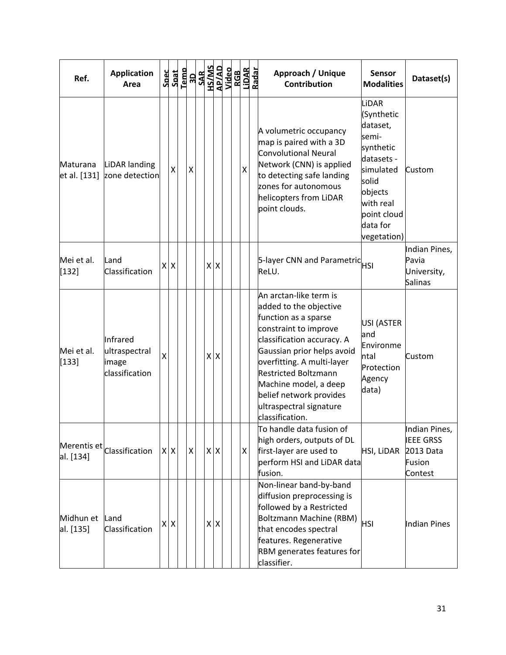| Ref.                     | <b>Application</b><br>Area                           |                         |         |                    | $\begin{array}{r} \texttt{Spect} \\ \texttt{Spat} \\ \texttt{I-emb} \\ \texttt{SAR} \\ \texttt{SAR} \\ \texttt{SAR} \\ \texttt{MSS} \\ \texttt{MSS} \\ \texttt{MSS} \\ \texttt{MSS} \\ \texttt{Nideo} \end{array}$ |            |  | RGB<br>LiDAR<br>Radar | Approach / Unique<br><b>Contribution</b>                                                                                                                                                                                                                                                                                     | <b>Sensor</b><br><b>Modalities</b>                                                                                                                          | Dataset(s)                                                          |
|--------------------------|------------------------------------------------------|-------------------------|---------|--------------------|--------------------------------------------------------------------------------------------------------------------------------------------------------------------------------------------------------------------|------------|--|-----------------------|------------------------------------------------------------------------------------------------------------------------------------------------------------------------------------------------------------------------------------------------------------------------------------------------------------------------------|-------------------------------------------------------------------------------------------------------------------------------------------------------------|---------------------------------------------------------------------|
| Maturana<br>et al. [131] | LiDAR landing<br>zone detection                      |                         | Χ       | Χ                  |                                                                                                                                                                                                                    |            |  | X                     | A volumetric occupancy<br>map is paired with a 3D<br>Convolutional Neural<br>Network (CNN) is applied<br>to detecting safe landing<br>zones for autonomous<br>helicopters from LiDAR<br>point clouds.                                                                                                                        | LiDAR<br>(Synthetic<br>dataset,<br>semi-<br>synthetic<br>datasets -<br>simulated<br>solid<br>objects<br>with real<br>point cloud<br>data for<br>vegetation) | Custom                                                              |
| Mei et al.<br>[132]      | Land<br>Classification                               |                         | $X$ $X$ |                    |                                                                                                                                                                                                                    | $x \mid x$ |  |                       | 5-layer CNN and Parametric HSI<br>ReLU.                                                                                                                                                                                                                                                                                      |                                                                                                                                                             | Indian Pines,<br>Pavia<br>University,<br><b>Salinas</b>             |
| Mei et al.<br>$[133]$    | Infrared<br>ultraspectral<br>image<br>classification | $\overline{\mathsf{x}}$ |         |                    | x x                                                                                                                                                                                                                |            |  |                       | An arctan-like term is<br>added to the objective<br>function as a sparse<br>constraint to improve<br>classification accuracy. A<br>Gaussian prior helps avoid<br>overfitting. A multi-layer<br><b>Restricted Boltzmann</b><br>Machine model, a deep<br>belief network provides<br>ultraspectral signature<br>classification. | USI (ASTER<br>and<br>Environme<br>ntal<br>Protection<br>Agency<br>data)                                                                                     | Custom                                                              |
| al. [134]                | Merentis $et$ Classification                         |                         | $X$ $X$ | $\pmb{\mathsf{X}}$ | $X$ $X$                                                                                                                                                                                                            |            |  | Χ                     | To handle data fusion of<br>high orders, outputs of DL<br>first-layer are used to<br>perform HSI and LiDAR data<br>fusion.                                                                                                                                                                                                   | HSI, LiDAR                                                                                                                                                  | Indian Pines,<br><b>IEEE GRSS</b><br>2013 Data<br>Fusion<br>Contest |
| Midhun et<br>al. [135]   | Land<br>Classification                               |                         | $X$ $X$ |                    |                                                                                                                                                                                                                    | $x \mid x$ |  |                       | Non-linear band-by-band<br>diffusion preprocessing is<br>followed by a Restricted<br>Boltzmann Machine (RBM)<br>that encodes spectral<br>features. Regenerative<br>RBM generates features for<br>classifier.                                                                                                                 | <b>HSI</b>                                                                                                                                                  | Indian Pines                                                        |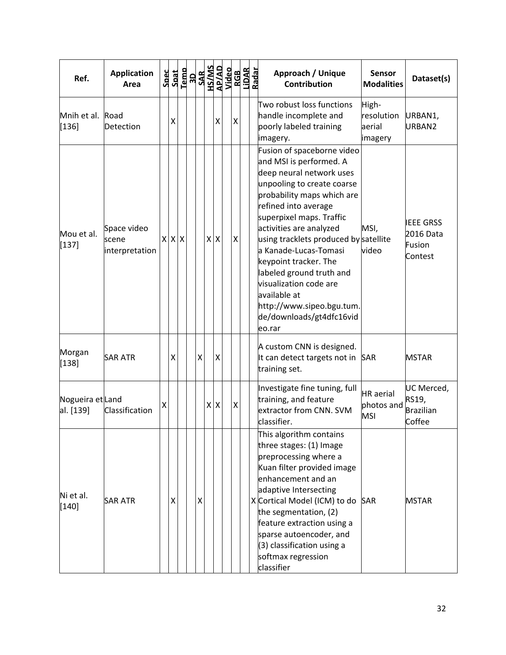| Ref.                          | <b>Application</b><br>Area             | Spec | Spat | Temp |   |            |                    | <b>RESEAR SEPARATES</b><br><b>RACTAL SANS</b><br>RACTAL SANS<br>RACTAL SANS<br>RACTAL SANS<br>RACTAL SANS | Approach / Unique<br><b>Contribution</b>                                                                                                                                                                                                                                                                                                                                                                                                                         | <b>Sensor</b><br><b>Modalities</b>           | Dataset(s)                                         |
|-------------------------------|----------------------------------------|------|------|------|---|------------|--------------------|-----------------------------------------------------------------------------------------------------------|------------------------------------------------------------------------------------------------------------------------------------------------------------------------------------------------------------------------------------------------------------------------------------------------------------------------------------------------------------------------------------------------------------------------------------------------------------------|----------------------------------------------|----------------------------------------------------|
| Mnih et al. Road<br>$[136]$   | Detection                              |      | Χ    |      |   | X          | $\pmb{\mathsf{X}}$ |                                                                                                           | Two robust loss functions<br>handle incomplete and<br>poorly labeled training<br>imagery.                                                                                                                                                                                                                                                                                                                                                                        | High-<br>resolution<br>aerial<br>imagery     | URBAN1,<br>URBAN2                                  |
| Mou et al.<br>$[137]$         | Space video<br>scene<br>interpretation |      | x x  |      |   | $x \mid x$ | X                  |                                                                                                           | Fusion of spaceborne video<br>and MSI is performed. A<br>deep neural network uses<br>unpooling to create coarse<br>probability maps which are<br>refined into average<br>superpixel maps. Traffic<br>activities are analyzed<br>using tracklets produced by satellite<br>a Kanade-Lucas-Tomasi<br>keypoint tracker. The<br>labeled ground truth and<br>visualization code are<br>available at<br>http://www.sipeo.bgu.tum.<br>de/downloads/gt4dfc16vid<br>eo.rar | MSI,<br>video                                | <b>IEEE GRSS</b><br>2016 Data<br>Fusion<br>Contest |
| Morgan<br>[138]               | <b>SAR ATR</b>                         |      | Χ    |      | X | Χ          |                    |                                                                                                           | A custom CNN is designed.<br>It can detect targets not in SAR<br>training set.                                                                                                                                                                                                                                                                                                                                                                                   |                                              | <b>MSTAR</b>                                       |
| Nogueira et Land<br>al. [139] | Classification                         | Χ    |      |      |   | $X$ $X$    | X                  |                                                                                                           | Investigate fine tuning, full<br>training, and feature<br>extractor from CNN. SVM<br>classifier.                                                                                                                                                                                                                                                                                                                                                                 | <b>HR</b> aerial<br>photos and<br><b>MSI</b> | UC Merced,<br>RS19,<br>Brazilian<br>Coffee         |
| Ni et al.<br>$[140]$          | <b>SAR ATR</b>                         |      | X    |      | X |            |                    |                                                                                                           | This algorithm contains<br>three stages: (1) Image<br>preprocessing where a<br>Kuan filter provided image<br>enhancement and an<br>adaptive Intersecting<br>X Cortical Model (ICM) to do<br>the segmentation, (2)<br>feature extraction using a<br>sparse autoencoder, and<br>(3) classification using a<br>softmax regression<br>classifier                                                                                                                     | <b>SAR</b>                                   | MSTAR                                              |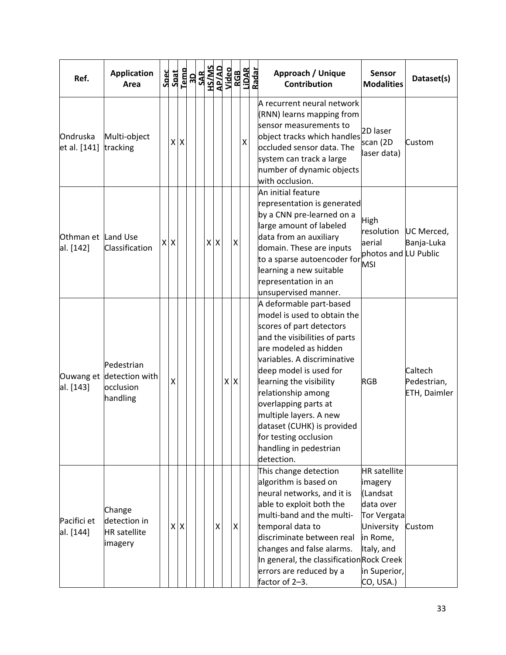| Ref.                     | <b>Application</b><br>Area                               |         |         |  | $\begin{array}{r} \texttt{Spect} \\ \texttt{Spat} \\ \texttt{I-emb} \\ \texttt{SAR} \\ \texttt{SAR} \\ \texttt{SAR} \\ \texttt{MSS} \\ \texttt{MSS} \\ \texttt{MSS} \\ \texttt{MSS} \\ \texttt{Nideo} \end{array}$ |            |                    | RGB<br>LiDAR<br>Radar | Approach / Unique<br><b>Contribution</b>                                                                                                                                                                                                                                                                                                                                                                | <b>Sensor</b><br><b>Modalities</b>                                                                                                          | Dataset(s)                             |
|--------------------------|----------------------------------------------------------|---------|---------|--|--------------------------------------------------------------------------------------------------------------------------------------------------------------------------------------------------------------------|------------|--------------------|-----------------------|---------------------------------------------------------------------------------------------------------------------------------------------------------------------------------------------------------------------------------------------------------------------------------------------------------------------------------------------------------------------------------------------------------|---------------------------------------------------------------------------------------------------------------------------------------------|----------------------------------------|
| Ondruska<br>et al. [141] | Multi-object<br>tracking                                 |         | $X$ $X$ |  |                                                                                                                                                                                                                    |            |                    | X                     | A recurrent neural network<br>(RNN) learns mapping from<br>sensor measurements to<br>object tracks which handles<br>occluded sensor data. The<br>system can track a large<br>number of dynamic objects<br>with occlusion.                                                                                                                                                                               | 2D laser<br>scan (2D<br>laser data)                                                                                                         | Custom                                 |
| Othman et<br>al. [142]   | Land Use<br>Classification                               | $X$ $X$ |         |  |                                                                                                                                                                                                                    | $x \mid x$ | $\pmb{\mathsf{X}}$ |                       | An initial feature<br>representation is generated<br>by a CNN pre-learned on a<br>large amount of labeled<br>data from an auxiliary<br>domain. These are inputs<br>to a sparse autoencoder for<br>learning a new suitable<br>representation in an<br>unsupervised manner.                                                                                                                               | High<br>resolution<br>aerial<br>photos and LU Public<br><b>MSI</b>                                                                          | UC Merced,<br>Banja-Luka               |
| Ouwang et<br>al. [143]   | Pedestrian<br>detection with<br>occlusion<br>handling    | X       |         |  |                                                                                                                                                                                                                    |            | $X$ $X$            |                       | A deformable part-based<br>model is used to obtain the<br>scores of part detectors<br>and the visibilities of parts<br>are modeled as hidden<br>variables. A discriminative<br>deep model is used for<br>learning the visibility<br>relationship among<br>overlapping parts at<br>multiple layers. A new<br>dataset (CUHK) is provided<br>for testing occlusion<br>handling in pedestrian<br>detection. | <b>RGB</b>                                                                                                                                  | Caltech<br>Pedestrian,<br>ETH, Daimler |
| Pacifici et<br>al. [144] | Change<br>detection in<br><b>HR</b> satellite<br>imagery |         | $X$ $X$ |  |                                                                                                                                                                                                                    | Χ          | $\pmb{\times}$     |                       | This change detection<br>algorithm is based on<br>neural networks, and it is<br>able to exploit both the<br>multi-band and the multi-<br>temporal data to<br>discriminate between real<br>changes and false alarms.<br>In general, the classification Rock Creek<br>errors are reduced by a<br>factor of 2-3.                                                                                           | <b>HR</b> satellite<br>imagery<br>(Landsat<br>data over<br>Tor Vergata<br>University<br>in Rome,<br>Italy, and<br>in Superior,<br>CO, USA.) | Custom                                 |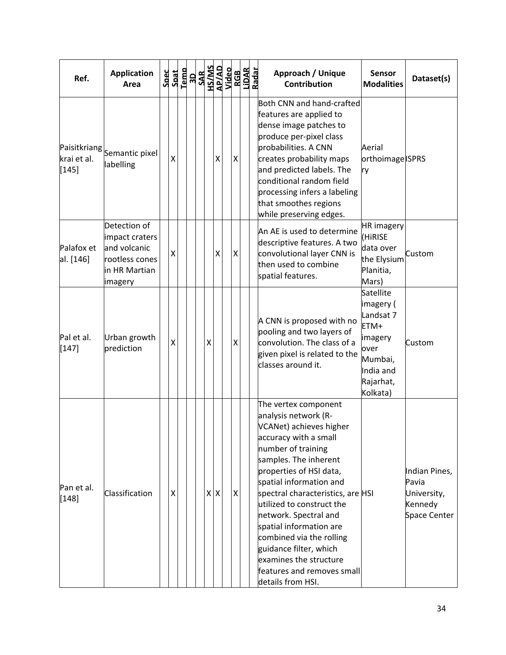| Ref.                                   | <b>Application</b><br>Area                                                                   | Spec | Spat |  |         |                    | National<br><b>SAR</b><br>SAR<br>SAR<br>AP/AD<br>AP/AD<br>AP/AD<br>AP/AD<br>AP/AD |   | RGB<br>LiDAR<br>Radar | Approach / Unique<br><b>Sensor</b><br>Dataset(s)<br><b>Contribution</b><br><b>Modalities</b>                                                                                                                                                                                                                                                                                                                                                                                                                                       |
|----------------------------------------|----------------------------------------------------------------------------------------------|------|------|--|---------|--------------------|-----------------------------------------------------------------------------------|---|-----------------------|------------------------------------------------------------------------------------------------------------------------------------------------------------------------------------------------------------------------------------------------------------------------------------------------------------------------------------------------------------------------------------------------------------------------------------------------------------------------------------------------------------------------------------|
| Paisitkriang<br>krai et al.<br>$[145]$ | Semantic pixel<br>labelling                                                                  |      | χ    |  |         | X                  |                                                                                   | X |                       | Both CNN and hand-crafted<br>features are applied to<br>dense image patches to<br>produce per-pixel class<br>probabilities. A CNN<br>Aerial<br>creates probability maps<br>orthoimage ISPRS<br>and predicted labels. The<br>ry<br>conditional random field<br>processing infers a labeling<br>that smoothes regions<br>while preserving edges.                                                                                                                                                                                     |
| Palafox et<br>al. [146]                | Detection of<br>impact craters<br>and volcanic<br>rootless cones<br>in HR Martian<br>imagery |      | Χ    |  |         | $\pmb{\mathsf{X}}$ |                                                                                   | Χ |                       | <b>HR</b> imagery<br>An AE is used to determine<br>(HIRISE<br>descriptive features. A two<br>data over<br>convolutional layer CNN is<br>Custom<br>the Elysium<br>then used to combine<br>Planitia,<br>spatial features.<br>Mars)                                                                                                                                                                                                                                                                                                   |
| Pal et al.<br>$[147]$                  | Urban growth<br>prediction                                                                   |      | Χ    |  | Χ       |                    |                                                                                   | Χ |                       | Satellite<br>imagery (<br>Landsat 7<br>A CNN is proposed with no<br>ETM+<br>pooling and two layers of<br>imagery<br>convolution. The class of a<br>Custom<br>over<br>given pixel is related to the<br>Mumbai,<br>classes around it.<br>India and<br>Rajarhat,<br>Kolkata)                                                                                                                                                                                                                                                          |
| Pan et al.<br>$[148]$                  | Classification                                                                               |      | X    |  | $X$ $X$ |                    |                                                                                   | X |                       | The vertex component<br>analysis network (R-<br>VCANet) achieves higher<br>accuracy with a small<br>number of training<br>samples. The inherent<br>properties of HSI data,<br>Indian Pines,<br>spatial information and<br>Pavia<br>spectral characteristics, are HSI<br>University,<br>utilized to construct the<br>Kennedy<br>network. Spectral and<br>Space Center<br>spatial information are<br>combined via the rolling<br>guidance filter, which<br>examines the structure<br>features and removes small<br>details from HSI. |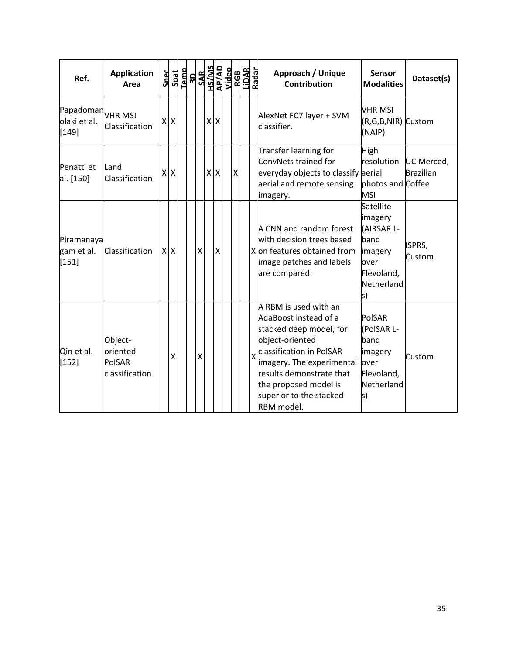| Ref.                                         | <b>Application</b><br>Area                      | Spec | Spat                      | Temp |   |            |   |   | $\begin{array}{r} \text{3D} \\ \text{SAR} \\ \text{SAMS} \\ \text{SAMS} \\ \text{MSS} \\ \text{MSS} \\ \text{MSS} \\ \text{NBS} \\ \text{RAS} \\ \text{NBS} \\ \text{NAS} \\ \text{NAS} \\ \text{NAS} \\ \text{NAS} \\ \text{NAS} \\ \text{NAS} \\ \text{NAS} \\ \text{NAS} \\ \text{NAS} \\ \text{NAS} \\ \text{NAS} \\ \text{NAS} \\ \text{NAS} \\ \text{NAS} \\ \text{NAS} \\ \text{NAS} \\ \text{NAS} \\ \text{NAS} \\ \text{NAS} \\ \text{NAS} \\ \$ | Approach / Unique<br><b>Sensor</b><br><b>Contribution</b><br><b>Modalities</b>                                                                                                                                                                                                                                                                                       | Dataset(s)                                   |
|----------------------------------------------|-------------------------------------------------|------|---------------------------|------|---|------------|---|---|-----------------------------------------------------------------------------------------------------------------------------------------------------------------------------------------------------------------------------------------------------------------------------------------------------------------------------------------------------------------------------------------------------------------------------------------------------------|----------------------------------------------------------------------------------------------------------------------------------------------------------------------------------------------------------------------------------------------------------------------------------------------------------------------------------------------------------------------|----------------------------------------------|
| Papadoman VHR MSI<br>olaki et al.<br>$[149]$ | Classification                                  | X    | $\boldsymbol{\mathsf{X}}$ |      |   | $x \mid x$ |   |   |                                                                                                                                                                                                                                                                                                                                                                                                                                                           | VHR MSI<br>AlexNet FC7 layer + SVM<br>classifier.<br>(NAIP)                                                                                                                                                                                                                                                                                                          | (R,G,B,NIR) Custom                           |
| Penatti et<br>al. [150]                      | Land<br>Classification                          | Χ    | $\overline{\mathsf{x}}$   |      |   | $X$ $X$    |   | X |                                                                                                                                                                                                                                                                                                                                                                                                                                                           | Transfer learning for<br>High<br>ConvNets trained for<br>resolution<br>everyday objects to classify aerial<br>aerial and remote sensing<br><b>MSI</b><br>imagery.                                                                                                                                                                                                    | UC Merced,<br>Brazilian<br>photos and Coffee |
| Piramanaya<br>gam et al.<br>[151]            | Classification                                  |      | $X$ $X$                   |      | X |            | Χ |   |                                                                                                                                                                                                                                                                                                                                                                                                                                                           | Satellite<br>imagery<br>A CNN and random forest<br>(AIRSAR L-<br>with decision trees based<br>band<br>X on features obtained from<br>imagery<br>image patches and labels<br>over<br>Flevoland,<br>are compared.<br>Netherland<br>ls)                                                                                                                                 | ISPRS,<br>Custom                             |
| Qin et al.<br>$[152]$                        | Object-<br>oriented<br>PolSAR<br>classification |      | X                         |      | X |            |   |   |                                                                                                                                                                                                                                                                                                                                                                                                                                                           | A RBM is used with an<br>AdaBoost instead of a<br>PolSAR<br>stacked deep model, for<br>(PolSAR L-<br>object-oriented<br>band<br>classification in PolSAR<br>imagery<br>$\overline{\mathsf{x}}$<br>imagery. The experimental<br>over<br>results demonstrate that<br>Flevoland,<br>Netherland<br>the proposed model is<br>superior to the stacked<br>ls)<br>RBM model. | Custom                                       |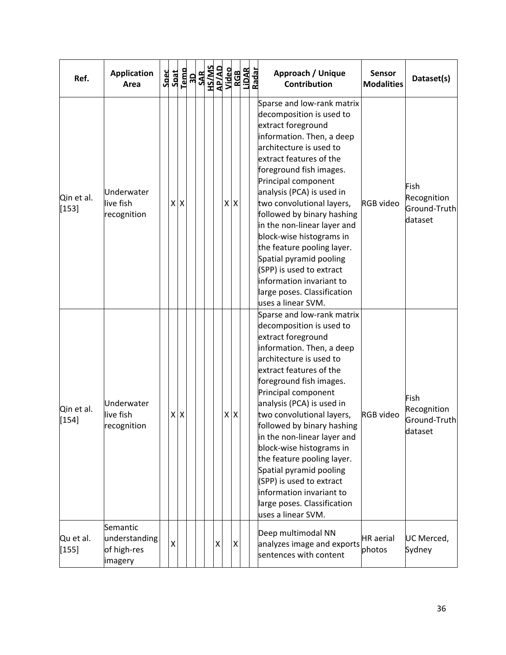| Ref.                  | <b>Application</b><br>Area                          |   |         | $\begin{tabular}{c} \bf 20c \\ \bf 30d \\ \bf 1cm \\ \bf 1cm \\ \bf 20d \\ \bf 30d \\ \bf 41d \\ \bf 20d \\ \bf 30d \\ \bf 41d \\ \bf 20d \\ \bf 30d \\ \bf 41d \\ \bf 42d \\ \bf 43d \\ \bf 44d \\ \bf 44d \\ \bf 45d \\ \bf 46d \\ \bf 47d \\ \bf 48d \\ \bf 48d \\ \bf 48d \\ \bf 48d \\ \bf 48d \\ \bf 48d \\ \bf 48d \\ \bf 49d \\ \bf 48d \\ \bf 49d \\ \bf 4$ |  |   |         |  | Approach / Unique<br><b>Contribution</b>                                                                                                                                                                                                                                                                                                                                                                                                                                                                                                   | <b>Sensor</b><br><b>Modalities</b> | Dataset(s)                                     |
|-----------------------|-----------------------------------------------------|---|---------|----------------------------------------------------------------------------------------------------------------------------------------------------------------------------------------------------------------------------------------------------------------------------------------------------------------------------------------------------------------------|--|---|---------|--|--------------------------------------------------------------------------------------------------------------------------------------------------------------------------------------------------------------------------------------------------------------------------------------------------------------------------------------------------------------------------------------------------------------------------------------------------------------------------------------------------------------------------------------------|------------------------------------|------------------------------------------------|
| Qin et al.<br>$[153]$ | Underwater<br>live fish<br>recognition              |   | $X$ $X$ |                                                                                                                                                                                                                                                                                                                                                                      |  |   | $X$ $X$ |  | Sparse and low-rank matrix<br>decomposition is used to<br>extract foreground<br>information. Then, a deep<br>architecture is used to<br>extract features of the<br>foreground fish images.<br>Principal component<br>analysis (PCA) is used in<br>two convolutional layers,<br>followed by binary hashing<br>in the non-linear layer and<br>block-wise histograms in<br>the feature pooling layer.<br>Spatial pyramid pooling<br>(SPP) is used to extract<br>information invariant to<br>large poses. Classification<br>uses a linear SVM. | <b>RGB</b> video                   | Fish<br>Recognition<br>Ground-Truth<br>dataset |
| Qin et al.<br>[154]   | Underwater<br>live fish<br>recognition              |   | $X$ $X$ |                                                                                                                                                                                                                                                                                                                                                                      |  |   | $X$ $X$ |  | Sparse and low-rank matrix<br>decomposition is used to<br>extract foreground<br>information. Then, a deep<br>architecture is used to<br>extract features of the<br>foreground fish images.<br>Principal component<br>analysis (PCA) is used in<br>two convolutional layers,<br>followed by binary hashing<br>in the non-linear layer and<br>block-wise histograms in<br>the feature pooling layer.<br>Spatial pyramid pooling<br>(SPP) is used to extract<br>information invariant to<br>large poses. Classification<br>uses a linear SVM. | <b>RGB</b> video                   | Fish<br>Recognition<br>Ground-Truth<br>dataset |
| Qu et al.<br>$[155]$  | Semantic<br>understanding<br>of high-res<br>imagery | Χ |         |                                                                                                                                                                                                                                                                                                                                                                      |  | X | X       |  | Deep multimodal NN<br>analyzes image and exports<br>sentences with content                                                                                                                                                                                                                                                                                                                                                                                                                                                                 | <b>HR</b> aerial<br>photos         | UC Merced,<br>Sydney                           |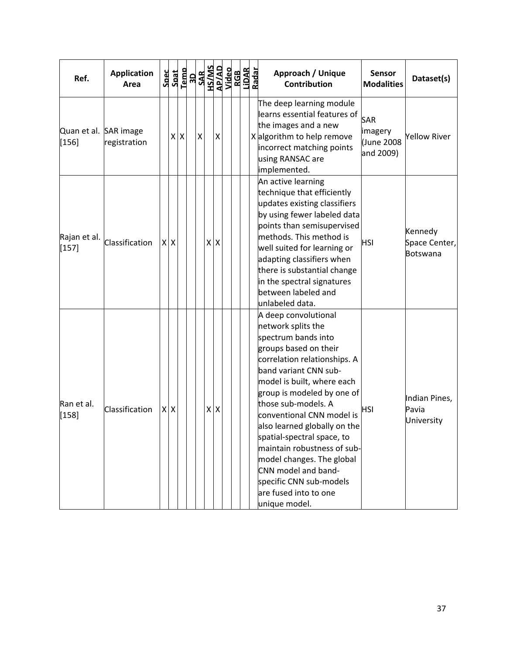| Ref.                           | <b>Application</b><br>Area | Spec<br>Spat | Temp    | <b>REAL STATE</b><br><b>RACTAL STATE</b><br><b>RACTAL STATE</b><br>RACTAL STATE<br>RACTAL STATE<br>RACTAL STATE |         |            |  |  | Approach / Unique<br><b>Contribution</b>                                                                                                                                                                                                                                                                                                                                                                                                                                                  | <b>Sensor</b><br><b>Modalities</b>              | Dataset(s)                           |
|--------------------------------|----------------------------|--------------|---------|-----------------------------------------------------------------------------------------------------------------|---------|------------|--|--|-------------------------------------------------------------------------------------------------------------------------------------------------------------------------------------------------------------------------------------------------------------------------------------------------------------------------------------------------------------------------------------------------------------------------------------------------------------------------------------------|-------------------------------------------------|--------------------------------------|
| Quan et al. SAR image<br>[156] | registration               |              | $X$ $X$ | $\pmb{\mathsf{X}}$                                                                                              |         | Χ          |  |  | The deep learning module<br>learns essential features of<br>the images and a new<br>X algorithm to help remove<br>incorrect matching points<br>using RANSAC are<br>implemented.                                                                                                                                                                                                                                                                                                           | <b>SAR</b><br>imagery<br>Uune 2008<br>and 2009) | <b>Yellow River</b>                  |
| Rajan et al.<br>$[157]$        | Classification             | $X$ $X$      |         |                                                                                                                 | $X$ $X$ |            |  |  | An active learning<br>technique that efficiently<br>updates existing classifiers<br>by using fewer labeled data<br>points than semisupervised<br>methods. This method is<br>well suited for learning or<br>adapting classifiers when<br>there is substantial change<br>in the spectral signatures<br>between labeled and<br>unlabeled data.                                                                                                                                               | <b>HSI</b>                                      | Kennedy<br>Space Center,<br>Botswana |
| Ran et al.<br>[158]            | Classification             | XX           |         |                                                                                                                 |         | $x \mid x$ |  |  | A deep convolutional<br>network splits the<br>spectrum bands into<br>groups based on their<br>correlation relationships. A<br>band variant CNN sub-<br>model is built, where each<br>group is modeled by one of<br>those sub-models. A<br>conventional CNN model is<br>also learned globally on the<br>spatial-spectral space, to<br>maintain robustness of sub-<br>model changes. The global<br>CNN model and band-<br>specific CNN sub-models<br>are fused into to one<br>unique model. | <b>HSI</b>                                      | Indian Pines,<br>Pavia<br>University |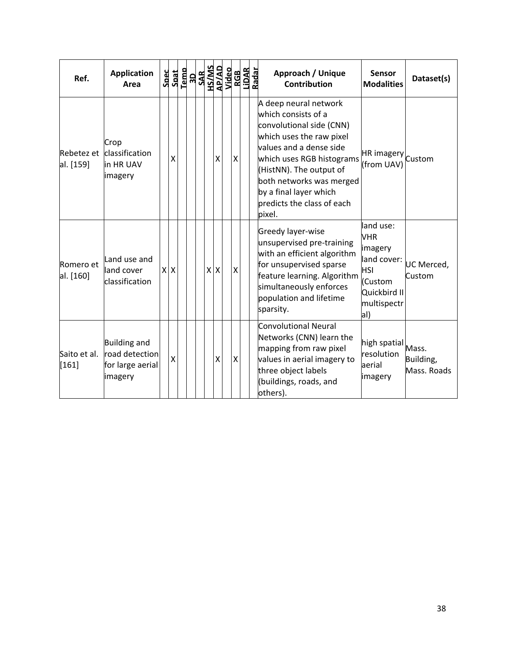| Ref.                    | <b>Application</b><br>Area                                           | <b>Spec</b> | Spat    | Tempo<br>1901<br>SAK<br>AP/AD<br>Nideo<br>Nidar<br>Nidar<br>Radar<br>Radar |            |   |   |  | Approach / Unique<br><b>Contribution</b>                                                                                                                                                                                                                                              | <b>Sensor</b><br><b>Modalities</b>                                                                               | Dataset(s)               |
|-------------------------|----------------------------------------------------------------------|-------------|---------|----------------------------------------------------------------------------|------------|---|---|--|---------------------------------------------------------------------------------------------------------------------------------------------------------------------------------------------------------------------------------------------------------------------------------------|------------------------------------------------------------------------------------------------------------------|--------------------------|
| Rebetez et<br>al. [159] | Crop<br>classification<br>in HR UAV<br>imagery                       |             | X       |                                                                            |            | X | X |  | A deep neural network<br>which consists of a<br>convolutional side (CNN)<br>which uses the raw pixel<br>values and a dense side<br>which uses RGB histograms<br>(HistNN). The output of<br>both networks was merged<br>by a final layer which<br>predicts the class of each<br>pixel. | HR imagery Custom<br>(from UAV)                                                                                  |                          |
| Romero et<br>al. [160]  | Land use and<br>land cover<br>classification                         |             | $X$ $X$ |                                                                            | $x \mid x$ |   | Χ |  | Greedy layer-wise<br>unsupervised pre-training<br>with an efficient algorithm<br>for unsupervised sparse<br>feature learning. Algorithm<br>simultaneously enforces<br>population and lifetime<br>sparsity.                                                                            | land use:<br><b>VHR</b><br>imagery<br>land cover:<br><b>HSI</b><br>(Custom<br>Quickbird II<br>multispectr<br>al) | UC Merced,<br>Custom     |
| Saito et al.<br>$[161]$ | <b>Building and</b><br>road detection<br>for large aerial<br>imagery |             | X       |                                                                            |            | X | X |  | Convolutional Neural<br>Networks (CNN) learn the<br>mapping from raw pixel<br>values in aerial imagery to<br>three object labels<br>(buildings, roads, and<br>others).                                                                                                                | high spatial Mass.<br>resolution<br>aerial<br>imagery                                                            | Building,<br>Mass. Roads |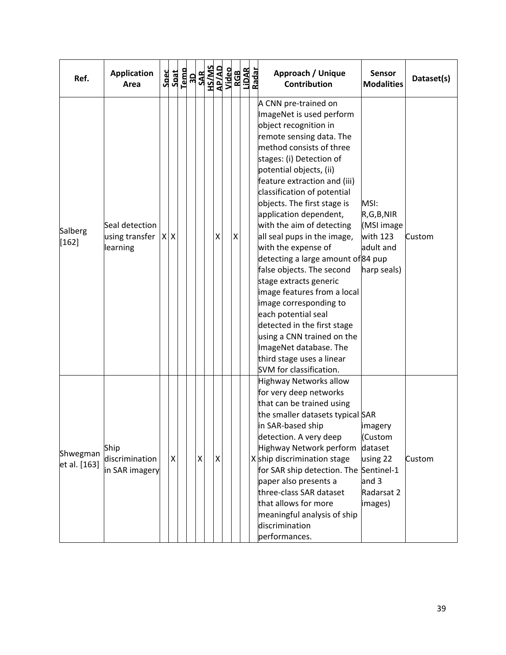| Ref.                     | <b>Application</b><br>Area                   | Spec | Spat    | Temp | <b>RDNAD</b><br><b>GRANG<br/>AR/AD<br/>ANGE<br/>ANGE<br/>ASAB</b> |   |   |   | LiDAR<br>Radar | Approach / Unique<br><b>Sensor</b><br>Dataset(s)<br><b>Contribution</b><br><b>Modalities</b>                                                                                                                                                                                                                                                                                                                                                                                                                                                                                                                                                                                                                                                                                                                         |
|--------------------------|----------------------------------------------|------|---------|------|-------------------------------------------------------------------|---|---|---|----------------|----------------------------------------------------------------------------------------------------------------------------------------------------------------------------------------------------------------------------------------------------------------------------------------------------------------------------------------------------------------------------------------------------------------------------------------------------------------------------------------------------------------------------------------------------------------------------------------------------------------------------------------------------------------------------------------------------------------------------------------------------------------------------------------------------------------------|
| Salberg<br>$[162]$       | Seal detection<br>using transfer<br>learning |      | $X$ $X$ |      |                                                                   |   | Χ | X |                | A CNN pre-trained on<br>ImageNet is used perform<br>object recognition in<br>remote sensing data. The<br>method consists of three<br>stages: (i) Detection of<br>potential objects, (ii)<br>feature extraction and (iii)<br>classification of potential<br>objects. The first stage is<br>MSI:<br>application dependent,<br>R,G,B,NIR<br>with the aim of detecting<br>(MSI image<br>all seal pups in the image,<br>with 123<br>Custom<br>with the expense of<br>adult and<br>detecting a large amount of 84 pup<br>false objects. The second<br>harp seals)<br>stage extracts generic<br>image features from a local<br>image corresponding to<br>each potential seal<br>detected in the first stage<br>using a CNN trained on the<br>ImageNet database. The<br>third stage uses a linear<br>SVM for classification. |
| Shwegman<br>et al. [163] | Ship<br>discrimination<br>in SAR imagery     |      | X       |      |                                                                   | Χ | X |   |                | Highway Networks allow<br>for very deep networks<br>that can be trained using<br>the smaller datasets typical SAR<br>in SAR-based ship<br>imagery<br>detection. A very deep<br>(Custom<br>Highway Network perform<br>dataset<br>X ship discrimination stage<br>using 22<br>Custom<br>for SAR ship detection. The Sentinel-1<br>paper also presents a<br>and 3<br>three-class SAR dataset<br>Radarsat 2<br>that allows for more<br>images)<br>meaningful analysis of ship<br>discrimination<br>performances.                                                                                                                                                                                                                                                                                                          |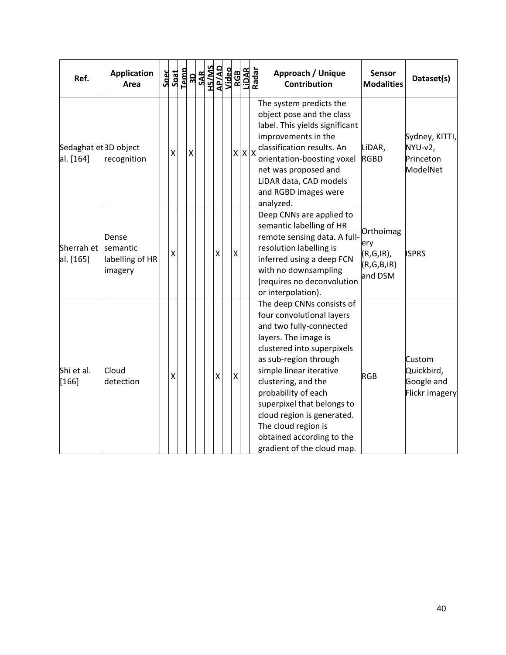| Ref.                                          | <b>Application</b><br>Area                      | $\begin{tabular}{c} 5 \mathtt{back} \\ 5 \mathtt{path} \\ 1 \mathtt{emb} \\ 3 \mathtt{new} \\ 4 \mathtt{MSS} \\ 5 \mathtt{MSS} \\ 6 \mathtt{HSS} \\ 7 \mathtt{HSS} \\ 1 \mathtt{BSS} \\ 1 \mathtt{BSS} \\ 1 \mathtt{BSS} \\ 1 \mathtt{BSS} \\ 1 \mathtt{BSS} \\ 1 \mathtt{BSS} \\ 1 \mathtt{BSS} \\ 1 \mathtt{BSS} \\ 1 \mathtt{BSS} \\ 1 \mathtt{BSS} \\ 1 \mathtt{BSS} \\ 1 \mathtt{BSS} \\ 1 \mathtt{BSS} \\ 1 \mathtt{$ |   |  |   |                    |                   | Approach / Unique<br><b>Contribution</b>                                                                                                                                                                                                                                                                                                                                                | <b>Sensor</b><br><b>Modalities</b>                        | Dataset(s)                                           |
|-----------------------------------------------|-------------------------------------------------|-----------------------------------------------------------------------------------------------------------------------------------------------------------------------------------------------------------------------------------------------------------------------------------------------------------------------------------------------------------------------------------------------------------------------------|---|--|---|--------------------|-------------------|-----------------------------------------------------------------------------------------------------------------------------------------------------------------------------------------------------------------------------------------------------------------------------------------------------------------------------------------------------------------------------------------|-----------------------------------------------------------|------------------------------------------------------|
| Sedaghat et <sup>3D</sup> object<br>al. [164] | recognition                                     | X                                                                                                                                                                                                                                                                                                                                                                                                                           | X |  |   |                    | $x \mid x \mid x$ | The system predicts the<br>object pose and the class<br>label. This yields significant<br>improvements in the<br>classification results. An<br>orientation-boosting voxel<br>net was proposed and<br>LiDAR data, CAD models<br>and RGBD images were<br>analyzed.                                                                                                                        | LiDAR,<br><b>RGBD</b>                                     | Sydney, KITTI,<br>NYU-v2,<br>Princeton<br>ModelNet   |
| Sherrah et<br>al. [165]                       | Dense<br>semantic<br>labelling of HR<br>imagery | $\mathsf{\chi}$                                                                                                                                                                                                                                                                                                                                                                                                             |   |  | X | $\pmb{\mathsf{X}}$ |                   | Deep CNNs are applied to<br>semantic labelling of HR<br>remote sensing data. A full-<br>resolution labelling is<br>inferred using a deep FCN<br>with no downsampling<br>(requires no deconvolution<br>or interpolation).                                                                                                                                                                | Orthoimag<br>ery<br>$(R,G,IR)$ ,<br>(R,G,B,IR)<br>and DSM | <b>ISPRS</b>                                         |
| Shi et al.<br>$[166]$                         | Cloud<br>detection                              | Χ                                                                                                                                                                                                                                                                                                                                                                                                                           |   |  | X | X                  |                   | The deep CNNs consists of<br>four convolutional layers<br>and two fully-connected<br>layers. The image is<br>clustered into superpixels<br>as sub-region through<br>simple linear iterative<br>clustering, and the<br>probability of each<br>superpixel that belongs to<br>cloud region is generated.<br>The cloud region is<br>obtained according to the<br>gradient of the cloud map. | <b>RGB</b>                                                | Custom<br>Quickbird,<br>Google and<br>Flickr imagery |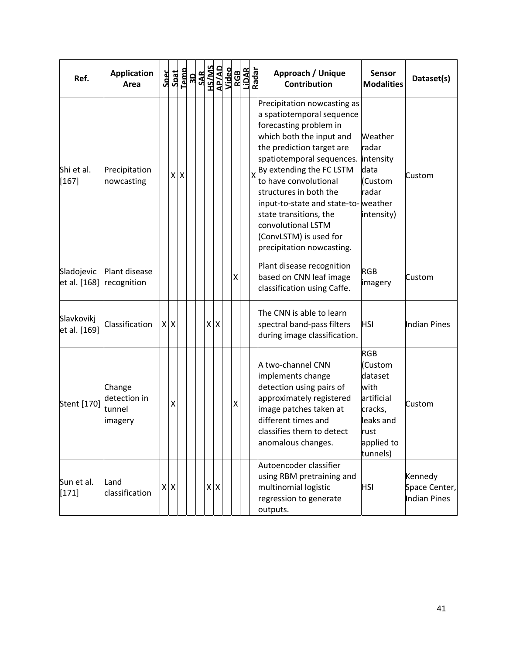| Ref.                       | <b>Application</b><br>Area                  | <b>Spec</b> | Spat                      | Temp               | <b>RDNA<br/>ORTAD<br/>ORTAD<br/>ORTAD<br/>ANGE<br/>ORTADADE</b> |         |  |   | LiDAR<br>Radar | Approach / Unique<br><b>Sensor</b><br>Dataset(s)<br>Contribution<br><b>Modalities</b>                                                                                                                                                                                                                                                                                                                                                                                                                    |
|----------------------------|---------------------------------------------|-------------|---------------------------|--------------------|-----------------------------------------------------------------|---------|--|---|----------------|----------------------------------------------------------------------------------------------------------------------------------------------------------------------------------------------------------------------------------------------------------------------------------------------------------------------------------------------------------------------------------------------------------------------------------------------------------------------------------------------------------|
| Shi et al.<br>$[167]$      | Precipitation<br>nowcasting                 |             | X                         | $\pmb{\mathsf{X}}$ |                                                                 |         |  |   |                | Precipitation nowcasting as<br>a spatiotemporal sequence<br>forecasting problem in<br>which both the input and<br>Weather<br>the prediction target are<br>radar<br>spatiotemporal sequences.<br>intensity<br>X <sup>By</sup> extending the FC LSTM<br>data<br>Custom<br>to have convolutional<br>(Custom<br>structures in both the<br>radar<br>input-to-state and state-to- weather<br>state transitions, the<br>intensity)<br>convolutional LSTM<br>(ConvLSTM) is used for<br>precipitation nowcasting. |
| Sladojevic<br>et al. [168] | Plant disease<br>recognition                |             |                           |                    |                                                                 |         |  | X |                | Plant disease recognition<br><b>RGB</b><br>based on CNN leaf image<br>Custom<br>imagery<br>classification using Caffe.                                                                                                                                                                                                                                                                                                                                                                                   |
| Slavkovikj<br>et al. [169] | Classification                              |             | $X$ $X$                   |                    |                                                                 | $X$ $X$ |  |   |                | The CNN is able to learn<br>spectral band-pass filters<br><b>HSI</b><br>Indian Pines<br>during image classification.                                                                                                                                                                                                                                                                                                                                                                                     |
| Stent [170]                | Change<br>detection in<br>tunnel<br>imagery |             | Χ                         |                    |                                                                 |         |  | Χ |                | <b>RGB</b><br>A two-channel CNN<br>(Custom<br>implements change<br>dataset<br>detection using pairs of<br>with<br>approximately registered<br>artificial<br>Custom<br>image patches taken at<br>cracks,<br>different times and<br>leaks and<br>classifies them to detect<br>rust<br>anomalous changes.<br>applied to<br>tunnels)                                                                                                                                                                         |
| Sun et al.<br>$[171]$      | Land<br>classification                      | X           | $\boldsymbol{\mathsf{X}}$ |                    |                                                                 | $X$ $X$ |  |   |                | Autoencoder classifier<br>using RBM pretraining and<br>Kennedy<br>multinomial logistic<br><b>HSI</b><br>Space Center,<br>regression to generate<br>Indian Pines<br>outputs.                                                                                                                                                                                                                                                                                                                              |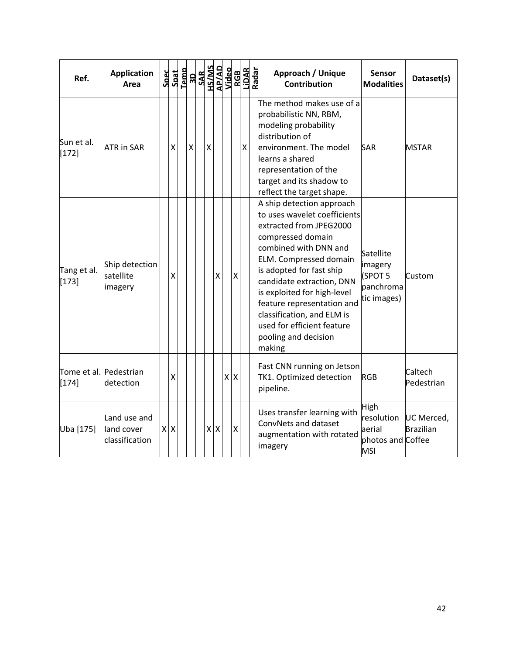| Ref.                              | <b>Application</b><br>Area                   | Spec<br>Spat<br>Temp |   | $\begin{array}{r} \text{3D} \\ \text{SAR} \\ \text{SAMS} \\ \text{AB} \\ \text{APIAD} \\ \text{Nides} \\ \text{N1B} \\ \text{R1B} \\ \text{R1B} \\ \text{R1B} \\ \text{R1B} \\ \text{R2B} \\ \text{R2B} \\ \text{R3B} \\ \text{R4B} \\ \text{R4B} \\ \text{R4B} \\ \text{R4B} \\ \text{R4B} \\ \text{R4B} \\ \text{R4B} \\ \text{R4B} \\ \text{R4B} \\ \text{R4B} \\ \text{R4B} \\ \text{R4B} \\ \text{R4B} \\ \text$ |                    |                    |   | Approach / Unique<br>Contribution                                                                                                                                                                                                                                                                                                                                                       | <b>Sensor</b><br><b>Modalities</b>                              | Dataset(s)                     |
|-----------------------------------|----------------------------------------------|----------------------|---|-----------------------------------------------------------------------------------------------------------------------------------------------------------------------------------------------------------------------------------------------------------------------------------------------------------------------------------------------------------------------------------------------------------------------|--------------------|--------------------|---|-----------------------------------------------------------------------------------------------------------------------------------------------------------------------------------------------------------------------------------------------------------------------------------------------------------------------------------------------------------------------------------------|-----------------------------------------------------------------|--------------------------------|
| Sun et al.<br>$[172]$             | <b>ATR in SAR</b>                            | Χ                    | X | X                                                                                                                                                                                                                                                                                                                                                                                                                     |                    |                    | X | The method makes use of a<br>probabilistic NN, RBM,<br>modeling probability<br>distribution of<br>environment. The model<br>learns a shared<br>representation of the<br>target and its shadow to<br>reflect the target shape.                                                                                                                                                           | <b>SAR</b>                                                      | <b>MSTAR</b>                   |
| Tang et al.<br>$[173]$            | Ship detection<br>satellite<br>imagery       | X                    |   |                                                                                                                                                                                                                                                                                                                                                                                                                       | $\pmb{\mathsf{X}}$ | $\pmb{\mathsf{X}}$ |   | A ship detection approach<br>to uses wavelet coefficients<br>extracted from JPEG2000<br>compressed domain<br>combined with DNN and<br><b>ELM.</b> Compressed domain<br>is adopted for fast ship<br>candidate extraction, DNN<br>is exploited for high-level<br>feature representation and<br>classification, and ELM is<br>used for efficient feature<br>pooling and decision<br>making | Satellite<br>imagery<br>(SPOT 5<br>panchroma<br>tic images)     | Custom                         |
| Tome et al. Pedestrian<br>$[174]$ | detection                                    | X                    |   |                                                                                                                                                                                                                                                                                                                                                                                                                       |                    | $x \mid x$         |   | Fast CNN running on Jetson<br>TK1. Optimized detection<br>pipeline.                                                                                                                                                                                                                                                                                                                     | <b>RGB</b>                                                      | Caltech<br>Pedestrian          |
| Uba [175]                         | Land use and<br>land cover<br>classification | $x \mid x$           |   |                                                                                                                                                                                                                                                                                                                                                                                                                       | $x \mid x$         | X                  |   | Uses transfer learning with<br>ConvNets and dataset<br>augmentation with rotated<br>imagery                                                                                                                                                                                                                                                                                             | High<br>resolution<br>aerial<br>photos and Coffee<br><b>MSI</b> | UC Merced,<br><b>Brazilian</b> |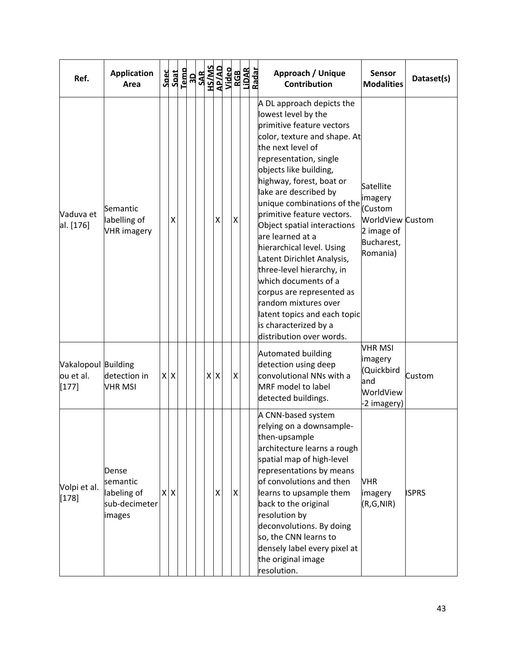| Ref.                                        | <b>Application</b><br>Area                                  |         | $\begin{array}{r} \texttt{Spect} \\ \texttt{Spat} \\ \texttt{I-emb} \\ \texttt{SAR} \\ \texttt{SAR} \\ \texttt{SAR} \\ \texttt{MSSAB} \\ \texttt{MSSAB} \\ \texttt{MSSAB} \\ \texttt{Nideo} \end{array}$ |  |     |   |                | RGB<br>LiDAR<br>Radar | Approach / Unique<br><b>Sensor</b><br>Dataset(s)<br><b>Contribution</b><br><b>Modalities</b>                                                                                                                                                                                                                                                                                                                                                                                                                                                                                                                                                                                                                        |  |
|---------------------------------------------|-------------------------------------------------------------|---------|----------------------------------------------------------------------------------------------------------------------------------------------------------------------------------------------------------|--|-----|---|----------------|-----------------------|---------------------------------------------------------------------------------------------------------------------------------------------------------------------------------------------------------------------------------------------------------------------------------------------------------------------------------------------------------------------------------------------------------------------------------------------------------------------------------------------------------------------------------------------------------------------------------------------------------------------------------------------------------------------------------------------------------------------|--|
| Vaduva et<br>al. [176]                      | Semantic<br>labelling of<br><b>VHR</b> imagery              | x       |                                                                                                                                                                                                          |  |     | X | $\pmb{\times}$ |                       | A DL approach depicts the<br>lowest level by the<br>primitive feature vectors<br>color, texture and shape. At<br>the next level of<br>representation, single<br>objects like building,<br>highway, forest, boat or<br>Satellite<br>lake are described by<br>imagery<br>unique combinations of the<br>(Custom<br>primitive feature vectors.<br>WorldView Custom<br>Object spatial interactions<br>2 image of<br>are learned at a<br>Bucharest,<br>hierarchical level. Using<br>Romania)<br>Latent Dirichlet Analysis,<br>three-level hierarchy, in<br>which documents of a<br>corpus are represented as<br>random mixtures over<br>latent topics and each topic<br>is characterized by a<br>distribution over words. |  |
| Vakalopoul Building<br>ou et al.<br>$[177]$ | detection in<br><b>VHR MSI</b>                              | $X$ $X$ |                                                                                                                                                                                                          |  | x x |   | X              |                       | <b>VHR MSI</b><br>Automated building<br>imagery<br>detection using deep<br>(Quickbird<br>convolutional NNs with a<br>Custom<br>and<br>MRF model to label<br>WorldView<br>detected buildings.<br>-2 imagery)                                                                                                                                                                                                                                                                                                                                                                                                                                                                                                         |  |
| Volpi et al.<br>$[178]$                     | Dense<br>semantic<br>labeling of<br>sub-decimeter<br>images | x x     |                                                                                                                                                                                                          |  |     | X | $\pmb{\times}$ |                       | A CNN-based system<br>relying on a downsample-<br>then-upsample<br>architecture learns a rough<br>spatial map of high-level<br>representations by means<br>of convolutions and then<br><b>VHR</b><br>learns to upsample them<br><b>ISPRS</b><br>imagery<br>back to the original<br>(R,G,NIR)<br>resolution by<br>deconvolutions. By doing<br>so, the CNN learns to<br>densely label every pixel at<br>the original image<br>resolution.                                                                                                                                                                                                                                                                             |  |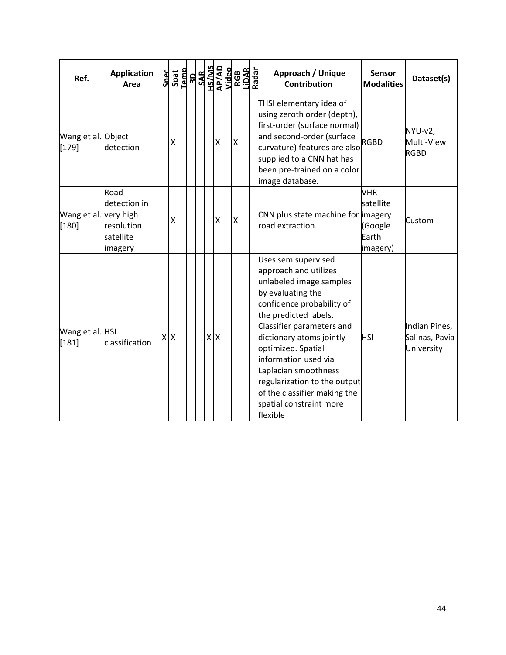| Ref.                        | <b>Application</b><br>Area                                              | Spec | Spat    | $\begin{array}{r}\n\text{Temp} \\ \begin{array}{r}\n\text{JAD} \\ \text{JAB} \\ \text{MS} \\ \text{AlMIS} \\ \text{AlMIS} \\ \text{AlG} \\ \text{AlG} \\ \text{Na} \\ \text{Na} \\ \text{Na} \\ \text{Na} \\ \text{Na} \\ \text{Na} \\ \text{Na} \\ \text{Na} \\ \text{Na} \\ \text{Na} \\ \text{Na} \\ \text{Na} \\ \text{Na} \\ \text{Na} \\ \text{Na} \\ \text{Na} \\ \text{Na} \\ \text{Na} \\ \text{Na} \\ \text{Na} \\ \text{Na} \\ \text{Na} \\ \text{Na} \\ \text{Na} \\ \text{Na$ |            |                 |                    | RGB<br>LiDAR<br>Radar | Approach / Unique<br>Contribution                                                                                                                                                                                                                                                                                                                                                        | Sensor<br><b>Modalities</b>                             | Dataset(s)                                    |
|-----------------------------|-------------------------------------------------------------------------|------|---------|--------------------------------------------------------------------------------------------------------------------------------------------------------------------------------------------------------------------------------------------------------------------------------------------------------------------------------------------------------------------------------------------------------------------------------------------------------------------------------------------|------------|-----------------|--------------------|-----------------------|------------------------------------------------------------------------------------------------------------------------------------------------------------------------------------------------------------------------------------------------------------------------------------------------------------------------------------------------------------------------------------------|---------------------------------------------------------|-----------------------------------------------|
| Wang et al. Object<br>[179] | detection                                                               |      | χ       |                                                                                                                                                                                                                                                                                                                                                                                                                                                                                            |            | $\mathsf{\chi}$ | $\pmb{\mathsf{X}}$ |                       | THSI elementary idea of<br>using zeroth order (depth),<br>first-order (surface normal)<br>and second-order (surface<br>curvature) features are also<br>supplied to a CNN hat has<br>been pre-trained on a color<br>image database.                                                                                                                                                       | <b>RGBD</b>                                             | NYU-v2,<br>Multi-View<br><b>RGBD</b>          |
| Wang et al.<br>$[180]$      | Road<br>detection in<br>very high<br>resolution<br>satellite<br>imagery |      | X       |                                                                                                                                                                                                                                                                                                                                                                                                                                                                                            |            | Χ               | $\mathsf{X}$       |                       | CNN plus state machine for imagery<br>road extraction.                                                                                                                                                                                                                                                                                                                                   | <b>VHR</b><br>satellite<br>(Google<br>Earth<br>imagery) | Custom                                        |
| Wang et al. HSI<br>$[181]$  | classification                                                          |      | $X$ $X$ |                                                                                                                                                                                                                                                                                                                                                                                                                                                                                            | $x \mid x$ |                 |                    |                       | Uses semisupervised<br>approach and utilizes<br>unlabeled image samples<br>by evaluating the<br>confidence probability of<br>the predicted labels.<br>Classifier parameters and<br>dictionary atoms jointly<br>optimized. Spatial<br>information used via<br>Laplacian smoothness<br>regularization to the output<br>of the classifier making the<br>spatial constraint more<br>flexible | <b>HSI</b>                                              | Indian Pines,<br>Salinas, Pavia<br>University |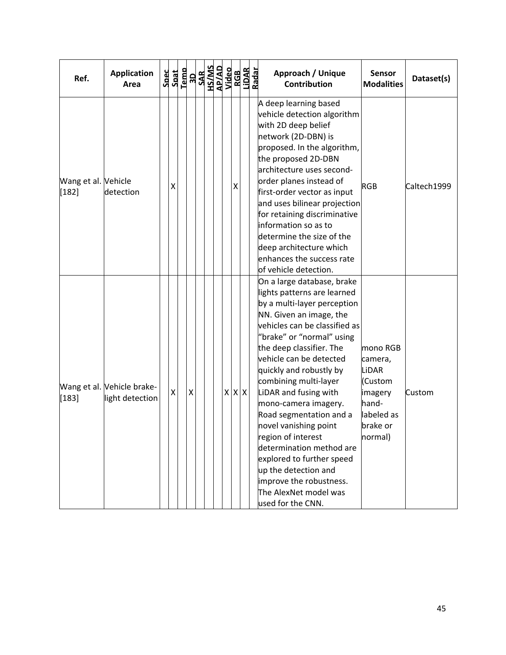| Ref.                           | <b>Application</b><br>Area                    | Spec<br>Spat | Temp | <b>RESEAR SEPARATES</b><br><b>RACTAL STAR SEPARATES</b><br><b>RACTAL STAR SEPARATES</b><br>RACTAL SEPARATES<br>RACTAL SEPARATES |  |             |   |  | Approach / Unique<br><b>Sensor</b><br>Dataset(s)<br><b>Contribution</b><br><b>Modalities</b>                                                                                                                                                                                                                                                                                                                                                                                                                                                                                                                                                                                                           |
|--------------------------------|-----------------------------------------------|--------------|------|---------------------------------------------------------------------------------------------------------------------------------|--|-------------|---|--|--------------------------------------------------------------------------------------------------------------------------------------------------------------------------------------------------------------------------------------------------------------------------------------------------------------------------------------------------------------------------------------------------------------------------------------------------------------------------------------------------------------------------------------------------------------------------------------------------------------------------------------------------------------------------------------------------------|
| Wang et al. Vehicle<br>$[182]$ | detection                                     | X            |      |                                                                                                                                 |  |             | Χ |  | A deep learning based<br>vehicle detection algorithm<br>with 2D deep belief<br>network (2D-DBN) is<br>proposed. In the algorithm,<br>the proposed 2D-DBN<br>architecture uses second-<br>order planes instead of<br><b>RGB</b><br>Caltech1999<br>first-order vector as input<br>and uses bilinear projection<br>for retaining discriminative<br>information so as to<br>determine the size of the<br>deep architecture which<br>enhances the success rate<br>of vehicle detection.                                                                                                                                                                                                                     |
| $[183]$                        | Wang et al. Vehicle brake-<br>light detection | X            |      | Χ                                                                                                                               |  | $X$ $X$ $X$ |   |  | On a large database, brake<br>lights patterns are learned<br>by a multi-layer perception<br>NN. Given an image, the<br>vehicles can be classified as<br>"brake" or "normal" using<br>the deep classifier. The<br>mono RGB<br>vehicle can be detected<br>camera,<br>quickly and robustly by<br><b>LiDAR</b><br>combining multi-layer<br>(Custom<br>LiDAR and fusing with<br>imagery<br>Custom<br>mono-camera imagery.<br>hand-<br>Road segmentation and a<br>labeled as<br>novel vanishing point<br>brake or<br>region of interest<br>normal)<br>determination method are<br>explored to further speed<br>up the detection and<br>improve the robustness.<br>The AlexNet model was<br>used for the CNN. |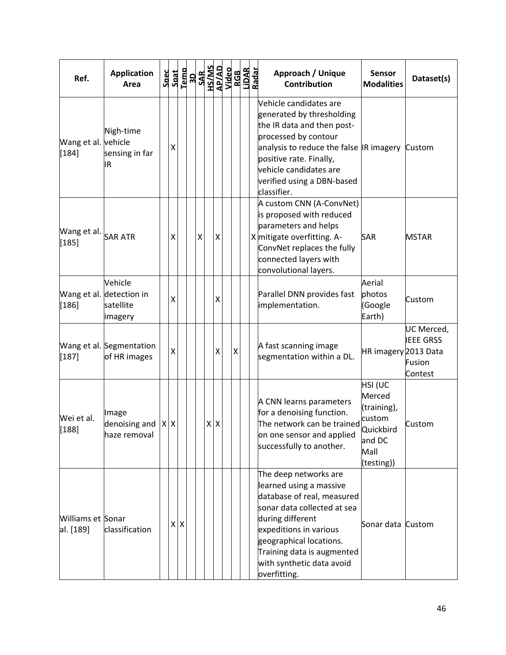| Ref.                           | <b>Application</b><br>Area                                         |         |    |   | $\begin{tabular}{c} 5 \mathtt{back} \\ 5 \mathtt{path} \\ 1 \mathtt{map} \\ 3 \mathtt{new} \\ 4 \mathtt{new} \\ 5 \mathtt{new} \\ 6 \mathtt{new} \\ 7 \mathtt{new} \\ 1 \mathtt{new} \\ 1 \mathtt{new} \\ 1 \mathtt{new} \\ 1 \mathtt{new} \\ 1 \mathtt{new} \\ 1 \mathtt{new} \\ 1 \mathtt{new} \\ 1 \mathtt{new} \\ 1 \mathtt{new} \\ 1 \mathtt{new} \\ 1 \mathtt{new} \\ 1 \mathtt{new} \\ 1 \mathtt{new} \\ 1 \mathtt{new} \\ 1 \mathtt{new} \\ 1 \mathtt$ |   |                    |  | Approach / Unique<br><b>Contribution</b>                                                                                                                                                                                                                          | <b>Sensor</b><br><b>Modalities</b>                                                      | Dataset(s)                                          |
|--------------------------------|--------------------------------------------------------------------|---------|----|---|----------------------------------------------------------------------------------------------------------------------------------------------------------------------------------------------------------------------------------------------------------------------------------------------------------------------------------------------------------------------------------------------------------------------------------------------------------------|---|--------------------|--|-------------------------------------------------------------------------------------------------------------------------------------------------------------------------------------------------------------------------------------------------------------------|-----------------------------------------------------------------------------------------|-----------------------------------------------------|
| Wang et al. vehicle<br>$[184]$ | Nigh-time<br>sensing in far<br>IR                                  | X       |    |   |                                                                                                                                                                                                                                                                                                                                                                                                                                                                |   |                    |  | Vehicle candidates are<br>generated by thresholding<br>the IR data and then post-<br>processed by contour<br>analysis to reduce the false IR imagery<br>positive rate. Finally,<br>vehicle candidates are<br>verified using a DBN-based<br>classifier.            |                                                                                         | Custom                                              |
| Wang et al.<br>$[185]$         | <b>SAR ATR</b>                                                     | X       |    | Χ |                                                                                                                                                                                                                                                                                                                                                                                                                                                                | X |                    |  | A custom CNN (A-ConvNet)<br>is proposed with reduced<br>parameters and helps<br>X mitigate overfitting. A-<br>ConvNet replaces the fully<br>connected layers with<br>convolutional layers.                                                                        | <b>SAR</b>                                                                              | MSTAR                                               |
| $[186]$                        | Vehicle<br>Wang et al. detection in<br>satellite<br><b>imagery</b> | X       |    |   |                                                                                                                                                                                                                                                                                                                                                                                                                                                                | X |                    |  | Parallel DNN provides fast<br>implementation.                                                                                                                                                                                                                     | Aerial<br>photos<br>(Google<br>Earth)                                                   | Custom                                              |
| $[187]$                        | Wang et al. Segmentation<br>of HR images                           | X       |    |   |                                                                                                                                                                                                                                                                                                                                                                                                                                                                | X | $\pmb{\mathsf{X}}$ |  | A fast scanning image<br>segmentation within a DL.                                                                                                                                                                                                                | HR imagery 2013 Data                                                                    | UC Merced,<br><b>IEEE GRSS</b><br>Fusion<br>Contest |
| Wei et al.<br>[188]            | Image<br>denoising and<br>haze removal                             | $X$ $X$ |    |   | $X$ $X$                                                                                                                                                                                                                                                                                                                                                                                                                                                        |   |                    |  | A CNN learns parameters<br>for a denoising function.<br>The network can be trained<br>on one sensor and applied<br>successfully to another.                                                                                                                       | HSI (UC<br>Merced<br>(training),<br>custom<br>Quickbird<br>and DC<br>Mall<br>(testing)) | Custom                                              |
| Williams et Sonar<br>al. [189] | classification                                                     |         | XX |   |                                                                                                                                                                                                                                                                                                                                                                                                                                                                |   |                    |  | The deep networks are<br>learned using a massive<br>database of real, measured<br>sonar data collected at sea<br>during different<br>expeditions in various<br>geographical locations.<br>Training data is augmented<br>with synthetic data avoid<br>overfitting. | Sonar data Custom                                                                       |                                                     |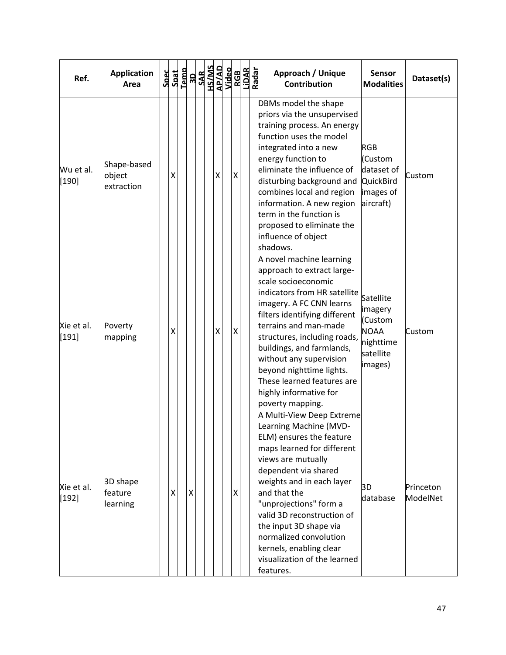| Ref.                  | <b>Application</b><br>Area          | Spec | Spat |              |  |                    | $\begin{array}{r}\n\text{Temp} \\ \begin{array}{r}\n\text{18} \\ \text{19} \\ \text{19} \\ \text{19} \\ \text{19} \\ \text{19} \\ \text{19} \\ \text{19} \\ \text{19} \\ \text{10} \\ \text{10} \\ \text{10} \\ \text{10} \\ \text{10} \\ \text{10} \\ \text{10} \\ \text{11} \\ \text{10} \\ \text{11} \\ \text{10} \\ \text{11} \\ \text{10} \\ \text{11} \\ \text{11} \\ \text{12} \\ \text{12} \\ \text{13} \\ \text{14} \\ \text$ |                    | RGB<br>LiDAR<br>Radar | Approach / Unique<br><b>Sensor</b><br>Dataset(s)<br><b>Contribution</b><br><b>Modalities</b>                                                                                                                                                                                                                                                                                                                                                                                                         |
|-----------------------|-------------------------------------|------|------|--------------|--|--------------------|----------------------------------------------------------------------------------------------------------------------------------------------------------------------------------------------------------------------------------------------------------------------------------------------------------------------------------------------------------------------------------------------------------------------------------------|--------------------|-----------------------|------------------------------------------------------------------------------------------------------------------------------------------------------------------------------------------------------------------------------------------------------------------------------------------------------------------------------------------------------------------------------------------------------------------------------------------------------------------------------------------------------|
| Wu et al.<br>$[190]$  | Shape-based<br>object<br>extraction |      | х    |              |  | $\pmb{\mathsf{X}}$ |                                                                                                                                                                                                                                                                                                                                                                                                                                        | Χ                  |                       | DBMs model the shape<br>priors via the unsupervised<br>training process. An energy<br>function uses the model<br>integrated into a new<br><b>RGB</b><br>energy function to<br>(Custom<br>eliminate the influence of<br>dataset of<br>Custom<br>disturbing background and<br>QuickBird<br>combines local and region<br>images of<br>aircraft)<br>information. A new region<br>term in the function is<br>proposed to eliminate the<br>influence of object<br>shadows.                                 |
| Xie et al.<br>$[191]$ | Poverty<br>mapping                  |      | χ    |              |  | $\mathsf{\chi}$    |                                                                                                                                                                                                                                                                                                                                                                                                                                        | $\pmb{\mathsf{X}}$ |                       | A novel machine learning<br>approach to extract large-<br>scale socioeconomic<br>indicators from HR satellite<br>Satellite<br>imagery. A FC CNN learns<br>imagery<br>filters identifying different<br>(Custom<br>terrains and man-made<br><b>NOAA</b><br>Custom<br>structures, including roads,<br>nighttime<br>buildings, and farmlands,<br>satellite<br>without any supervision<br>images)<br>beyond nighttime lights.<br>These learned features are<br>highly informative for<br>poverty mapping. |
| Xie et al.<br>$[192]$ | 3D shape<br>feature<br>learning     |      | x    | $\mathsf{X}$ |  |                    |                                                                                                                                                                                                                                                                                                                                                                                                                                        | X                  |                       | A Multi-View Deep Extreme<br>Learning Machine (MVD-<br>ELM) ensures the feature<br>maps learned for different<br>views are mutually<br>dependent via shared<br>weights and in each layer<br>3D<br>Princeton<br>and that the<br>database<br>ModelNet<br>"unprojections" form a<br>valid 3D reconstruction of<br>the input 3D shape via<br>normalized convolution<br>kernels, enabling clear<br>visualization of the learned<br>features.                                                              |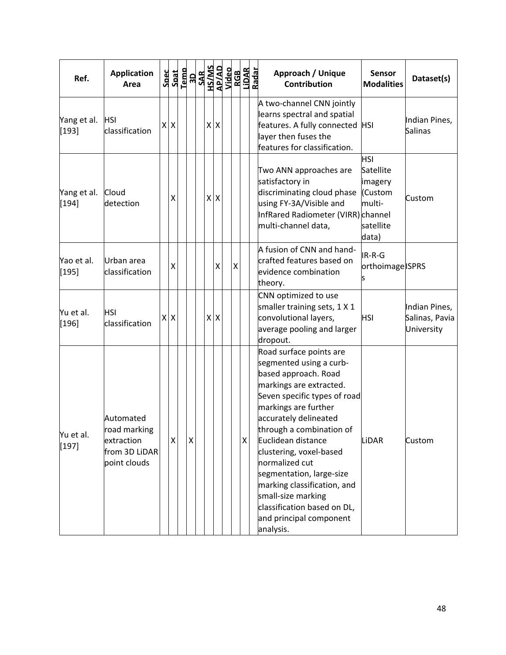| Ref.                   | <b>Application</b><br>Area                                               |         | $\begin{array}{r} \texttt{Spect} \\ \texttt{Spat} \\ \texttt{I-1} \\ \texttt{SAR} \\ \texttt{SAR} \\ \texttt{SAR} \\ \texttt{MSSAB} \\ \texttt{MSSAB} \\ \texttt{MSSAB} \\ \texttt{Nideo} \end{array}$ |  |         |   |   | RGB<br>LiDAR<br>Radar | Approach / Unique<br><b>Contribution</b>                                                                                                                                                                                                                                                                                                                                                                                                      | <b>Sensor</b><br><b>Modalities</b>                                            | Dataset(s)                                    |
|------------------------|--------------------------------------------------------------------------|---------|--------------------------------------------------------------------------------------------------------------------------------------------------------------------------------------------------------|--|---------|---|---|-----------------------|-----------------------------------------------------------------------------------------------------------------------------------------------------------------------------------------------------------------------------------------------------------------------------------------------------------------------------------------------------------------------------------------------------------------------------------------------|-------------------------------------------------------------------------------|-----------------------------------------------|
| Yang et al.<br>$[193]$ | <b>HSI</b><br>classification                                             | $X$ $X$ |                                                                                                                                                                                                        |  | x x     |   |   |                       | A two-channel CNN jointly<br>learns spectral and spatial<br>features. A fully connected  HSI<br>layer then fuses the<br>features for classification.                                                                                                                                                                                                                                                                                          |                                                                               | Indian Pines,<br><b>Salinas</b>               |
| Yang et al.<br>$[194]$ | Cloud<br>detection                                                       | Χ       |                                                                                                                                                                                                        |  | $X$ $X$ |   |   |                       | Two ANN approaches are<br>satisfactory in<br>discriminating cloud phase<br>using FY-3A/Visible and<br>InfRared Radiometer (VIRR) channel<br>multi-channel data,                                                                                                                                                                                                                                                                               | <b>HSI</b><br>Satellite<br>imagery<br>(Custom<br>multi-<br>satellite<br>data) | Custom                                        |
| Yao et al.<br>[195]    | Urban area<br>classification                                             | X       |                                                                                                                                                                                                        |  | Χ       | Χ |   |                       | A fusion of CNN and hand-<br>crafted features based on<br>evidence combination<br>theory.                                                                                                                                                                                                                                                                                                                                                     | IR-R-G<br>orthoimage ISPRS                                                    |                                               |
| Yu et al.<br>$[196]$   | <b>HSI</b><br>classification                                             | $X$ $X$ |                                                                                                                                                                                                        |  | $X$ $X$ |   |   |                       | CNN optimized to use<br>smaller training sets, 1 X 1<br>convolutional layers,<br>average pooling and larger<br>dropout.                                                                                                                                                                                                                                                                                                                       | <b>HSI</b>                                                                    | Indian Pines,<br>Salinas, Pavia<br>University |
| Yu et al.<br>$[197]$   | Automated<br>road marking<br>extraction<br>from 3D LiDAR<br>point clouds | X       | $\pmb{\mathsf{X}}$                                                                                                                                                                                     |  |         |   | X |                       | Road surface points are<br>segmented using a curb-<br>based approach. Road<br>markings are extracted.<br>Seven specific types of road<br>markings are further<br>accurately delineated<br>through a combination of<br>Euclidean distance<br>clustering, voxel-based<br>normalized cut<br>segmentation, large-size<br>marking classification, and<br>small-size marking<br>classification based on DL,<br>and principal component<br>analysis. | LiDAR                                                                         | Custom                                        |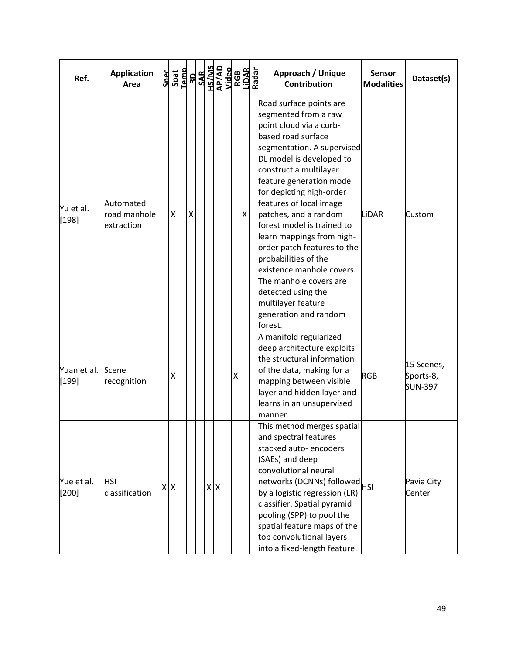| Ref.                  | <b>Application</b><br>Area              | Spec | Spat | Temp | <b>ROSAL SANS</b><br><b>ROSAL SANS<br/>ROSAL SANS<br/>ROSAL SANS<br/>ROSAL SANS</b><br>ROSAL SANS<br>ROSAL SANS |         |  |   |   | Approach / Unique<br><b>Contribution</b>                                                                                                                                                                                                                                                                                                                                                                                                                                                                                                                  | <b>Sensor</b><br><b>Modalities</b> | Dataset(s)                                |
|-----------------------|-----------------------------------------|------|------|------|-----------------------------------------------------------------------------------------------------------------|---------|--|---|---|-----------------------------------------------------------------------------------------------------------------------------------------------------------------------------------------------------------------------------------------------------------------------------------------------------------------------------------------------------------------------------------------------------------------------------------------------------------------------------------------------------------------------------------------------------------|------------------------------------|-------------------------------------------|
| Yu et al.<br>$[198]$  | Automated<br>road manhole<br>extraction |      | Χ    |      | Χ                                                                                                               |         |  |   | X | Road surface points are<br>segmented from a raw<br>point cloud via a curb-<br>based road surface<br>segmentation. A supervised<br>DL model is developed to<br>construct a multilayer<br>feature generation model<br>for depicting high-order<br>features of local image<br>patches, and a random<br>forest model is trained to<br>learn mappings from high-<br>order patch features to the<br>probabilities of the<br>existence manhole covers.<br>The manhole covers are<br>detected using the<br>multilayer feature<br>generation and random<br>forest. | LiDAR                              | Custom                                    |
| Yuan et al.<br>[199]  | Scene<br>recognition                    |      | X    |      |                                                                                                                 |         |  | Χ |   | A manifold regularized<br>deep architecture exploits<br>the structural information<br>of the data, making for a<br>mapping between visible<br>layer and hidden layer and<br>learns in an unsupervised<br>manner.                                                                                                                                                                                                                                                                                                                                          | <b>RGB</b>                         | 15 Scenes,<br>Sports-8,<br><b>SUN-397</b> |
| Yue et al.<br>$[200]$ | <b>HSI</b><br>classification            |      | XX   |      |                                                                                                                 | $X$ $X$ |  |   |   | This method merges spatial<br>and spectral features<br>stacked auto-encoders<br>(SAEs) and deep<br>convolutional neural<br>networks (DCNNs) followed<br>HSI<br>by a logistic regression (LR)<br>classifier. Spatial pyramid<br>pooling (SPP) to pool the<br>spatial feature maps of the<br>top convolutional layers<br>into a fixed-length feature.                                                                                                                                                                                                       |                                    | Pavia City<br>Center                      |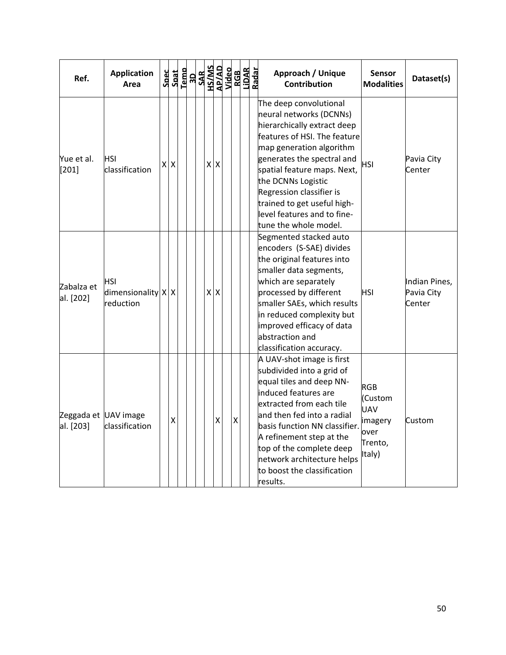| Ref.                              | <b>Application</b><br>Area                 |   |   | $\begin{array}{r} \texttt{Spec} \\ \texttt{Sant} \\ \texttt{1cm} \\ \texttt{1cm} \\ \texttt{1cm} \\ \texttt{SAR} \\ \texttt{1cm} \\ \texttt{1cm} \\ \texttt{1cm} \\ \texttt{1cm} \\ \texttt{1cm} \\ \texttt{1cm} \\ \texttt{1cm} \\ \texttt{1cm} \\ \texttt{1cm} \\ \texttt{1cm} \\ \texttt{1cm} \\ \texttt{1cm} \\ \texttt{1cm} \\ \texttt{1cm} \\ \texttt{1cm} \\ \texttt{1cm} \\ \texttt{1cm} \\ \texttt{1cm} \\ \texttt{1cm} \\ \texttt{1cm} \\ \texttt{1$ |         |     |                    |  | Approach / Unique<br>Contribution                                                                                                                                                                                                                                                                                                                  | <b>Sensor</b><br><b>Modalities</b>                                          | Dataset(s)                            |
|-----------------------------------|--------------------------------------------|---|---|----------------------------------------------------------------------------------------------------------------------------------------------------------------------------------------------------------------------------------------------------------------------------------------------------------------------------------------------------------------------------------------------------------------------------------------------------------------|---------|-----|--------------------|--|----------------------------------------------------------------------------------------------------------------------------------------------------------------------------------------------------------------------------------------------------------------------------------------------------------------------------------------------------|-----------------------------------------------------------------------------|---------------------------------------|
| Yue et al.<br>$[201]$             | HSI<br>classification                      | X | X |                                                                                                                                                                                                                                                                                                                                                                                                                                                                | $X$ $X$ |     |                    |  | The deep convolutional<br>neural networks (DCNNs)<br>hierarchically extract deep<br>features of HSI. The feature<br>map generation algorithm<br>generates the spectral and<br>spatial feature maps. Next,<br>the DCNNs Logistic<br>Regression classifier is<br>trained to get useful high-<br>level features and to fine-<br>tune the whole model. | <b>HSI</b>                                                                  | Pavia City<br>Center                  |
| Zabalza et<br>al. [202]           | HSI<br>dimensionality   X   X<br>reduction |   |   |                                                                                                                                                                                                                                                                                                                                                                                                                                                                |         | x x |                    |  | Segmented stacked auto<br>encoders (S-SAE) divides<br>the original features into<br>smaller data segments,<br>which are separately<br>processed by different<br>smaller SAEs, which results<br>in reduced complexity but<br>improved efficacy of data<br>abstraction and<br>classification accuracy.                                               | <b>HSI</b>                                                                  | Indian Pines,<br>Pavia City<br>Center |
| Zeggada et UAV image<br>al. [203] | classification                             |   | X |                                                                                                                                                                                                                                                                                                                                                                                                                                                                |         | Χ   | $\pmb{\mathsf{X}}$ |  | A UAV-shot image is first<br>subdivided into a grid of<br>equal tiles and deep NN-<br>induced features are<br>extracted from each tile<br>and then fed into a radial<br>basis function NN classifier.<br>A refinement step at the<br>top of the complete deep<br>network architecture helps<br>to boost the classification<br>results.             | <b>RGB</b><br>(Custom<br><b>UAV</b><br>imagery<br>over<br>Trento,<br>Italy) | Custom                                |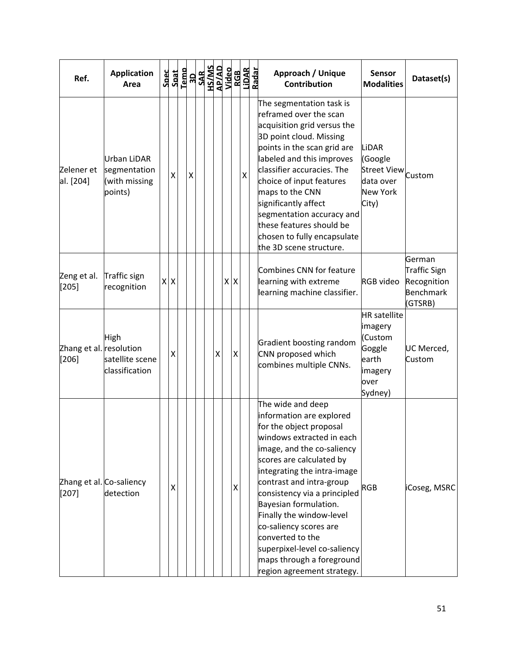| Ref.                               | <b>Application</b><br>Area                              | Spec<br>Spat | Temp |   | OPPIN<br>CIVISH<br>CIVISH<br>CIST |   |         |   | RGB<br>LiDAR<br>Radar | Approach / Unique<br><b>Contribution</b>                                                                                                                                                                                                                                                                                                                                                                                                                 | <b>Sensor</b><br><b>Modalities</b>                                                         | Dataset(s)                                                           |
|------------------------------------|---------------------------------------------------------|--------------|------|---|-----------------------------------|---|---------|---|-----------------------|----------------------------------------------------------------------------------------------------------------------------------------------------------------------------------------------------------------------------------------------------------------------------------------------------------------------------------------------------------------------------------------------------------------------------------------------------------|--------------------------------------------------------------------------------------------|----------------------------------------------------------------------|
| Zelener et<br>al. [204]            | Urban LiDAR<br>segmentation<br>(with missing<br>points) | X            |      | X |                                   |   |         | X |                       | The segmentation task is<br>reframed over the scan<br>acquisition grid versus the<br>3D point cloud. Missing<br>points in the scan grid are<br>labeled and this improves<br>classifier accuracies. The<br>choice of input features<br>maps to the CNN<br>significantly affect<br>segmentation accuracy and<br>these features should be<br>chosen to fully encapsulate<br>the 3D scene structure.                                                         | LiDAR<br>(Google<br>Street View <sub>custom</sub><br>data over<br>New York<br>City)        |                                                                      |
| Zeng et al.<br>$[205]$             | Traffic sign<br>recognition                             | $X$ $X$      |      |   |                                   |   | $X$ $X$ |   |                       | Combines CNN for feature<br>learning with extreme<br>learning machine classifier.                                                                                                                                                                                                                                                                                                                                                                        | <b>RGB</b> video                                                                           | German<br>Traffic Sign<br>Recognition<br><b>Benchmark</b><br>(GTSRB) |
| Zhang et al. resolution<br>$[206]$ | High<br>satellite scene<br>classification               | Χ            |      |   |                                   | Χ | Χ       |   |                       | Gradient boosting random<br>CNN proposed which<br>combines multiple CNNs.                                                                                                                                                                                                                                                                                                                                                                                | <b>HR</b> satellite<br>imagery<br>(Custom<br>Goggle<br>earth<br>imagery<br>over<br>Sydney) | UC Merced,<br>Custom                                                 |
| $[207]$                            | Zhang et al. Co-saliency<br>detection                   | X            |      |   |                                   |   | X       |   |                       | The wide and deep<br>information are explored<br>for the object proposal<br>windows extracted in each<br>image, and the co-saliency<br>scores are calculated by<br>integrating the intra-image<br>contrast and intra-group<br>consistency via a principled<br>Bayesian formulation.<br>Finally the window-level<br>co-saliency scores are<br>converted to the<br>superpixel-level co-saliency<br>maps through a foreground<br>region agreement strategy. | <b>RGB</b>                                                                                 | iCoseg, MSRC                                                         |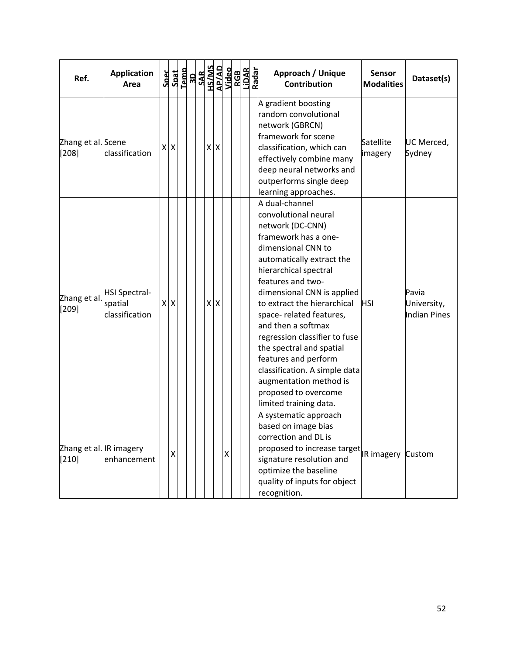| Ref.                                     | <b>Application</b><br>Area                        | <b>Spec</b>  | Spat                      | $\begin{array}{r} \text{Term} \\ \text{10} \\ \text{11} \\ \text{12} \\ \text{13} \\ \text{14} \\ \text{15} \\ \text{16} \\ \text{16} \\ \text{17} \\ \text{18} \\ \text{19} \\ \text{19} \\ \text{19} \\ \text{19} \\ \text{19} \\ \text{19} \\ \text{19} \\ \text{10} \\ \text{11} \\ \text{12} \\ \text{13} \\ \text{14} \\ \text{15} \\ \text{16} \\ \text{17} \\ \text{18} \\ \text{19} \\ \text{19} \\ \text{19} \\ \text{1$ |         |   |  |  | Approach / Unique<br><b>Contribution</b>                                                                                                                                                                                                                                                                                                                                                                                                                                                             | <b>Sensor</b><br><b>Modalities</b> | Dataset(s)                           |
|------------------------------------------|---------------------------------------------------|--------------|---------------------------|------------------------------------------------------------------------------------------------------------------------------------------------------------------------------------------------------------------------------------------------------------------------------------------------------------------------------------------------------------------------------------------------------------------------------------|---------|---|--|--|------------------------------------------------------------------------------------------------------------------------------------------------------------------------------------------------------------------------------------------------------------------------------------------------------------------------------------------------------------------------------------------------------------------------------------------------------------------------------------------------------|------------------------------------|--------------------------------------|
| Zhang et al. Scene<br>[208]              | classification                                    | X            | $\boldsymbol{\mathsf{X}}$ |                                                                                                                                                                                                                                                                                                                                                                                                                                    | $X$ $X$ |   |  |  | A gradient boosting<br>random convolutional<br>network (GBRCN)<br>framework for scene<br>classification, which can<br>effectively combine many<br>deep neural networks and<br>outperforms single deep<br>learning approaches.                                                                                                                                                                                                                                                                        | Satellite<br>imagery               | UC Merced,<br>Sydney                 |
| Zhang et al.<br>$[209]$                  | <b>HSI Spectral-</b><br>spatial<br>classification | $\mathsf{X}$ | ΙX                        |                                                                                                                                                                                                                                                                                                                                                                                                                                    | $X$ $X$ |   |  |  | A dual-channel<br>convolutional neural<br>network (DC-CNN)<br>framework has a one-<br>dimensional CNN to<br>automatically extract the<br>hierarchical spectral<br>features and two-<br>dimensional CNN is applied<br>to extract the hierarchical<br>space- related features,<br>and then a softmax<br>regression classifier to fuse<br>the spectral and spatial<br>features and perform<br>classification. A simple data<br>augmentation method is<br>proposed to overcome<br>limited training data. | <b>HSI</b>                         | Pavia<br>University,<br>Indian Pines |
| Zhang et al. <b>R</b> imagery<br>$[210]$ | enhancement                                       |              | Χ                         |                                                                                                                                                                                                                                                                                                                                                                                                                                    |         | X |  |  | A systematic approach<br>based on image bias<br>correction and DL is<br>proposed to increase target $\vert$ a imagery $\vert$ Custom<br>signature resolution and<br>optimize the baseline<br>quality of inputs for object<br>recognition.                                                                                                                                                                                                                                                            |                                    |                                      |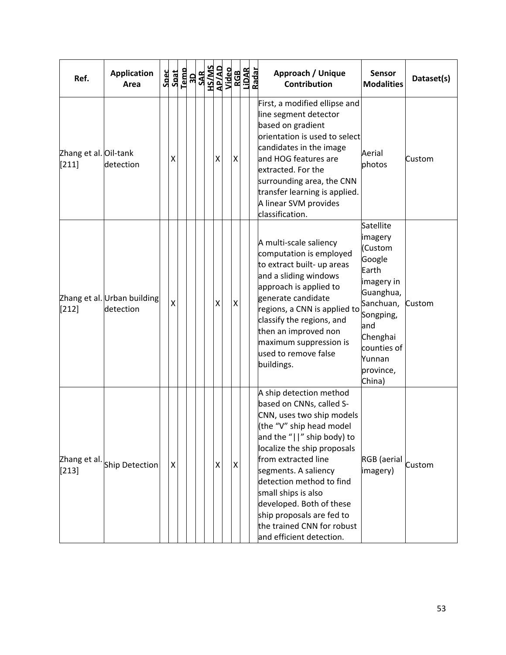| Ref.                             | <b>Application</b><br>Area               | Spec<br>Spat            | Temp | <b>ROSAL SANS</b><br><b>ROSAL SANS<br/>ROSAL SANS<br/>ROSAL SANS<br/>ROSAL SANS</b><br>ROSAL SANS<br>ROSAL SANS |  |                    |                    |  | Approach / Unique<br><b>Contribution</b>                                                                                                                                                                                                                                                                                                                                                       | <b>Sensor</b><br><b>Modalities</b>                                                                                                                                         | Dataset(s) |
|----------------------------------|------------------------------------------|-------------------------|------|-----------------------------------------------------------------------------------------------------------------|--|--------------------|--------------------|--|------------------------------------------------------------------------------------------------------------------------------------------------------------------------------------------------------------------------------------------------------------------------------------------------------------------------------------------------------------------------------------------------|----------------------------------------------------------------------------------------------------------------------------------------------------------------------------|------------|
| Zhang et al. Oil-tank<br>$[211]$ | detection                                | Χ                       |      |                                                                                                                 |  | Χ                  | X                  |  | First, a modified ellipse and<br>line segment detector<br>based on gradient<br>orientation is used to select<br>candidates in the image<br>and HOG features are<br>extracted. For the<br>surrounding area, the CNN<br>transfer learning is applied.<br>A linear SVM provides<br>classification.                                                                                                | Aerial<br>photos                                                                                                                                                           | Custom     |
| $[212]$                          | Zhang et al. Urban building<br>detection | $\overline{\mathsf{x}}$ |      |                                                                                                                 |  | Χ                  | $\pmb{\mathsf{X}}$ |  | A multi-scale saliency<br>computation is employed<br>to extract built- up areas<br>and a sliding windows<br>approach is applied to<br>generate candidate<br>regions, a CNN is applied to<br>classify the regions, and<br>then an improved non<br>maximum suppression is<br>used to remove false<br>buildings.                                                                                  | Satellite<br>imagery<br>(Custom<br>Google<br>Earth<br>imagery in<br>Guanghua,<br>Sanchuan,<br>Songping,<br>and<br>Chenghai<br>counties of<br>Yunnan<br>province,<br>China) | Custom     |
| Zhang et al.<br>$[213]$          | Ship Detection                           | Χ                       |      |                                                                                                                 |  | $\pmb{\mathsf{X}}$ | $\pmb{\mathsf{X}}$ |  | A ship detection method<br>based on CNNs, called S-<br>CNN, uses two ship models<br>(the "V" ship head model<br>and the "  " ship body) to<br>localize the ship proposals<br>from extracted line<br>segments. A saliency<br>detection method to find<br>small ships is also<br>developed. Both of these<br>ship proposals are fed to<br>the trained CNN for robust<br>and efficient detection. | RGB (aerial<br>imagery)                                                                                                                                                    | Custom     |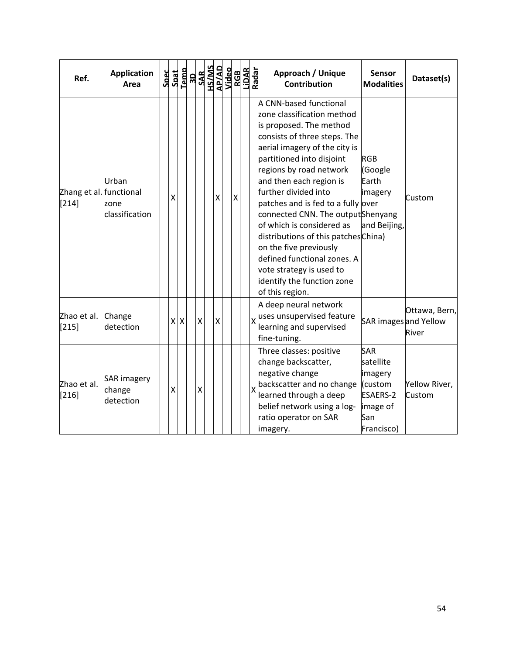| Ref.                               | <b>Application</b><br>Area                | <b>Spec</b> | Spat           | Temp |                    | <b>3D<br/>SAR<br/>AP/AD<br/>Video</b><br>Video |   | <b>RGB</b>         | LiDAR<br>Radar |   | Approach / Unique<br><b>Contribution</b>                                                                                                                                                                                                                                                                                                                                                                                                                                                                                                          | <b>Sensor</b><br><b>Modalities</b>                                                                | Dataset(s)                                      |
|------------------------------------|-------------------------------------------|-------------|----------------|------|--------------------|------------------------------------------------|---|--------------------|----------------|---|---------------------------------------------------------------------------------------------------------------------------------------------------------------------------------------------------------------------------------------------------------------------------------------------------------------------------------------------------------------------------------------------------------------------------------------------------------------------------------------------------------------------------------------------------|---------------------------------------------------------------------------------------------------|-------------------------------------------------|
| Zhang et al. functional<br>$[214]$ | Urban<br>zone<br>classification           |             | Χ              |      |                    |                                                | X | $\pmb{\mathsf{X}}$ |                |   | A CNN-based functional<br>zone classification method<br>is proposed. The method<br>consists of three steps. The<br>aerial imagery of the city is<br>partitioned into disjoint<br>regions by road network<br>and then each region is<br>further divided into<br>patches and is fed to a fully over<br>connected CNN. The outputShenyang<br>of which is considered as<br>distributions of this patches China)<br>on the five previously<br>defined functional zones. A<br>vote strategy is used to<br>identify the function zone<br>of this region. | <b>RGB</b><br>(Google<br>Earth<br>imagery<br>and Beijing,                                         | Custom                                          |
| Zhao et al.<br>$[215]$             | Change<br>detection                       |             | x <sub>l</sub> | X    | $\pmb{\mathsf{X}}$ |                                                | X |                    |                | X | A deep neural network<br>uses unsupervised feature<br>learning and supervised<br>fine-tuning.                                                                                                                                                                                                                                                                                                                                                                                                                                                     |                                                                                                   | Ottawa, Bern,<br>SAR images and Yellow<br>River |
| Zhao et al.<br>$[216]$             | <b>SAR</b> imagery<br>change<br>detection |             | X              |      | X                  |                                                |   |                    |                | X | Three classes: positive<br>change backscatter,<br>negative change<br>backscatter and no change<br>learned through a deep<br>belief network using a log-<br>ratio operator on SAR<br>imagery.                                                                                                                                                                                                                                                                                                                                                      | <b>SAR</b><br>satellite<br>imagery<br>(custom<br><b>ESAERS-2</b><br>image of<br>San<br>Francisco) | Yellow River,<br>Custom                         |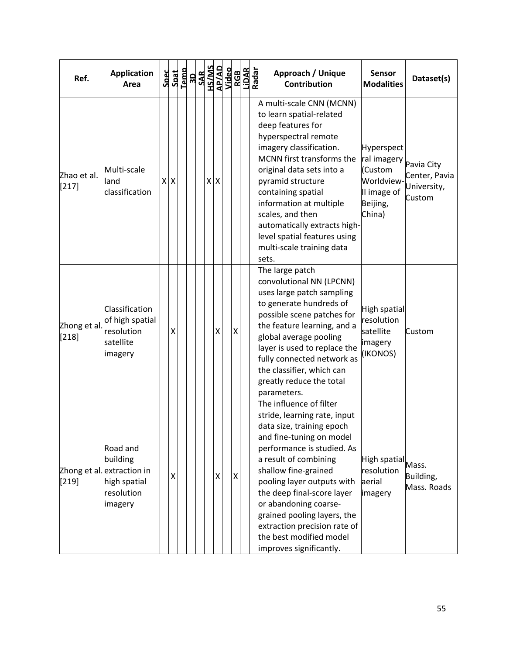| Ref.                   | <b>Application</b><br>Area                                                                  | <b>Spec</b> | Spat           | Temp | <b>3D<br/>SAR<br/>AP/AD<br/>AP/AD<br/>Video</b> |  |                    |   | RGB<br>Lidar | Radar | Approach / Unique<br><b>Sensor</b><br>Dataset(s)<br><b>Contribution</b><br><b>Modalities</b>                                                                                                                                                                                                                                                                                                                                                                                                                                                        |
|------------------------|---------------------------------------------------------------------------------------------|-------------|----------------|------|-------------------------------------------------|--|--------------------|---|--------------|-------|-----------------------------------------------------------------------------------------------------------------------------------------------------------------------------------------------------------------------------------------------------------------------------------------------------------------------------------------------------------------------------------------------------------------------------------------------------------------------------------------------------------------------------------------------------|
| Zhao et al.<br>$[217]$ | Multi-scale<br>lland<br>classification                                                      |             | $X$ $X$        |      |                                                 |  | $X$ $X$            |   |              |       | A multi-scale CNN (MCNN)<br>to learn spatial-related<br>deep features for<br>hyperspectral remote<br>imagery classification.<br>Hyperspect<br>MCNN first transforms the<br>ral imagery <b>Pavia City</b><br>original data sets into a<br>(Custom<br>Center, Pavia<br><b>Worldview</b><br>pyramid structure<br>University,<br>containing spatial<br>II image of<br>Custom<br>information at multiple<br>Beijing,<br>scales, and then<br>China)<br>automatically extracts high-<br>level spatial features using<br>multi-scale training data<br>sets. |
| Zhong et al.<br>[218]  | Classification<br>of high spatial<br>resolution<br>satellite<br>imagery                     |             | X              |      |                                                 |  | $\pmb{\mathsf{X}}$ | X |              |       | The large patch<br>convolutional NN (LPCNN)<br>uses large patch sampling<br>to generate hundreds of<br>High spatial<br>possible scene patches for<br>resolution<br>the feature learning, and a<br>satellite<br>Custom<br>global average pooling<br>imagery<br>layer is used to replace the<br>(IKONOS)<br>fully connected network as<br>the classifier, which can<br>greatly reduce the total<br>parameters.                                                                                                                                        |
| [219]                  | Road and<br>building<br>Zhong et al. extraction in<br>high spatial<br>resolution<br>imagery |             | $\pmb{\times}$ |      |                                                 |  | X                  | X |              |       | The influence of filter<br>stride, learning rate, input<br>data size, training epoch<br>and fine-tuning on model<br>performance is studied. As<br>a result of combining<br>High spatial Mass.<br>shallow fine-grained<br>resolution<br>Building,<br>pooling layer outputs with<br>aerial<br>Mass. Roads<br>the deep final-score layer<br>imagery<br>or abandoning coarse-<br>grained pooling layers, the<br>extraction precision rate of<br>the best modified model<br>improves significantly.                                                      |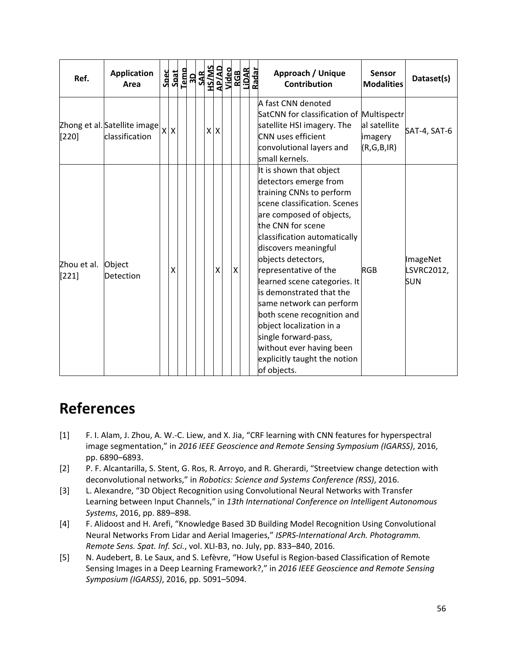| Ref.                   | <b>Application</b><br>Area                     | <b>Spec</b> | Spat<br>Temp     |  |            |   |                           | $\begin{array}{r}\n 3D \\  \hline\n \text{SAR} \\  \text{SAR} \\  \text{SAR} \\  \text{SAR} \\  \text{SAR} \\  \text{SAR} \\  \text{SAR} \\  \text{SAR} \\  \text{SAR} \\  \text{SAR} \\  \text{SAR} \\  \text{SAR} \\  \text{SAR} \\  \text{SAR} \\  \text{SAR} \\  \text{SAR} \\  \text{SAR} \\  \text{SAR} \\  \text{SAR} \\  \text{SAR} \\  \text{SAR} \\  \text{SAR} \\  \text{SAR} \\  \text{SAR} \\  \text{SAR} \\  \text{SAR} \\  \text{SAR} \\  \text{SAR} \\  \text{SAR} \\  \$ | Approach / Unique<br><b>Contribution</b>                                                                                                                                                                                                                                                                                                                                                                                                                                                                                   | <b>Sensor</b><br><b>Modalities</b>    | Dataset(s)                           |
|------------------------|------------------------------------------------|-------------|------------------|--|------------|---|---------------------------|-------------------------------------------------------------------------------------------------------------------------------------------------------------------------------------------------------------------------------------------------------------------------------------------------------------------------------------------------------------------------------------------------------------------------------------------------------------------------------------------|----------------------------------------------------------------------------------------------------------------------------------------------------------------------------------------------------------------------------------------------------------------------------------------------------------------------------------------------------------------------------------------------------------------------------------------------------------------------------------------------------------------------------|---------------------------------------|--------------------------------------|
| $[220]$                | Zhong et al. Satellite image<br>classification |             | $x \overline{x}$ |  | $x \mid x$ |   |                           |                                                                                                                                                                                                                                                                                                                                                                                                                                                                                           | A fast CNN denoted<br>SatCNN for classification of Multispectr<br>satellite HSI imagery. The<br>CNN uses efficient<br>convolutional layers and<br>small kernels.                                                                                                                                                                                                                                                                                                                                                           | al satellite<br>imagery<br>(R,G,B,IR) | SAT-4, SAT-6                         |
| Zhou et al.<br>$[221]$ | Object<br>Detection                            |             | χ                |  |            | X | $\boldsymbol{\mathsf{X}}$ |                                                                                                                                                                                                                                                                                                                                                                                                                                                                                           | It is shown that object<br>detectors emerge from<br>training CNNs to perform<br>scene classification. Scenes<br>are composed of objects,<br>the CNN for scene<br>classification automatically<br>discovers meaningful<br>objects detectors,<br>representative of the<br>learned scene categories. It<br>lis demonstrated that the<br>same network can perform<br>both scene recognition and<br>object localization in a<br>single forward-pass,<br>without ever having been<br>explicitly taught the notion<br>of objects. | <b>RGB</b>                            | ImageNet<br>LSVRC2012,<br><b>SUN</b> |

## **References**

- [1] F. I. Alam, J. Zhou, A. W.‐C. Liew, and X. Jia, "CRF learning with CNN features for hyperspectral image segmentation," in *2016 IEEE Geoscience and Remote Sensing Symposium (IGARSS)*, 2016, pp. 6890–6893.
- [2] P. F. Alcantarilla, S. Stent, G. Ros, R. Arroyo, and R. Gherardi, "Streetview change detection with deconvolutional networks," in *Robotics: Science and Systems Conference (RSS)*, 2016.
- [3] L. Alexandre, "3D Object Recognition using Convolutional Neural Networks with Transfer Learning between Input Channels," in *13th International Conference on Intelligent Autonomous Systems*, 2016, pp. 889–898.
- [4] F. Alidoost and H. Arefi, "Knowledge Based 3D Building Model Recognition Using Convolutional Neural Networks From Lidar and Aerial Imageries," *ISPRS‐International Arch. Photogramm. Remote Sens. Spat. Inf. Sci.*, vol. XLI‐B3, no. July, pp. 833–840, 2016.
- [5] N. Audebert, B. Le Saux, and S. Lefèvre, "How Useful is Region‐based Classification of Remote Sensing Images in a Deep Learning Framework?," in *2016 IEEE Geoscience and Remote Sensing Symposium (IGARSS)*, 2016, pp. 5091–5094.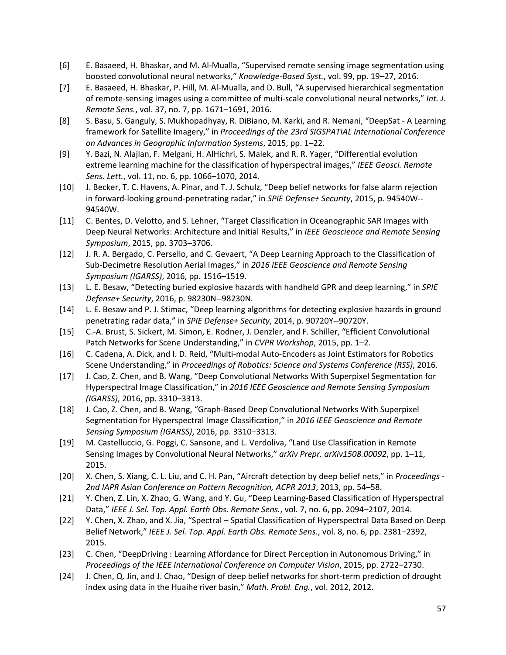- [6] E. Basaeed, H. Bhaskar, and M. Al‐Mualla, "Supervised remote sensing image segmentation using boosted convolutional neural networks," *Knowledge‐Based Syst.*, vol. 99, pp. 19–27, 2016.
- [7] E. Basaeed, H. Bhaskar, P. Hill, M. Al‐Mualla, and D. Bull, "A supervised hierarchical segmentation of remote‐sensing images using a committee of multi‐scale convolutional neural networks," *Int. J. Remote Sens.*, vol. 37, no. 7, pp. 1671–1691, 2016.
- [8] S. Basu, S. Ganguly, S. Mukhopadhyay, R. DiBiano, M. Karki, and R. Nemani, "DeepSat ‐ A Learning framework for Satellite Imagery," in *Proceedings of the 23rd SIGSPATIAL International Conference on Advances in Geographic Information Systems*, 2015, pp. 1–22.
- [9] Y. Bazi, N. Alajlan, F. Melgani, H. AlHichri, S. Malek, and R. R. Yager, "Differential evolution extreme learning machine for the classification of hyperspectral images," *IEEE Geosci. Remote Sens. Lett.*, vol. 11, no. 6, pp. 1066–1070, 2014.
- [10] J. Becker, T. C. Havens, A. Pinar, and T. J. Schulz, "Deep belief networks for false alarm rejection in forward‐looking ground‐penetrating radar," in *SPIE Defense+ Security*, 2015, p. 94540W‐‐ 94540W.
- [11] C. Bentes, D. Velotto, and S. Lehner, "Target Classification in Oceanographic SAR Images with Deep Neural Networks: Architecture and Initial Results," in *IEEE Geoscience and Remote Sensing Symposium*, 2015, pp. 3703–3706.
- [12] J. R. A. Bergado, C. Persello, and C. Gevaert, "A Deep Learning Approach to the Classification of Sub‐Decimetre Resolution Aerial Images," in *2016 IEEE Geoscience and Remote Sensing Symposium (IGARSS)*, 2016, pp. 1516–1519.
- [13] L. E. Besaw, "Detecting buried explosive hazards with handheld GPR and deep learning," in *SPIE Defense+ Security*, 2016, p. 98230N‐‐98230N.
- [14] L. E. Besaw and P. J. Stimac, "Deep learning algorithms for detecting explosive hazards in ground penetrating radar data," in *SPIE Defense+ Security*, 2014, p. 90720Y‐‐90720Y.
- [15] C.‐A. Brust, S. Sickert, M. Simon, E. Rodner, J. Denzler, and F. Schiller, "Efficient Convolutional Patch Networks for Scene Understanding," in *CVPR Workshop*, 2015, pp. 1–2.
- [16] C. Cadena, A. Dick, and I. D. Reid, "Multi‐modal Auto‐Encoders as Joint Estimators for Robotics Scene Understanding," in *Proceedings of Robotics: Science and Systems Conference (RSS)*, 2016.
- [17] J. Cao, Z. Chen, and B. Wang, "Deep Convolutional Networks With Superpixel Segmentation for Hyperspectral Image Classification," in *2016 IEEE Geoscience and Remote Sensing Symposium (IGARSS)*, 2016, pp. 3310–3313.
- [18] J. Cao, Z. Chen, and B. Wang, "Graph‐Based Deep Convolutional Networks With Superpixel Segmentation for Hyperspectral Image Classification," in *2016 IEEE Geoscience and Remote Sensing Symposium (IGARSS)*, 2016, pp. 3310–3313.
- [19] M. Castelluccio, G. Poggi, C. Sansone, and L. Verdoliva, "Land Use Classification in Remote Sensing Images by Convolutional Neural Networks," *arXiv Prepr. arXiv1508.00092*, pp. 1–11, 2015.
- [20] X. Chen, S. Xiang, C. L. Liu, and C. H. Pan, "Aircraft detection by deep belief nets," in *Proceedings ‐ 2nd IAPR Asian Conference on Pattern Recognition, ACPR 2013*, 2013, pp. 54–58.
- [21] Y. Chen, Z. Lin, X. Zhao, G. Wang, and Y. Gu, "Deep Learning‐Based Classification of Hyperspectral Data," *IEEE J. Sel. Top. Appl. Earth Obs. Remote Sens.*, vol. 7, no. 6, pp. 2094–2107, 2014.
- [22] Y. Chen, X. Zhao, and X. Jia, "Spectral Spatial Classification of Hyperspectral Data Based on Deep Belief Network," *IEEE J. Sel. Top. Appl. Earth Obs. Remote Sens.*, vol. 8, no. 6, pp. 2381–2392, 2015.
- [23] C. Chen, "DeepDriving : Learning Affordance for Direct Perception in Autonomous Driving," in *Proceedings of the IEEE International Conference on Computer Vision*, 2015, pp. 2722–2730.
- [24] J. Chen, Q. Jin, and J. Chao, "Design of deep belief networks for short-term prediction of drought index using data in the Huaihe river basin," *Math. Probl. Eng.*, vol. 2012, 2012.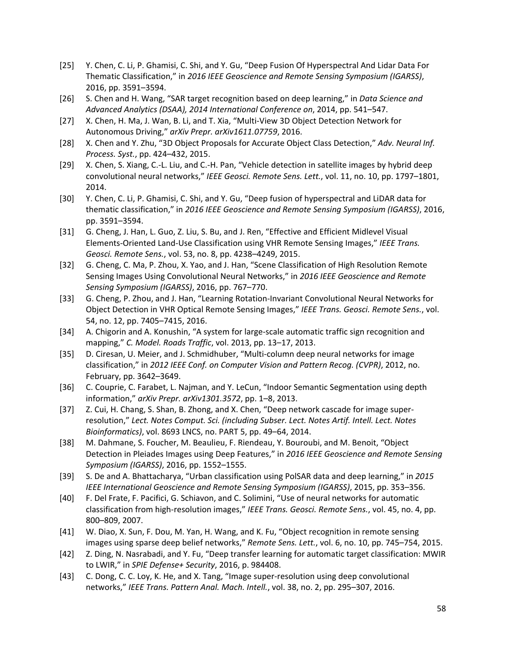- [25] Y. Chen, C. Li, P. Ghamisi, C. Shi, and Y. Gu, "Deep Fusion Of Hyperspectral And Lidar Data For Thematic Classification," in *2016 IEEE Geoscience and Remote Sensing Symposium (IGARSS)*, 2016, pp. 3591–3594.
- [26] S. Chen and H. Wang, "SAR target recognition based on deep learning," in *Data Science and Advanced Analytics (DSAA), 2014 International Conference on*, 2014, pp. 541–547.
- [27] X. Chen, H. Ma, J. Wan, B. Li, and T. Xia, "Multi‐View 3D Object Detection Network for Autonomous Driving," *arXiv Prepr. arXiv1611.07759*, 2016.
- [28] X. Chen and Y. Zhu, "3D Object Proposals for Accurate Object Class Detection," *Adv. Neural Inf. Process. Syst.*, pp. 424–432, 2015.
- [29] X. Chen, S. Xiang, C.-L. Liu, and C.-H. Pan, "Vehicle detection in satellite images by hybrid deep convolutional neural networks," *IEEE Geosci. Remote Sens. Lett.*, vol. 11, no. 10, pp. 1797–1801, 2014.
- [30] Y. Chen, C. Li, P. Ghamisi, C. Shi, and Y. Gu, "Deep fusion of hyperspectral and LiDAR data for thematic classification," in *2016 IEEE Geoscience and Remote Sensing Symposium (IGARSS)*, 2016, pp. 3591–3594.
- [31] G. Cheng, J. Han, L. Guo, Z. Liu, S. Bu, and J. Ren, "Effective and Efficient Midlevel Visual Elements‐Oriented Land‐Use Classification using VHR Remote Sensing Images," *IEEE Trans. Geosci. Remote Sens.*, vol. 53, no. 8, pp. 4238–4249, 2015.
- [32] G. Cheng, C. Ma, P. Zhou, X. Yao, and J. Han, "Scene Classification of High Resolution Remote Sensing Images Using Convolutional Neural Networks," in *2016 IEEE Geoscience and Remote Sensing Symposium (IGARSS)*, 2016, pp. 767–770.
- [33] G. Cheng, P. Zhou, and J. Han, "Learning Rotation‐Invariant Convolutional Neural Networks for Object Detection in VHR Optical Remote Sensing Images," *IEEE Trans. Geosci. Remote Sens.*, vol. 54, no. 12, pp. 7405–7415, 2016.
- [34] A. Chigorin and A. Konushin, "A system for large‐scale automatic traffic sign recognition and mapping," *C. Model. Roads Traffic*, vol. 2013, pp. 13–17, 2013.
- [35] D. Ciresan, U. Meier, and J. Schmidhuber, "Multi-column deep neural networks for image classification," in *2012 IEEE Conf. on Computer Vision and Pattern Recog. (CVPR)*, 2012, no. February, pp. 3642–3649.
- [36] C. Couprie, C. Farabet, L. Najman, and Y. LeCun, "Indoor Semantic Segmentation using depth information," *arXiv Prepr. arXiv1301.3572*, pp. 1–8, 2013.
- [37] Z. Cui, H. Chang, S. Shan, B. Zhong, and X. Chen, "Deep network cascade for image super‐ resolution," *Lect. Notes Comput. Sci. (including Subser. Lect. Notes Artif. Intell. Lect. Notes Bioinformatics)*, vol. 8693 LNCS, no. PART 5, pp. 49–64, 2014.
- [38] M. Dahmane, S. Foucher, M. Beaulieu, F. Riendeau, Y. Bouroubi, and M. Benoit, "Object Detection in Pleiades Images using Deep Features," in *2016 IEEE Geoscience and Remote Sensing Symposium (IGARSS)*, 2016, pp. 1552–1555.
- [39] S. De and A. Bhattacharya, "Urban classification using PolSAR data and deep learning," in *2015 IEEE International Geoscience and Remote Sensing Symposium (IGARSS)*, 2015, pp. 353–356.
- [40] F. Del Frate, F. Pacifici, G. Schiavon, and C. Solimini, "Use of neural networks for automatic classification from high‐resolution images," *IEEE Trans. Geosci. Remote Sens.*, vol. 45, no. 4, pp. 800–809, 2007.
- [41] W. Diao, X. Sun, F. Dou, M. Yan, H. Wang, and K. Fu, "Object recognition in remote sensing images using sparse deep belief networks," *Remote Sens. Lett.*, vol. 6, no. 10, pp. 745–754, 2015.
- [42] Z. Ding, N. Nasrabadi, and Y. Fu, "Deep transfer learning for automatic target classification: MWIR to LWIR," in *SPIE Defense+ Security*, 2016, p. 984408.
- [43] C. Dong, C. C. Loy, K. He, and X. Tang, "Image super‐resolution using deep convolutional networks," *IEEE Trans. Pattern Anal. Mach. Intell.*, vol. 38, no. 2, pp. 295–307, 2016.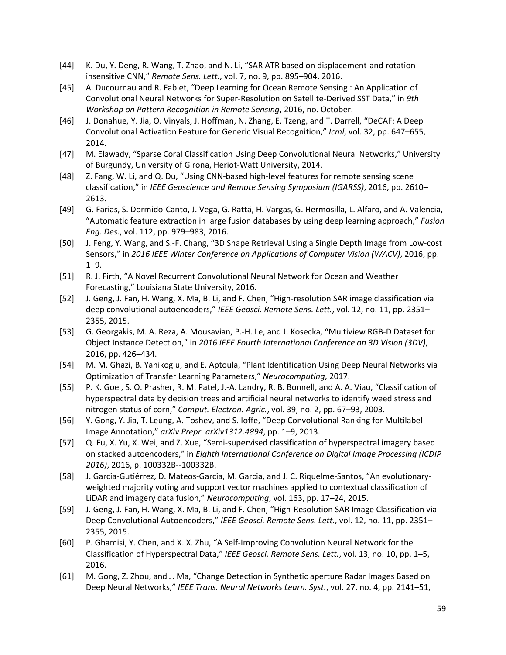- [44] K. Du, Y. Deng, R. Wang, T. Zhao, and N. Li, "SAR ATR based on displacement‐and rotation‐ insensitive CNN," *Remote Sens. Lett.*, vol. 7, no. 9, pp. 895–904, 2016.
- [45] A. Ducournau and R. Fablet, "Deep Learning for Ocean Remote Sensing : An Application of Convolutional Neural Networks for Super‐Resolution on Satellite‐Derived SST Data," in *9th Workshop on Pattern Recognition in Remote Sensing*, 2016, no. October.
- [46] J. Donahue, Y. Jia, O. Vinyals, J. Hoffman, N. Zhang, E. Tzeng, and T. Darrell, "DeCAF: A Deep Convolutional Activation Feature for Generic Visual Recognition," *Icml*, vol. 32, pp. 647–655, 2014.
- [47] M. Elawady, "Sparse Coral Classification Using Deep Convolutional Neural Networks," University of Burgundy, University of Girona, Heriot‐Watt University, 2014.
- [48] Z. Fang, W. Li, and Q. Du, "Using CNN‐based high‐level features for remote sensing scene classification," in *IEEE Geoscience and Remote Sensing Symposium (IGARSS)*, 2016, pp. 2610– 2613.
- [49] G. Farias, S. Dormido‐Canto, J. Vega, G. Rattá, H. Vargas, G. Hermosilla, L. Alfaro, and A. Valencia, "Automatic feature extraction in large fusion databases by using deep learning approach," *Fusion Eng. Des.*, vol. 112, pp. 979–983, 2016.
- [50] J. Feng, Y. Wang, and S.‐F. Chang, "3D Shape Retrieval Using a Single Depth Image from Low‐cost Sensors," in *2016 IEEE Winter Conference on Applications of Computer Vision (WACV)*, 2016, pp. 1–9.
- [51] R. J. Firth, "A Novel Recurrent Convolutional Neural Network for Ocean and Weather Forecasting," Louisiana State University, 2016.
- [52] J. Geng, J. Fan, H. Wang, X. Ma, B. Li, and F. Chen, "High‐resolution SAR image classification via deep convolutional autoencoders," *IEEE Geosci. Remote Sens. Lett.*, vol. 12, no. 11, pp. 2351– 2355, 2015.
- [53] G. Georgakis, M. A. Reza, A. Mousavian, P.‐H. Le, and J. Kosecka, "Multiview RGB‐D Dataset for Object Instance Detection," in *2016 IEEE Fourth International Conference on 3D Vision (3DV)*, 2016, pp. 426–434.
- [54] M. M. Ghazi, B. Yanikoglu, and E. Aptoula, "Plant Identification Using Deep Neural Networks via Optimization of Transfer Learning Parameters," *Neurocomputing*, 2017.
- [55] P. K. Goel, S. O. Prasher, R. M. Patel, J.‐A. Landry, R. B. Bonnell, and A. A. Viau, "Classification of hyperspectral data by decision trees and artificial neural networks to identify weed stress and nitrogen status of corn," *Comput. Electron. Agric.*, vol. 39, no. 2, pp. 67–93, 2003.
- [56] Y. Gong, Y. Jia, T. Leung, A. Toshev, and S. Ioffe, "Deep Convolutional Ranking for Multilabel Image Annotation," *arXiv Prepr. arXiv1312.4894*, pp. 1–9, 2013.
- [57] Q. Fu, X. Yu, X. Wei, and Z. Xue, "Semi‐supervised classification of hyperspectral imagery based on stacked autoencoders," in *Eighth International Conference on Digital Image Processing (ICDIP 2016)*, 2016, p. 100332B‐‐100332B.
- [58] J. Garcia‐Gutiérrez, D. Mateos‐Garcia, M. Garcia, and J. C. Riquelme‐Santos, "An evolutionary‐ weighted majority voting and support vector machines applied to contextual classification of LiDAR and imagery data fusion," *Neurocomputing*, vol. 163, pp. 17–24, 2015.
- [59] J. Geng, J. Fan, H. Wang, X. Ma, B. Li, and F. Chen, "High‐Resolution SAR Image Classification via Deep Convolutional Autoencoders," *IEEE Geosci. Remote Sens. Lett.*, vol. 12, no. 11, pp. 2351– 2355, 2015.
- [60] P. Ghamisi, Y. Chen, and X. X. Zhu, "A Self‐Improving Convolution Neural Network for the Classification of Hyperspectral Data," *IEEE Geosci. Remote Sens. Lett.*, vol. 13, no. 10, pp. 1–5, 2016.
- [61] M. Gong, Z. Zhou, and J. Ma, "Change Detection in Synthetic aperture Radar Images Based on Deep Neural Networks," *IEEE Trans. Neural Networks Learn. Syst.*, vol. 27, no. 4, pp. 2141–51,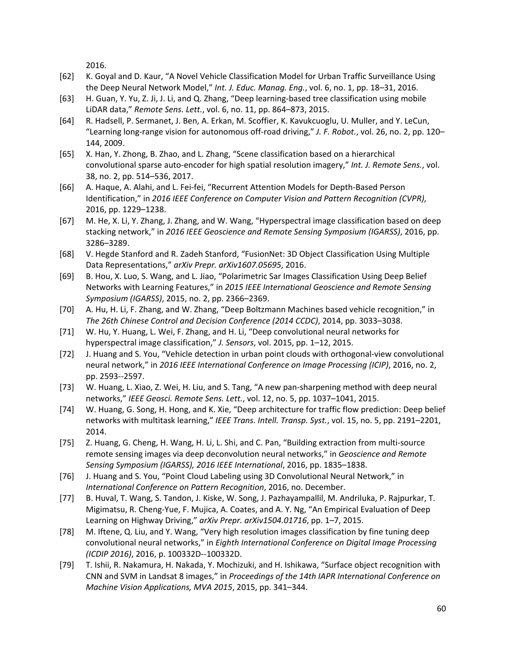2016.

- [62] K. Goyal and D. Kaur, "A Novel Vehicle Classification Model for Urban Traffic Surveillance Using the Deep Neural Network Model," *Int. J. Educ. Manag. Eng.*, vol. 6, no. 1, pp. 18–31, 2016.
- [63] H. Guan, Y. Yu, Z. Ji, J. Li, and Q. Zhang, "Deep learning‐based tree classification using mobile LiDAR data," *Remote Sens. Lett.*, vol. 6, no. 11, pp. 864–873, 2015.
- [64] R. Hadsell, P. Sermanet, J. Ben, A. Erkan, M. Scoffier, K. Kavukcuoglu, U. Muller, and Y. LeCun, "Learning long‐range vision for autonomous off‐road driving," *J. F. Robot.*, vol. 26, no. 2, pp. 120– 144, 2009.
- [65] X. Han, Y. Zhong, B. Zhao, and L. Zhang, "Scene classification based on a hierarchical convolutional sparse auto‐encoder for high spatial resolution imagery," *Int. J. Remote Sens.*, vol. 38, no. 2, pp. 514–536, 2017.
- [66] A. Haque, A. Alahi, and L. Fei‐fei, "Recurrent Attention Models for Depth‐Based Person Identification," in *2016 IEEE Conference on Computer Vision and Pattern Recognition (CVPR)*, 2016, pp. 1229–1238.
- [67] M. He, X. Li, Y. Zhang, J. Zhang, and W. Wang, "Hyperspectral image classification based on deep stacking network," in *2016 IEEE Geoscience and Remote Sensing Symposium (IGARSS)*, 2016, pp. 3286–3289.
- [68] V. Hegde Stanford and R. Zadeh Stanford, "FusionNet: 3D Object Classification Using Multiple Data Representations," *arXiv Prepr. arXiv1607.05695*, 2016.
- [69] B. Hou, X. Luo, S. Wang, and L. Jiao, "Polarimetric Sar Images Classification Using Deep Belief Networks with Learning Features," in *2015 IEEE International Geoscience and Remote Sensing Symposium (IGARSS)*, 2015, no. 2, pp. 2366–2369.
- [70] A. Hu, H. Li, F. Zhang, and W. Zhang, "Deep Boltzmann Machines based vehicle recognition," in *The 26th Chinese Control and Decision Conference (2014 CCDC)*, 2014, pp. 3033–3038.
- [71] W. Hu, Y. Huang, L. Wei, F. Zhang, and H. Li, "Deep convolutional neural networks for hyperspectral image classification," *J. Sensors*, vol. 2015, pp. 1–12, 2015.
- [72] J. Huang and S. You, "Vehicle detection in urban point clouds with orthogonal-view convolutional neural network," in *2016 IEEE International Conference on Image Processing (ICIP)*, 2016, no. 2, pp. 2593‐‐2597.
- [73] W. Huang, L. Xiao, Z. Wei, H. Liu, and S. Tang, "A new pan‐sharpening method with deep neural networks," *IEEE Geosci. Remote Sens. Lett.*, vol. 12, no. 5, pp. 1037–1041, 2015.
- [74] W. Huang, G. Song, H. Hong, and K. Xie, "Deep architecture for traffic flow prediction: Deep belief networks with multitask learning," *IEEE Trans. Intell. Transp. Syst.*, vol. 15, no. 5, pp. 2191–2201, 2014.
- [75] Z. Huang, G. Cheng, H. Wang, H. Li, L. Shi, and C. Pan, "Building extraction from multi‐source remote sensing images via deep deconvolution neural networks," in *Geoscience and Remote Sensing Symposium (IGARSS), 2016 IEEE International*, 2016, pp. 1835–1838.
- [76] J. Huang and S. You, "Point Cloud Labeling using 3D Convolutional Neural Network," in *International Conference on Pattern Recognition*, 2016, no. December.
- [77] B. Huval, T. Wang, S. Tandon, J. Kiske, W. Song, J. Pazhayampallil, M. Andriluka, P. Rajpurkar, T. Migimatsu, R. Cheng‐Yue, F. Mujica, A. Coates, and A. Y. Ng, "An Empirical Evaluation of Deep Learning on Highway Driving," *arXiv Prepr. arXiv1504.01716*, pp. 1–7, 2015.
- [78] M. Iftene, Q. Liu, and Y. Wang, "Very high resolution images classification by fine tuning deep convolutional neural networks," in *Eighth International Conference on Digital Image Processing (ICDIP 2016)*, 2016, p. 100332D‐‐100332D.
- [79] T. Ishii, R. Nakamura, H. Nakada, Y. Mochizuki, and H. Ishikawa, "Surface object recognition with CNN and SVM in Landsat 8 images," in *Proceedings of the 14th IAPR International Conference on Machine Vision Applications, MVA 2015*, 2015, pp. 341–344.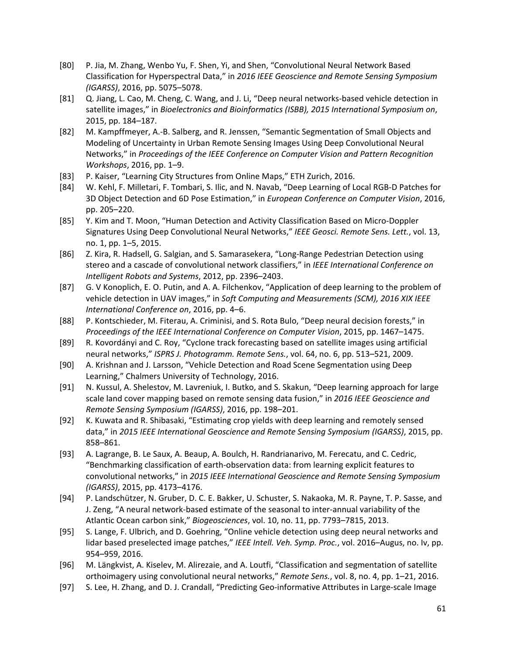- [80] P. Jia, M. Zhang, Wenbo Yu, F. Shen, Yi, and Shen, "Convolutional Neural Network Based Classification for Hyperspectral Data," in *2016 IEEE Geoscience and Remote Sensing Symposium (IGARSS)*, 2016, pp. 5075–5078.
- [81] Q. Jiang, L. Cao, M. Cheng, C. Wang, and J. Li, "Deep neural networks‐based vehicle detection in satellite images," in *Bioelectronics and Bioinformatics (ISBB), 2015 International Symposium on*, 2015, pp. 184–187.
- [82] M. Kampffmeyer, A.‐B. Salberg, and R. Jenssen, "Semantic Segmentation of Small Objects and Modeling of Uncertainty in Urban Remote Sensing Images Using Deep Convolutional Neural Networks," in *Proceedings of the IEEE Conference on Computer Vision and Pattern Recognition Workshops*, 2016, pp. 1–9.
- [83] P. Kaiser, "Learning City Structures from Online Maps," ETH Zurich, 2016.
- [84] W. Kehl, F. Milletari, F. Tombari, S. Ilic, and N. Navab, "Deep Learning of Local RGB‐D Patches for 3D Object Detection and 6D Pose Estimation," in *European Conference on Computer Vision*, 2016, pp. 205–220.
- [85] Y. Kim and T. Moon, "Human Detection and Activity Classification Based on Micro‐Doppler Signatures Using Deep Convolutional Neural Networks," *IEEE Geosci. Remote Sens. Lett.*, vol. 13, no. 1, pp. 1–5, 2015.
- [86] Z. Kira, R. Hadsell, G. Salgian, and S. Samarasekera, "Long‐Range Pedestrian Detection using stereo and a cascade of convolutional network classifiers," in *IEEE International Conference on Intelligent Robots and Systems*, 2012, pp. 2396–2403.
- [87] G. V Konoplich, E. O. Putin, and A. A. Filchenkov, "Application of deep learning to the problem of vehicle detection in UAV images," in *Soft Computing and Measurements (SCM), 2016 XIX IEEE International Conference on*, 2016, pp. 4–6.
- [88] P. Kontschieder, M. Fiterau, A. Criminisi, and S. Rota Bulo, "Deep neural decision forests," in *Proceedings of the IEEE International Conference on Computer Vision*, 2015, pp. 1467–1475.
- [89] R. Kovordányi and C. Roy, "Cyclone track forecasting based on satellite images using artificial neural networks," *ISPRS J. Photogramm. Remote Sens.*, vol. 64, no. 6, pp. 513–521, 2009.
- [90] A. Krishnan and J. Larsson, "Vehicle Detection and Road Scene Segmentation using Deep Learning," Chalmers University of Technology, 2016.
- [91] N. Kussul, A. Shelestov, M. Lavreniuk, I. Butko, and S. Skakun, "Deep learning approach for large scale land cover mapping based on remote sensing data fusion," in *2016 IEEE Geoscience and Remote Sensing Symposium (IGARSS)*, 2016, pp. 198–201.
- [92] K. Kuwata and R. Shibasaki, "Estimating crop yields with deep learning and remotely sensed data," in *2015 IEEE International Geoscience and Remote Sensing Symposium (IGARSS)*, 2015, pp. 858–861.
- [93] A. Lagrange, B. Le Saux, A. Beaup, A. Boulch, H. Randrianarivo, M. Ferecatu, and C. Cedric, "Benchmarking classification of earth‐observation data: from learning explicit features to convolutional networks," in *2015 IEEE International Geoscience and Remote Sensing Symposium (IGARSS)*, 2015, pp. 4173–4176.
- [94] P. Landschützer, N. Gruber, D. C. E. Bakker, U. Schuster, S. Nakaoka, M. R. Payne, T. P. Sasse, and J. Zeng, "A neural network‐based estimate of the seasonal to inter‐annual variability of the Atlantic Ocean carbon sink," *Biogeosciences*, vol. 10, no. 11, pp. 7793–7815, 2013.
- [95] S. Lange, F. Ulbrich, and D. Goehring, "Online vehicle detection using deep neural networks and lidar based preselected image patches," *IEEE Intell. Veh. Symp. Proc.*, vol. 2016–Augus, no. Iv, pp. 954–959, 2016.
- [96] M. Längkvist, A. Kiselev, M. Alirezaie, and A. Loutfi, "Classification and segmentation of satellite orthoimagery using convolutional neural networks," *Remote Sens.*, vol. 8, no. 4, pp. 1–21, 2016.
- [97] S. Lee, H. Zhang, and D. J. Crandall, "Predicting Geo-informative Attributes in Large-scale Image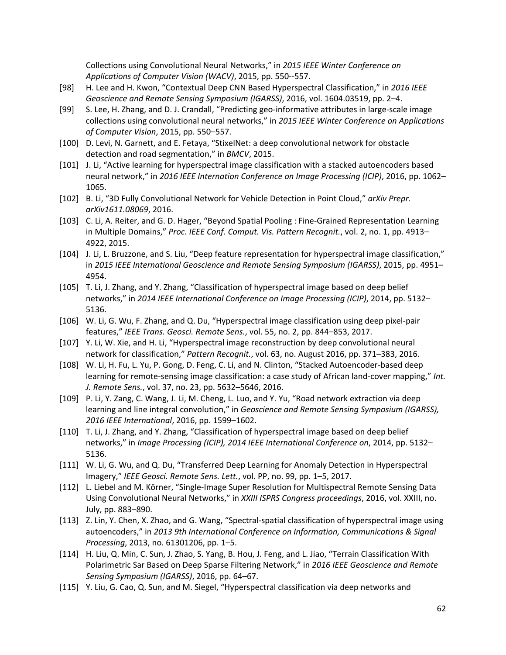Collections using Convolutional Neural Networks," in *2015 IEEE Winter Conference on Applications of Computer Vision (WACV)*, 2015, pp. 550‐‐557.

- [98] H. Lee and H. Kwon, "Contextual Deep CNN Based Hyperspectral Classification," in *2016 IEEE Geoscience and Remote Sensing Symposium (IGARSS)*, 2016, vol. 1604.03519, pp. 2–4.
- [99] S. Lee, H. Zhang, and D. J. Crandall, "Predicting geo‐informative attributes in large‐scale image collections using convolutional neural networks," in *2015 IEEE Winter Conference on Applications of Computer Vision*, 2015, pp. 550–557.
- [100] D. Levi, N. Garnett, and E. Fetaya, "StixelNet: a deep convolutional network for obstacle detection and road segmentation," in *BMCV*, 2015.
- [101] J. Li, "Active learning for hyperspectral image classification with a stacked autoencoders based neural network," in *2016 IEEE Internation Conference on Image Processing (ICIP)*, 2016, pp. 1062– 1065.
- [102] B. Li, "3D Fully Convolutional Network for Vehicle Detection in Point Cloud," *arXiv Prepr. arXiv1611.08069*, 2016.
- [103] C. Li, A. Reiter, and G. D. Hager, "Beyond Spatial Pooling : Fine‐Grained Representation Learning in Multiple Domains," *Proc. IEEE Conf. Comput. Vis. Pattern Recognit.*, vol. 2, no. 1, pp. 4913– 4922, 2015.
- [104] J. Li, L. Bruzzone, and S. Liu, "Deep feature representation for hyperspectral image classification," in *2015 IEEE International Geoscience and Remote Sensing Symposium (IGARSS)*, 2015, pp. 4951– 4954.
- [105] T. Li, J. Zhang, and Y. Zhang, "Classification of hyperspectral image based on deep belief networks," in *2014 IEEE International Conference on Image Processing (ICIP)*, 2014, pp. 5132– 5136.
- [106] W. Li, G. Wu, F. Zhang, and Q. Du, "Hyperspectral image classification using deep pixel‐pair features," *IEEE Trans. Geosci. Remote Sens.*, vol. 55, no. 2, pp. 844–853, 2017.
- [107] Y. Li, W. Xie, and H. Li, "Hyperspectral image reconstruction by deep convolutional neural network for classification," *Pattern Recognit.*, vol. 63, no. August 2016, pp. 371–383, 2016.
- [108] W. Li, H. Fu, L. Yu, P. Gong, D. Feng, C. Li, and N. Clinton, "Stacked Autoencoder‐based deep learning for remote‐sensing image classification: a case study of African land‐cover mapping," *Int. J. Remote Sens.*, vol. 37, no. 23, pp. 5632–5646, 2016.
- [109] P. Li, Y. Zang, C. Wang, J. Li, M. Cheng, L. Luo, and Y. Yu, "Road network extraction via deep learning and line integral convolution," in *Geoscience and Remote Sensing Symposium (IGARSS), 2016 IEEE International*, 2016, pp. 1599–1602.
- [110] T. Li, J. Zhang, and Y. Zhang, "Classification of hyperspectral image based on deep belief networks," in *Image Processing (ICIP), 2014 IEEE International Conference on*, 2014, pp. 5132– 5136.
- [111] W. Li, G. Wu, and Q. Du, "Transferred Deep Learning for Anomaly Detection in Hyperspectral Imagery," *IEEE Geosci. Remote Sens. Lett.*, vol. PP, no. 99, pp. 1–5, 2017.
- [112] L. Liebel and M. Körner, "Single‐Image Super Resolution for Multispectral Remote Sensing Data Using Convolutional Neural Networks," in *XXIII ISPRS Congress proceedings*, 2016, vol. XXIII, no. July, pp. 883–890.
- [113] Z. Lin, Y. Chen, X. Zhao, and G. Wang, "Spectral‐spatial classification of hyperspectral image using autoencoders," in *2013 9th International Conference on Information, Communications & Signal Processing*, 2013, no. 61301206, pp. 1–5.
- [114] H. Liu, Q. Min, C. Sun, J. Zhao, S. Yang, B. Hou, J. Feng, and L. Jiao, "Terrain Classification With Polarimetric Sar Based on Deep Sparse Filtering Network," in *2016 IEEE Geoscience and Remote Sensing Symposium (IGARSS)*, 2016, pp. 64–67.
- [115] Y. Liu, G. Cao, Q. Sun, and M. Siegel, "Hyperspectral classification via deep networks and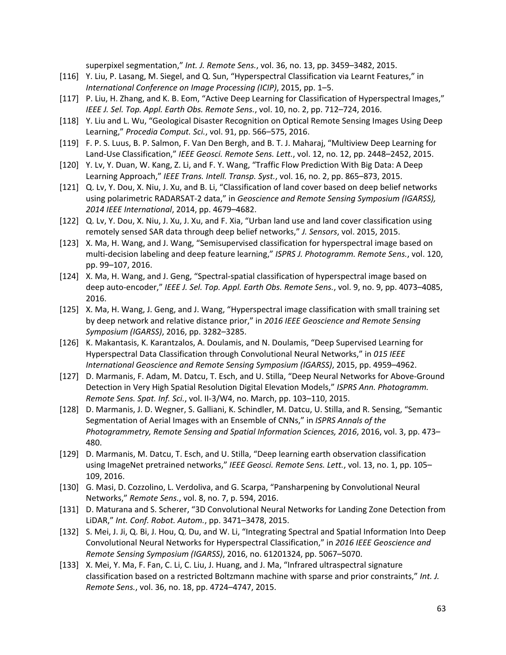superpixel segmentation," *Int. J. Remote Sens.*, vol. 36, no. 13, pp. 3459–3482, 2015.

- [116] Y. Liu, P. Lasang, M. Siegel, and Q. Sun, "Hyperspectral Classification via Learnt Features," in *International Conference on Image Processing (ICIP)*, 2015, pp. 1–5.
- [117] P. Liu, H. Zhang, and K. B. Eom, "Active Deep Learning for Classification of Hyperspectral Images," *IEEE J. Sel. Top. Appl. Earth Obs. Remote Sens.*, vol. 10, no. 2, pp. 712–724, 2016.
- [118] Y. Liu and L. Wu, "Geological Disaster Recognition on Optical Remote Sensing Images Using Deep Learning," *Procedia Comput. Sci.*, vol. 91, pp. 566–575, 2016.
- [119] F. P. S. Luus, B. P. Salmon, F. Van Den Bergh, and B. T. J. Maharaj, "Multiview Deep Learning for Land‐Use Classification," *IEEE Geosci. Remote Sens. Lett.*, vol. 12, no. 12, pp. 2448–2452, 2015.
- [120] Y. Lv, Y. Duan, W. Kang, Z. Li, and F. Y. Wang, "Traffic Flow Prediction With Big Data: A Deep Learning Approach," *IEEE Trans. Intell. Transp. Syst.*, vol. 16, no. 2, pp. 865–873, 2015.
- [121] Q. Lv, Y. Dou, X. Niu, J. Xu, and B. Li, "Classification of land cover based on deep belief networks using polarimetric RADARSAT‐2 data," in *Geoscience and Remote Sensing Symposium (IGARSS), 2014 IEEE International*, 2014, pp. 4679–4682.
- [122] Q. Lv, Y. Dou, X. Niu, J. Xu, J. Xu, and F. Xia, "Urban land use and land cover classification using remotely sensed SAR data through deep belief networks," *J. Sensors*, vol. 2015, 2015.
- [123] X. Ma, H. Wang, and J. Wang, "Semisupervised classification for hyperspectral image based on multi‐decision labeling and deep feature learning," *ISPRS J. Photogramm. Remote Sens.*, vol. 120, pp. 99–107, 2016.
- [124] X. Ma, H. Wang, and J. Geng, "Spectral‐spatial classification of hyperspectral image based on deep auto‐encoder," *IEEE J. Sel. Top. Appl. Earth Obs. Remote Sens.*, vol. 9, no. 9, pp. 4073–4085, 2016.
- [125] X. Ma, H. Wang, J. Geng, and J. Wang, "Hyperspectral image classification with small training set by deep network and relative distance prior," in *2016 IEEE Geoscience and Remote Sensing Symposium (IGARSS)*, 2016, pp. 3282–3285.
- [126] K. Makantasis, K. Karantzalos, A. Doulamis, and N. Doulamis, "Deep Supervised Learning for Hyperspectral Data Classification through Convolutional Neural Networks," in *015 IEEE International Geoscience and Remote Sensing Symposium (IGARSS)*, 2015, pp. 4959–4962.
- [127] D. Marmanis, F. Adam, M. Datcu, T. Esch, and U. Stilla, "Deep Neural Networks for Above‐Ground Detection in Very High Spatial Resolution Digital Elevation Models," *ISPRS Ann. Photogramm. Remote Sens. Spat. Inf. Sci.*, vol. II‐3/W4, no. March, pp. 103–110, 2015.
- [128] D. Marmanis, J. D. Wegner, S. Galliani, K. Schindler, M. Datcu, U. Stilla, and R. Sensing, "Semantic Segmentation of Aerial Images with an Ensemble of CNNs," in *ISPRS Annals of the Photogrammetry, Remote Sensing and Spatial Information Sciences, 2016*, 2016, vol. 3, pp. 473– 480.
- [129] D. Marmanis, M. Datcu, T. Esch, and U. Stilla, "Deep learning earth observation classification using ImageNet pretrained networks," *IEEE Geosci. Remote Sens. Lett.*, vol. 13, no. 1, pp. 105– 109, 2016.
- [130] G. Masi, D. Cozzolino, L. Verdoliva, and G. Scarpa, "Pansharpening by Convolutional Neural Networks," *Remote Sens.*, vol. 8, no. 7, p. 594, 2016.
- [131] D. Maturana and S. Scherer, "3D Convolutional Neural Networks for Landing Zone Detection from LiDAR," *Int. Conf. Robot. Autom.*, pp. 3471–3478, 2015.
- [132] S. Mei, J. Ji, Q. Bi, J. Hou, Q. Du, and W. Li, "Integrating Spectral and Spatial Information Into Deep Convolutional Neural Networks for Hyperspectral Classification," in *2016 IEEE Geoscience and Remote Sensing Symposium (IGARSS)*, 2016, no. 61201324, pp. 5067–5070.
- [133] X. Mei, Y. Ma, F. Fan, C. Li, C. Liu, J. Huang, and J. Ma, "Infrared ultraspectral signature classification based on a restricted Boltzmann machine with sparse and prior constraints," *Int. J. Remote Sens.*, vol. 36, no. 18, pp. 4724–4747, 2015.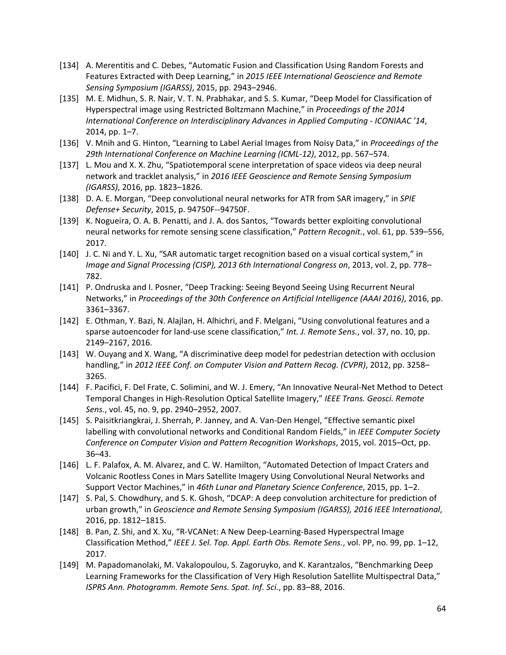- [134] A. Merentitis and C. Debes, "Automatic Fusion and Classification Using Random Forests and Features Extracted with Deep Learning," in *2015 IEEE International Geoscience and Remote Sensing Symposium (IGARSS)*, 2015, pp. 2943–2946.
- [135] M. E. Midhun, S. R. Nair, V. T. N. Prabhakar, and S. S. Kumar, "Deep Model for Classification of Hyperspectral image using Restricted Boltzmann Machine," in *Proceedings of the 2014 International Conference on Interdisciplinary Advances in Applied Computing ‐ ICONIAAC '14*, 2014, pp. 1–7.
- [136] V. Mnih and G. Hinton, "Learning to Label Aerial Images from Noisy Data," in *Proceedings of the 29th International Conference on Machine Learning (ICML‐12)*, 2012, pp. 567–574.
- [137] L. Mou and X. X. Zhu, "Spatiotemporal scene interpretation of space videos via deep neural network and tracklet analysis," in *2016 IEEE Geoscience and Remote Sensing Symposium (IGARSS)*, 2016, pp. 1823–1826.
- [138] D. A. E. Morgan, "Deep convolutional neural networks for ATR from SAR imagery," in *SPIE Defense+ Security*, 2015, p. 94750F‐‐94750F.
- [139] K. Nogueira, O. A. B. Penatti, and J. A. dos Santos, "Towards better exploiting convolutional neural networks for remote sensing scene classification," *Pattern Recognit.*, vol. 61, pp. 539–556, 2017.
- [140] J. C. Ni and Y. L. Xu, "SAR automatic target recognition based on a visual cortical system," in *Image and Signal Processing (CISP), 2013 6th International Congress on*, 2013, vol. 2, pp. 778– 782.
- [141] P. Ondruska and I. Posner, "Deep Tracking: Seeing Beyond Seeing Using Recurrent Neural Networks," in *Proceedings of the 30th Conference on Artificial Intelligence (AAAI 2016)*, 2016, pp. 3361–3367.
- [142] E. Othman, Y. Bazi, N. Alajlan, H. Alhichri, and F. Melgani, "Using convolutional features and a sparse autoencoder for land‐use scene classification," *Int. J. Remote Sens.*, vol. 37, no. 10, pp. 2149–2167, 2016.
- [143] W. Ouyang and X. Wang, "A discriminative deep model for pedestrian detection with occlusion handling," in *2012 IEEE Conf. on Computer Vision and Pattern Recog. (CVPR)*, 2012, pp. 3258– 3265.
- [144] F. Pacifici, F. Del Frate, C. Solimini, and W. J. Emery, "An Innovative Neural-Net Method to Detect Temporal Changes in High‐Resolution Optical Satellite Imagery," *IEEE Trans. Geosci. Remote Sens.*, vol. 45, no. 9, pp. 2940–2952, 2007.
- [145] S. Paisitkriangkrai, J. Sherrah, P. Janney, and A. Van‐Den Hengel, "Effective semantic pixel labelling with convolutional networks and Conditional Random Fields," in *IEEE Computer Society Conference on Computer Vision and Pattern Recognition Workshops*, 2015, vol. 2015–Oct, pp. 36–43.
- [146] L. F. Palafox, A. M. Alvarez, and C. W. Hamilton, "Automated Detection of Impact Craters and Volcanic Rootless Cones in Mars Satellite Imagery Using Convolutional Neural Networks and Support Vector Machines," in *46th Lunar and Planetary Science Conference*, 2015, pp. 1–2.
- [147] S. Pal, S. Chowdhury, and S. K. Ghosh, "DCAP: A deep convolution architecture for prediction of urban growth," in *Geoscience and Remote Sensing Symposium (IGARSS), 2016 IEEE International*, 2016, pp. 1812–1815.
- [148] B. Pan, Z. Shi, and X. Xu, "R‐VCANet: A New Deep‐Learning‐Based Hyperspectral Image Classification Method," *IEEE J. Sel. Top. Appl. Earth Obs. Remote Sens.*, vol. PP, no. 99, pp. 1–12, 2017.
- [149] M. Papadomanolaki, M. Vakalopoulou, S. Zagoruyko, and K. Karantzalos, "Benchmarking Deep Learning Frameworks for the Classification of Very High Resolution Satellite Multispectral Data," *ISPRS Ann. Photogramm. Remote Sens. Spat. Inf. Sci.*, pp. 83–88, 2016.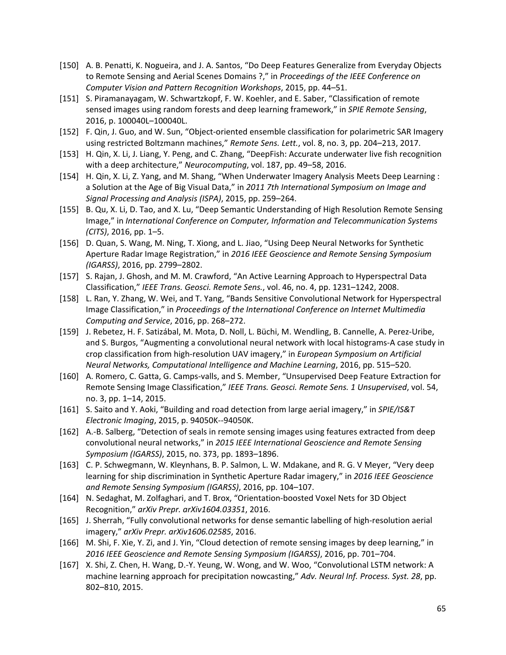- [150] A. B. Penatti, K. Nogueira, and J. A. Santos, "Do Deep Features Generalize from Everyday Objects to Remote Sensing and Aerial Scenes Domains ?," in *Proceedings of the IEEE Conference on Computer Vision and Pattern Recognition Workshops*, 2015, pp. 44–51.
- [151] S. Piramanayagam, W. Schwartzkopf, F. W. Koehler, and E. Saber, "Classification of remote sensed images using random forests and deep learning framework," in *SPIE Remote Sensing*, 2016, p. 100040L–100040L.
- [152] F. Qin, J. Guo, and W. Sun, "Object-oriented ensemble classification for polarimetric SAR Imagery using restricted Boltzmann machines," *Remote Sens. Lett.*, vol. 8, no. 3, pp. 204–213, 2017.
- [153] H. Qin, X. Li, J. Liang, Y. Peng, and C. Zhang, "DeepFish: Accurate underwater live fish recognition with a deep architecture," *Neurocomputing*, vol. 187, pp. 49–58, 2016.
- [154] H. Qin, X. Li, Z. Yang, and M. Shang, "When Underwater Imagery Analysis Meets Deep Learning : a Solution at the Age of Big Visual Data," in *2011 7th International Symposium on Image and Signal Processing and Analysis (ISPA)*, 2015, pp. 259–264.
- [155] B. Qu, X. Li, D. Tao, and X. Lu, "Deep Semantic Understanding of High Resolution Remote Sensing Image," in *International Conference on Computer, Information and Telecommunication Systems (CITS)*, 2016, pp. 1–5.
- [156] D. Quan, S. Wang, M. Ning, T. Xiong, and L. Jiao, "Using Deep Neural Networks for Synthetic Aperture Radar Image Registration," in *2016 IEEE Geoscience and Remote Sensing Symposium (IGARSS)*, 2016, pp. 2799–2802.
- [157] S. Rajan, J. Ghosh, and M. M. Crawford, "An Active Learning Approach to Hyperspectral Data Classification," *IEEE Trans. Geosci. Remote Sens.*, vol. 46, no. 4, pp. 1231–1242, 2008.
- [158] L. Ran, Y. Zhang, W. Wei, and T. Yang, "Bands Sensitive Convolutional Network for Hyperspectral Image Classification," in *Proceedings of the International Conference on Internet Multimedia Computing and Service*, 2016, pp. 268–272.
- [159] J. Rebetez, H. F. Satizábal, M. Mota, D. Noll, L. Büchi, M. Wendling, B. Cannelle, A. Perez‐Uribe, and S. Burgos, "Augmenting a convolutional neural network with local histograms‐A case study in crop classification from high‐resolution UAV imagery," in *European Symposium on Artificial Neural Networks, Computational Intelligence and Machine Learning*, 2016, pp. 515–520.
- [160] A. Romero, C. Gatta, G. Camps‐valls, and S. Member, "Unsupervised Deep Feature Extraction for Remote Sensing Image Classification," *IEEE Trans. Geosci. Remote Sens. 1 Unsupervised*, vol. 54, no. 3, pp. 1–14, 2015.
- [161] S. Saito and Y. Aoki, "Building and road detection from large aerial imagery," in *SPIE/IS&T Electronic Imaging*, 2015, p. 94050K‐‐94050K.
- [162] A.‐B. Salberg, "Detection of seals in remote sensing images using features extracted from deep convolutional neural networks," in *2015 IEEE International Geoscience and Remote Sensing Symposium (IGARSS)*, 2015, no. 373, pp. 1893–1896.
- [163] C. P. Schwegmann, W. Kleynhans, B. P. Salmon, L. W. Mdakane, and R. G. V Meyer, "Very deep learning for ship discrimination in Synthetic Aperture Radar imagery," in *2016 IEEE Geoscience and Remote Sensing Symposium (IGARSS)*, 2016, pp. 104–107.
- [164] N. Sedaghat, M. Zolfaghari, and T. Brox, "Orientation‐boosted Voxel Nets for 3D Object Recognition," *arXiv Prepr. arXiv1604.03351*, 2016.
- [165] J. Sherrah, "Fully convolutional networks for dense semantic labelling of high‐resolution aerial imagery," *arXiv Prepr. arXiv1606.02585*, 2016.
- [166] M. Shi, F. Xie, Y. Zi, and J. Yin, "Cloud detection of remote sensing images by deep learning," in *2016 IEEE Geoscience and Remote Sensing Symposium (IGARSS)*, 2016, pp. 701–704.
- [167] X. Shi, Z. Chen, H. Wang, D.‐Y. Yeung, W. Wong, and W. Woo, "Convolutional LSTM network: A machine learning approach for precipitation nowcasting," *Adv. Neural Inf. Process. Syst. 28*, pp. 802–810, 2015.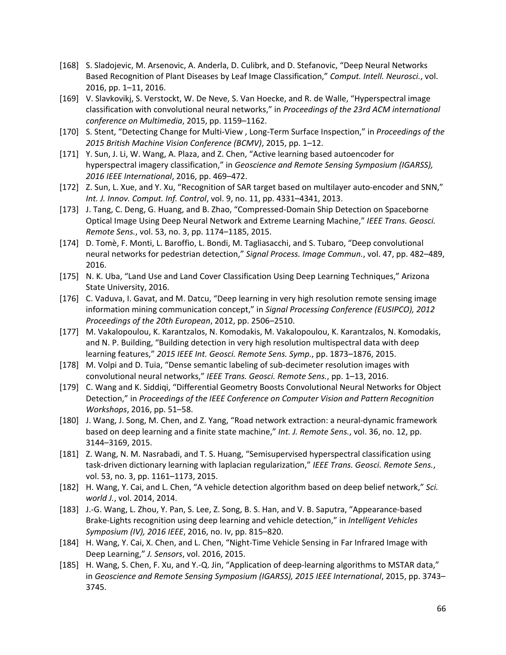- [168] S. Sladojevic, M. Arsenovic, A. Anderla, D. Culibrk, and D. Stefanovic, "Deep Neural Networks Based Recognition of Plant Diseases by Leaf Image Classification," *Comput. Intell. Neurosci.*, vol. 2016, pp. 1–11, 2016.
- [169] V. Slavkovikj, S. Verstockt, W. De Neve, S. Van Hoecke, and R. de Walle, "Hyperspectral image classification with convolutional neural networks," in *Proceedings of the 23rd ACM international conference on Multimedia*, 2015, pp. 1159–1162.
- [170] S. Stent, "Detecting Change for Multi‐View , Long‐Term Surface Inspection," in *Proceedings of the 2015 British Machine Vision Conference (BCMV)*, 2015, pp. 1–12.
- [171] Y. Sun, J. Li, W. Wang, A. Plaza, and Z. Chen, "Active learning based autoencoder for hyperspectral imagery classification," in *Geoscience and Remote Sensing Symposium (IGARSS), 2016 IEEE International*, 2016, pp. 469–472.
- [172] Z. Sun, L. Xue, and Y. Xu, "Recognition of SAR target based on multilayer auto-encoder and SNN," *Int. J. Innov. Comput. Inf. Control*, vol. 9, no. 11, pp. 4331–4341, 2013.
- [173] J. Tang, C. Deng, G. Huang, and B. Zhao, "Compressed‐Domain Ship Detection on Spaceborne Optical Image Using Deep Neural Network and Extreme Learning Machine," *IEEE Trans. Geosci. Remote Sens.*, vol. 53, no. 3, pp. 1174–1185, 2015.
- [174] D. Tomè, F. Monti, L. Baroffio, L. Bondi, M. Tagliasacchi, and S. Tubaro, "Deep convolutional neural networks for pedestrian detection," *Signal Process. Image Commun.*, vol. 47, pp. 482–489, 2016.
- [175] N. K. Uba, "Land Use and Land Cover Classification Using Deep Learning Techniques," Arizona State University, 2016.
- [176] C. Vaduva, I. Gavat, and M. Datcu, "Deep learning in very high resolution remote sensing image information mining communication concept," in *Signal Processing Conference (EUSIPCO), 2012 Proceedings of the 20th European*, 2012, pp. 2506–2510.
- [177] M. Vakalopoulou, K. Karantzalos, N. Komodakis, M. Vakalopoulou, K. Karantzalos, N. Komodakis, and N. P. Building, "Building detection in very high resolution multispectral data with deep learning features," *2015 IEEE Int. Geosci. Remote Sens. Symp.*, pp. 1873–1876, 2015.
- [178] M. Volpi and D. Tuia, "Dense semantic labeling of sub-decimeter resolution images with convolutional neural networks," *IEEE Trans. Geosci. Remote Sens.*, pp. 1–13, 2016.
- [179] C. Wang and K. Siddiqi, "Differential Geometry Boosts Convolutional Neural Networks for Object Detection," in *Proceedings of the IEEE Conference on Computer Vision and Pattern Recognition Workshops*, 2016, pp. 51–58.
- [180] J. Wang, J. Song, M. Chen, and Z. Yang, "Road network extraction: a neural‐dynamic framework based on deep learning and a finite state machine," *Int. J. Remote Sens.*, vol. 36, no. 12, pp. 3144–3169, 2015.
- [181] Z. Wang, N. M. Nasrabadi, and T. S. Huang, "Semisupervised hyperspectral classification using task‐driven dictionary learning with laplacian regularization," *IEEE Trans. Geosci. Remote Sens.*, vol. 53, no. 3, pp. 1161–1173, 2015.
- [182] H. Wang, Y. Cai, and L. Chen, "A vehicle detection algorithm based on deep belief network," *Sci. world J.*, vol. 2014, 2014.
- [183] J.-G. Wang, L. Zhou, Y. Pan, S. Lee, Z. Song, B. S. Han, and V. B. Saputra, "Appearance-based Brake‐Lights recognition using deep learning and vehicle detection," in *Intelligent Vehicles Symposium (IV), 2016 IEEE*, 2016, no. Iv, pp. 815–820.
- [184] H. Wang, Y. Cai, X. Chen, and L. Chen, "Night‐Time Vehicle Sensing in Far Infrared Image with Deep Learning," *J. Sensors*, vol. 2016, 2015.
- [185] H. Wang, S. Chen, F. Xu, and Y.-Q. Jin, "Application of deep-learning algorithms to MSTAR data," in *Geoscience and Remote Sensing Symposium (IGARSS), 2015 IEEE International*, 2015, pp. 3743– 3745.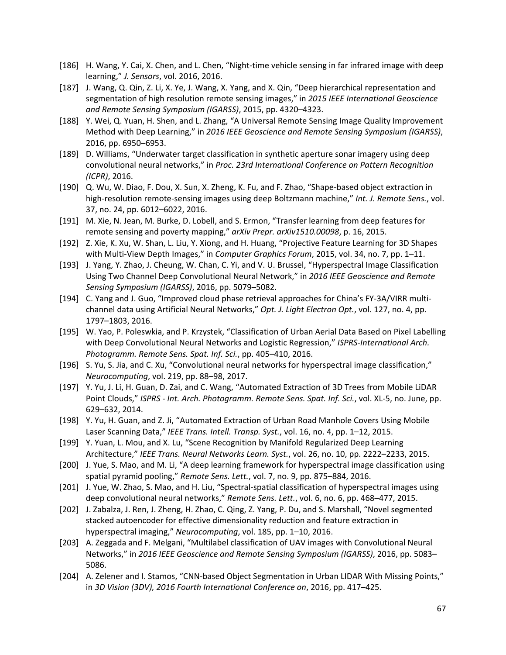- [186] H. Wang, Y. Cai, X. Chen, and L. Chen, "Night-time vehicle sensing in far infrared image with deep learning," *J. Sensors*, vol. 2016, 2016.
- [187] J. Wang, Q. Qin, Z. Li, X. Ye, J. Wang, X. Yang, and X. Qin, "Deep hierarchical representation and segmentation of high resolution remote sensing images," in *2015 IEEE International Geoscience and Remote Sensing Symposium (IGARSS)*, 2015, pp. 4320–4323.
- [188] Y. Wei, Q. Yuan, H. Shen, and L. Zhang, "A Universal Remote Sensing Image Quality Improvement Method with Deep Learning," in *2016 IEEE Geoscience and Remote Sensing Symposium (IGARSS)*, 2016, pp. 6950–6953.
- [189] D. Williams, "Underwater target classification in synthetic aperture sonar imagery using deep convolutional neural networks," in *Proc. 23rd International Conference on Pattern Recognition (ICPR)*, 2016.
- [190] Q. Wu, W. Diao, F. Dou, X. Sun, X. Zheng, K. Fu, and F. Zhao, "Shape‐based object extraction in high‐resolution remote‐sensing images using deep Boltzmann machine," *Int. J. Remote Sens.*, vol. 37, no. 24, pp. 6012–6022, 2016.
- [191] M. Xie, N. Jean, M. Burke, D. Lobell, and S. Ermon, "Transfer learning from deep features for remote sensing and poverty mapping," *arXiv Prepr. arXiv1510.00098*, p. 16, 2015.
- [192] Z. Xie, K. Xu, W. Shan, L. Liu, Y. Xiong, and H. Huang, "Projective Feature Learning for 3D Shapes with Multi-View Depth Images," in *Computer Graphics Forum*, 2015, vol. 34, no. 7, pp. 1–11.
- [193] J. Yang, Y. Zhao, J. Cheung, W. Chan, C. Yi, and V. U. Brussel, "Hyperspectral Image Classification Using Two Channel Deep Convolutional Neural Network," in *2016 IEEE Geoscience and Remote Sensing Symposium (IGARSS)*, 2016, pp. 5079–5082.
- [194] C. Yang and J. Guo, "Improved cloud phase retrieval approaches for China's FY‐3A/VIRR multi‐ channel data using Artificial Neural Networks," *Opt. J. Light Electron Opt.*, vol. 127, no. 4, pp. 1797–1803, 2016.
- [195] W. Yao, P. Poleswkia, and P. Krzystek, "Classification of Urban Aerial Data Based on Pixel Labelling with Deep Convolutional Neural Networks and Logistic Regression," *ISPRS‐International Arch. Photogramm. Remote Sens. Spat. Inf. Sci.*, pp. 405–410, 2016.
- [196] S. Yu, S. Jia, and C. Xu, "Convolutional neural networks for hyperspectral image classification," *Neurocomputing*, vol. 219, pp. 88–98, 2017.
- [197] Y. Yu, J. Li, H. Guan, D. Zai, and C. Wang, "Automated Extraction of 3D Trees from Mobile LiDAR Point Clouds," *ISPRS ‐ Int. Arch. Photogramm. Remote Sens. Spat. Inf. Sci.*, vol. XL‐5, no. June, pp. 629–632, 2014.
- [198] Y. Yu, H. Guan, and Z. Ji, "Automated Extraction of Urban Road Manhole Covers Using Mobile Laser Scanning Data," *IEEE Trans. Intell. Transp. Syst.*, vol. 16, no. 4, pp. 1–12, 2015.
- [199] Y. Yuan, L. Mou, and X. Lu, "Scene Recognition by Manifold Regularized Deep Learning Architecture," *IEEE Trans. Neural Networks Learn. Syst.*, vol. 26, no. 10, pp. 2222–2233, 2015.
- [200] J. Yue, S. Mao, and M. Li, "A deep learning framework for hyperspectral image classification using spatial pyramid pooling," *Remote Sens. Lett.*, vol. 7, no. 9, pp. 875–884, 2016.
- [201] J. Yue, W. Zhao, S. Mao, and H. Liu, "Spectral‐spatial classification of hyperspectral images using deep convolutional neural networks," *Remote Sens. Lett.*, vol. 6, no. 6, pp. 468–477, 2015.
- [202] J. Zabalza, J. Ren, J. Zheng, H. Zhao, C. Qing, Z. Yang, P. Du, and S. Marshall, "Novel segmented stacked autoencoder for effective dimensionality reduction and feature extraction in hyperspectral imaging," *Neurocomputing*, vol. 185, pp. 1–10, 2016.
- [203] A. Zeggada and F. Melgani, "Multilabel classification of UAV images with Convolutional Neural Networks," in *2016 IEEE Geoscience and Remote Sensing Symposium (IGARSS)*, 2016, pp. 5083– 5086.
- [204] A. Zelener and I. Stamos, "CNN-based Object Segmentation in Urban LIDAR With Missing Points," in *3D Vision (3DV), 2016 Fourth International Conference on*, 2016, pp. 417–425.